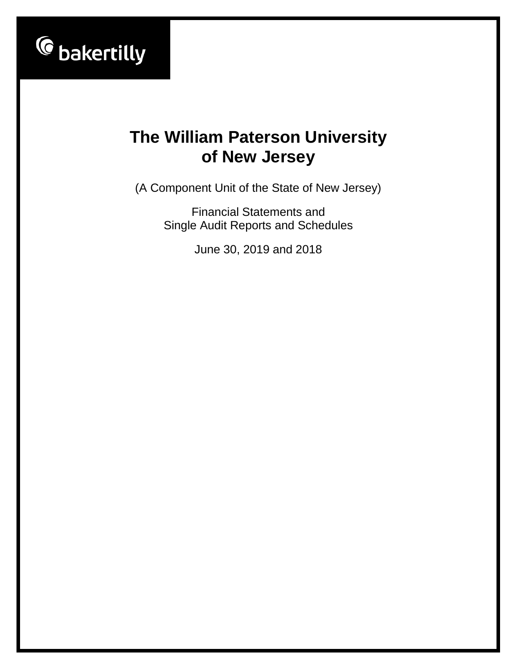

(A Component Unit of the State of New Jersey)

Financial Statements and Single Audit Reports and Schedules

June 30, 2019 and 2018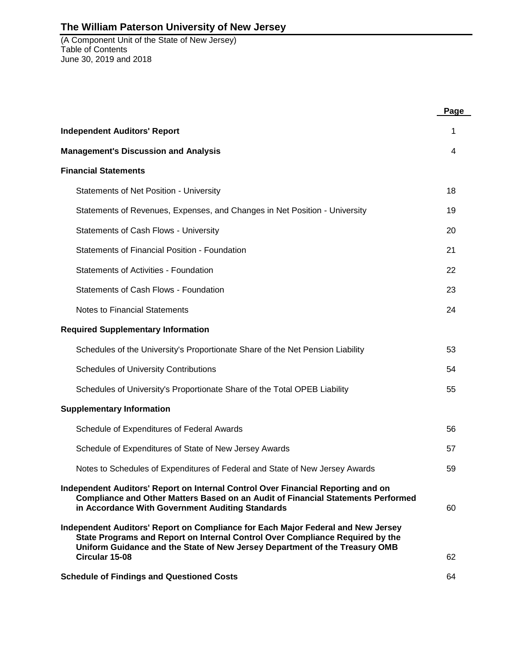(A Component Unit of the State of New Jersey) Table of Contents June 30, 2019 and 2018

|                                                                                                                                                                                                                                                  | Page |
|--------------------------------------------------------------------------------------------------------------------------------------------------------------------------------------------------------------------------------------------------|------|
| <b>Independent Auditors' Report</b>                                                                                                                                                                                                              | 1    |
| <b>Management's Discussion and Analysis</b>                                                                                                                                                                                                      | 4    |
| <b>Financial Statements</b>                                                                                                                                                                                                                      |      |
| Statements of Net Position - University                                                                                                                                                                                                          | 18   |
| Statements of Revenues, Expenses, and Changes in Net Position - University                                                                                                                                                                       | 19   |
| <b>Statements of Cash Flows - University</b>                                                                                                                                                                                                     | 20   |
| Statements of Financial Position - Foundation                                                                                                                                                                                                    | 21   |
| Statements of Activities - Foundation                                                                                                                                                                                                            | 22   |
| Statements of Cash Flows - Foundation                                                                                                                                                                                                            | 23   |
| <b>Notes to Financial Statements</b>                                                                                                                                                                                                             | 24   |
| <b>Required Supplementary Information</b>                                                                                                                                                                                                        |      |
| Schedules of the University's Proportionate Share of the Net Pension Liability                                                                                                                                                                   | 53   |
| <b>Schedules of University Contributions</b>                                                                                                                                                                                                     | 54   |
| Schedules of University's Proportionate Share of the Total OPEB Liability                                                                                                                                                                        | 55   |
| <b>Supplementary Information</b>                                                                                                                                                                                                                 |      |
| Schedule of Expenditures of Federal Awards                                                                                                                                                                                                       | 56   |
| Schedule of Expenditures of State of New Jersey Awards                                                                                                                                                                                           | 57   |
| Notes to Schedules of Expenditures of Federal and State of New Jersey Awards                                                                                                                                                                     | 59   |
| Independent Auditors' Report on Internal Control Over Financial Reporting and on<br>Compliance and Other Matters Based on an Audit of Financial Statements Performed<br>in Accordance With Government Auditing Standards                         | 60   |
| Independent Auditors' Report on Compliance for Each Major Federal and New Jersey<br>State Programs and Report on Internal Control Over Compliance Required by the<br>Uniform Guidance and the State of New Jersey Department of the Treasury OMB |      |
| Circular 15-08                                                                                                                                                                                                                                   | 62   |
| <b>Schedule of Findings and Questioned Costs</b>                                                                                                                                                                                                 | 64   |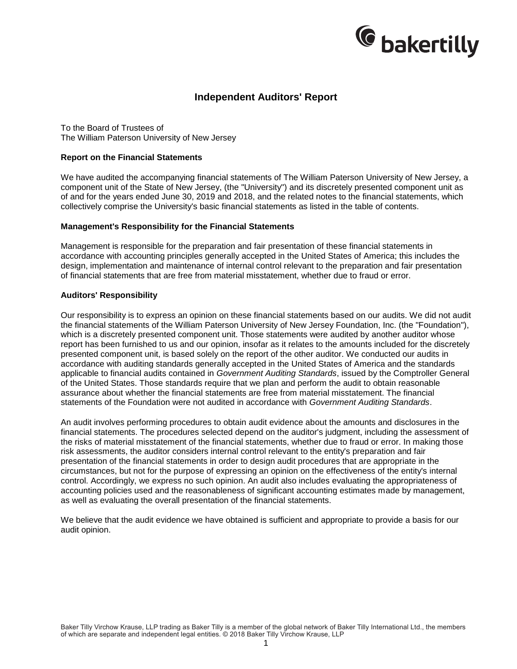

# **Independent Auditors' Report**

To the Board of Trustees of The William Paterson University of New Jersey

#### **Report on the Financial Statements**

We have audited the accompanying financial statements of The William Paterson University of New Jersey, a component unit of the State of New Jersey, (the "University") and its discretely presented component unit as of and for the years ended June 30, 2019 and 2018, and the related notes to the financial statements, which collectively comprise the University's basic financial statements as listed in the table of contents.

#### **Management's Responsibility for the Financial Statements**

Management is responsible for the preparation and fair presentation of these financial statements in accordance with accounting principles generally accepted in the United States of America; this includes the design, implementation and maintenance of internal control relevant to the preparation and fair presentation of financial statements that are free from material misstatement, whether due to fraud or error.

#### **Auditors' Responsibility**

Our responsibility is to express an opinion on these financial statements based on our audits. We did not audit the financial statements of the William Paterson University of New Jersey Foundation, Inc. (the "Foundation"), which is a discretely presented component unit. Those statements were audited by another auditor whose report has been furnished to us and our opinion, insofar as it relates to the amounts included for the discretely presented component unit, is based solely on the report of the other auditor. We conducted our audits in accordance with auditing standards generally accepted in the United States of America and the standards applicable to financial audits contained in *Government Auditing Standards*, issued by the Comptroller General of the United States. Those standards require that we plan and perform the audit to obtain reasonable assurance about whether the financial statements are free from material misstatement. The financial statements of the Foundation were not audited in accordance with *Government Auditing Standards*.

An audit involves performing procedures to obtain audit evidence about the amounts and disclosures in the financial statements. The procedures selected depend on the auditor's judgment, including the assessment of the risks of material misstatement of the financial statements, whether due to fraud or error. In making those risk assessments, the auditor considers internal control relevant to the entity's preparation and fair presentation of the financial statements in order to design audit procedures that are appropriate in the circumstances, but not for the purpose of expressing an opinion on the effectiveness of the entity's internal control. Accordingly, we express no such opinion. An audit also includes evaluating the appropriateness of accounting policies used and the reasonableness of significant accounting estimates made by management, as well as evaluating the overall presentation of the financial statements.

We believe that the audit evidence we have obtained is sufficient and appropriate to provide a basis for our audit opinion.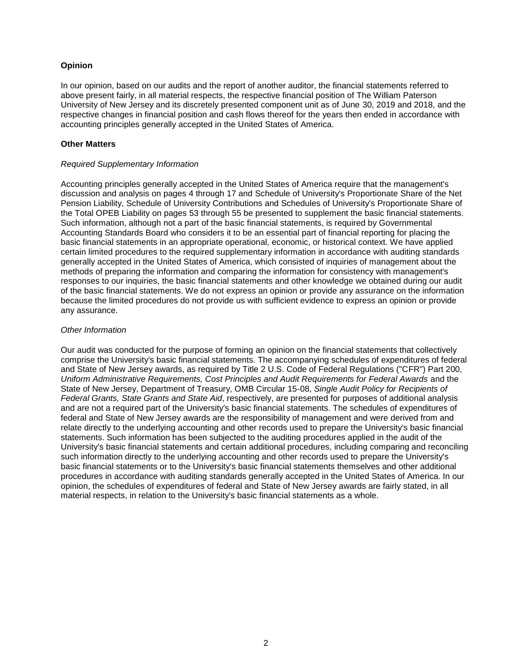### **Opinion**

In our opinion, based on our audits and the report of another auditor, the financial statements referred to above present fairly, in all material respects, the respective financial position of The William Paterson University of New Jersey and its discretely presented component unit as of June 30, 2019 and 2018, and the respective changes in financial position and cash flows thereof for the years then ended in accordance with accounting principles generally accepted in the United States of America.

#### **Other Matters**

#### *Required Supplementary Information*

Accounting principles generally accepted in the United States of America require that the management's discussion and analysis on pages 4 through 17 and Schedule of University's Proportionate Share of the Net Pension Liability, Schedule of University Contributions and Schedules of University's Proportionate Share of the Total OPEB Liability on pages 53 through 55 be presented to supplement the basic financial statements. Such information, although not a part of the basic financial statements, is required by Governmental Accounting Standards Board who considers it to be an essential part of financial reporting for placing the basic financial statements in an appropriate operational, economic, or historical context. We have applied certain limited procedures to the required supplementary information in accordance with auditing standards generally accepted in the United States of America, which consisted of inquiries of management about the methods of preparing the information and comparing the information for consistency with management's responses to our inquiries, the basic financial statements and other knowledge we obtained during our audit of the basic financial statements. We do not express an opinion or provide any assurance on the information because the limited procedures do not provide us with sufficient evidence to express an opinion or provide any assurance.

#### *Other Information*

Our audit was conducted for the purpose of forming an opinion on the financial statements that collectively comprise the University's basic financial statements. The accompanying schedules of expenditures of federal and State of New Jersey awards, as required by Title 2 U.S. Code of Federal Regulations ("CFR") Part 200, *Uniform Administrative Requirements, Cost Principles and Audit Requirements for Federal Awards* and the State of New Jersey, Department of Treasury, OMB Circular 15-08, *Single Audit Policy for Recipients of Federal Grants, State Grants and State Aid*, respectively, are presented for purposes of additional analysis and are not a required part of the University's basic financial statements. The schedules of expenditures of federal and State of New Jersey awards are the responsibility of management and were derived from and relate directly to the underlying accounting and other records used to prepare the University's basic financial statements. Such information has been subjected to the auditing procedures applied in the audit of the University's basic financial statements and certain additional procedures, including comparing and reconciling such information directly to the underlying accounting and other records used to prepare the University's basic financial statements or to the University's basic financial statements themselves and other additional procedures in accordance with auditing standards generally accepted in the United States of America. In our opinion, the schedules of expenditures of federal and State of New Jersey awards are fairly stated, in all material respects, in relation to the University's basic financial statements as a whole.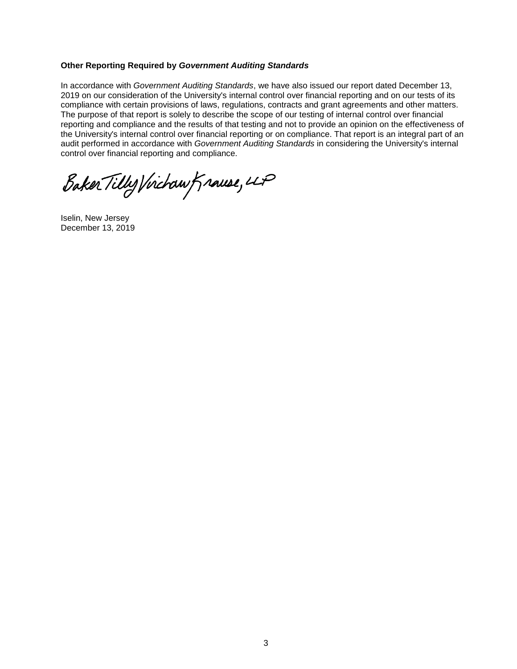#### **Other Reporting Required by** *Government Auditing Standards*

In accordance with *Government Auditing Standards*, we have also issued our report dated December 13, 2019 on our consideration of the University's internal control over financial reporting and on our tests of its compliance with certain provisions of laws, regulations, contracts and grant agreements and other matters. The purpose of that report is solely to describe the scope of our testing of internal control over financial reporting and compliance and the results of that testing and not to provide an opinion on the effectiveness of the University's internal control over financial reporting or on compliance. That report is an integral part of an audit performed in accordance with *Government Auditing Standards* in considering the University's internal control over financial reporting and compliance.

Baker Tilly Virchaw Krause, LLP

Iselin, New Jersey December 13, 2019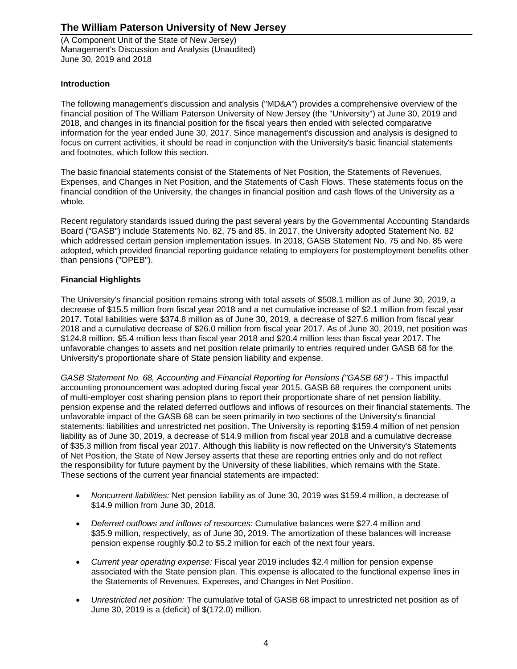(A Component Unit of the State of New Jersey) Management's Discussion and Analysis (Unaudited) June 30, 2019 and 2018

### **Introduction**

The following management's discussion and analysis ("MD&A") provides a comprehensive overview of the financial position of The William Paterson University of New Jersey (the "University") at June 30, 2019 and 2018, and changes in its financial position for the fiscal years then ended with selected comparative information for the year ended June 30, 2017. Since management's discussion and analysis is designed to focus on current activities, it should be read in conjunction with the University's basic financial statements and footnotes, which follow this section.

The basic financial statements consist of the Statements of Net Position, the Statements of Revenues, Expenses, and Changes in Net Position, and the Statements of Cash Flows. These statements focus on the financial condition of the University, the changes in financial position and cash flows of the University as a whole.

Recent regulatory standards issued during the past several years by the Governmental Accounting Standards Board ("GASB") include Statements No. 82, 75 and 85. In 2017, the University adopted Statement No. 82 which addressed certain pension implementation issues. In 2018, GASB Statement No. 75 and No. 85 were adopted, which provided financial reporting guidance relating to employers for postemployment benefits other than pensions ("OPEB").

### **Financial Highlights**

The University's financial position remains strong with total assets of \$508.1 million as of June 30, 2019, a decrease of \$15.5 million from fiscal year 2018 and a net cumulative increase of \$2.1 million from fiscal year 2017. Total liabilities were \$374.8 million as of June 30, 2019, a decrease of \$27.6 million from fiscal year 2018 and a cumulative decrease of \$26.0 million from fiscal year 2017. As of June 30, 2019, net position was \$124.8 million, \$5.4 million less than fiscal year 2018 and \$20.4 million less than fiscal year 2017. The unfavorable changes to assets and net position relate primarily to entries required under GASB 68 for the University's proportionate share of State pension liability and expense.

*GASB Statement No. 68, Accounting and Financial Reporting for Pensions ("GASB 68")* - This impactful accounting pronouncement was adopted during fiscal year 2015. GASB 68 requires the component units of multi-employer cost sharing pension plans to report their proportionate share of net pension liability, pension expense and the related deferred outflows and inflows of resources on their financial statements. The unfavorable impact of the GASB 68 can be seen primarily in two sections of the University's financial statements: liabilities and unrestricted net position. The University is reporting \$159.4 million of net pension liability as of June 30, 2019, a decrease of \$14.9 million from fiscal year 2018 and a cumulative decrease of \$35.3 million from fiscal year 2017. Although this liability is now reflected on the University's Statements of Net Position, the State of New Jersey asserts that these are reporting entries only and do not reflect the responsibility for future payment by the University of these liabilities, which remains with the State. These sections of the current year financial statements are impacted:

- *Noncurrent liabilities:* Net pension liability as of June 30, 2019 was \$159.4 million, a decrease of \$14.9 million from June 30, 2018.
- *Deferred outflows and inflows of resources:* Cumulative balances were \$27.4 million and \$35.9 million, respectively, as of June 30, 2019. The amortization of these balances will increase pension expense roughly \$0.2 to \$5.2 million for each of the next four years.
- *Current year operating expense:* Fiscal year 2019 includes \$2.4 million for pension expense associated with the State pension plan. This expense is allocated to the functional expense lines in the Statements of Revenues, Expenses, and Changes in Net Position.
- *Unrestricted net position:* The cumulative total of GASB 68 impact to unrestricted net position as of June 30, 2019 is a (deficit) of \$(172.0) million*.*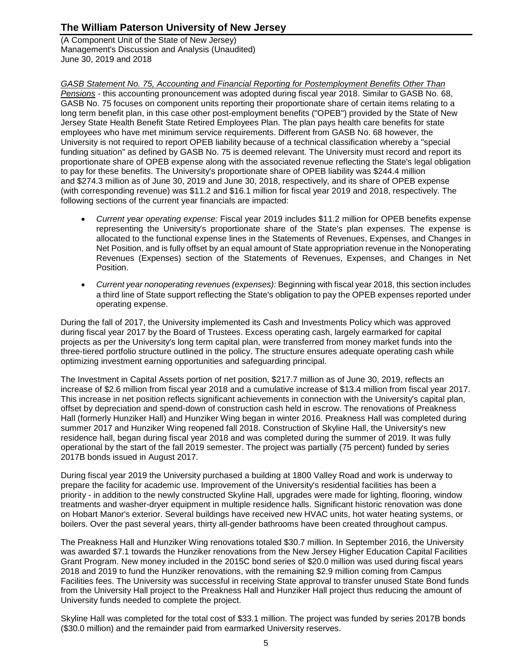(A Component Unit of the State of New Jersey) Management's Discussion and Analysis (Unaudited) June 30, 2019 and 2018

*GASB Statement No. 75, Accounting and Financial Reporting for Postemployment Benefits Other Than Pensions* - this accounting pronouncement was adopted during fiscal year 2018. Similar to GASB No. 68, GASB No. 75 focuses on component units reporting their proportionate share of certain items relating to a long term benefit plan, in this case other post-employment benefits ("OPEB") provided by the State of New Jersey State Health Benefit State Retired Employees Plan. The plan pays health care benefits for state employees who have met minimum service requirements. Different from GASB No. 68 however, the University is not required to report OPEB liability because of a technical classification whereby a "special funding situation" as defined by GASB No. 75 is deemed relevant. The University must record and report its proportionate share of OPEB expense along with the associated revenue reflecting the State's legal obligation to pay for these benefits. The University's proportionate share of OPEB liability was \$244.4 million and \$274.3 million as of June 30, 2019 and June 30, 2018, respectively, and its share of OPEB expense (with corresponding revenue) was \$11.2 and \$16.1 million for fiscal year 2019 and 2018, respectively. The following sections of the current year financials are impacted:

- *Current year operating expense:* Fiscal year 2019 includes \$11.2 million for OPEB benefits expense representing the University's proportionate share of the State's plan expenses. The expense is allocated to the functional expense lines in the Statements of Revenues, Expenses, and Changes in Net Position, and is fully offset by an equal amount of State appropriation revenue in the Nonoperating Revenues (Expenses) section of the Statements of Revenues, Expenses, and Changes in Net Position.
- *Current year nonoperating revenues (expenses):* Beginning with fiscal year 2018, this section includes a third line of State support reflecting the State's obligation to pay the OPEB expenses reported under operating expense.

During the fall of 2017, the University implemented its Cash and Investments Policy which was approved during fiscal year 2017 by the Board of Trustees. Excess operating cash, largely earmarked for capital projects as per the University's long term capital plan, were transferred from money market funds into the three-tiered portfolio structure outlined in the policy. The structure ensures adequate operating cash while optimizing investment earning opportunities and safeguarding principal.

The Investment in Capital Assets portion of net position, \$217.7 million as of June 30, 2019, reflects an increase of \$2.6 million from fiscal year 2018 and a cumulative increase of \$13.4 million from fiscal year 2017. This increase in net position reflects significant achievements in connection with the University's capital plan, offset by depreciation and spend-down of construction cash held in escrow. The renovations of Preakness Hall (formerly Hunziker Hall) and Hunziker Wing began in winter 2016. Preakness Hall was completed during summer 2017 and Hunziker Wing reopened fall 2018. Construction of Skyline Hall, the University's new residence hall, began during fiscal year 2018 and was completed during the summer of 2019. It was fully operational by the start of the fall 2019 semester. The project was partially (75 percent) funded by series 2017B bonds issued in August 2017.

During fiscal year 2019 the University purchased a building at 1800 Valley Road and work is underway to prepare the facility for academic use. Improvement of the University's residential facilities has been a priority - in addition to the newly constructed Skyline Hall, upgrades were made for lighting, flooring, window treatments and washer-dryer equipment in multiple residence halls. Significant historic renovation was done on Hobart Manor's exterior. Several buildings have received new HVAC units, hot water heating systems, or boilers. Over the past several years, thirty all-gender bathrooms have been created throughout campus.

The Preakness Hall and Hunziker Wing renovations totaled \$30.7 million. In September 2016, the University was awarded \$7.1 towards the Hunziker renovations from the New Jersey Higher Education Capital Facilities Grant Program. New money included in the 2015C bond series of \$20.0 million was used during fiscal years 2018 and 2019 to fund the Hunziker renovations, with the remaining \$2.9 million coming from Campus Facilities fees. The University was successful in receiving State approval to transfer unused State Bond funds from the University Hall project to the Preakness Hall and Hunziker Hall project thus reducing the amount of University funds needed to complete the project.

Skyline Hall was completed for the total cost of \$33.1 million. The project was funded by series 2017B bonds (\$30.0 million) and the remainder paid from earmarked University reserves.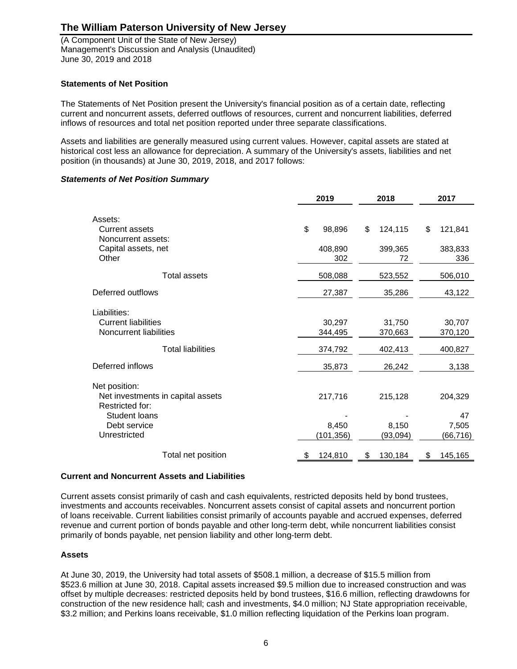(A Component Unit of the State of New Jersey) Management's Discussion and Analysis (Unaudited) June 30, 2019 and 2018

### **Statements of Net Position**

The Statements of Net Position present the University's financial position as of a certain date, reflecting current and noncurrent assets, deferred outflows of resources, current and noncurrent liabilities, deferred inflows of resources and total net position reported under three separate classifications.

Assets and liabilities are generally measured using current values. However, capital assets are stated at historical cost less an allowance for depreciation. A summary of the University's assets, liabilities and net position (in thousands) at June 30, 2019, 2018, and 2017 follows:

### *Statements of Net Position Summary*

|                                                                       | 2019                | 2018              | 2017                    |
|-----------------------------------------------------------------------|---------------------|-------------------|-------------------------|
| Assets:<br><b>Current assets</b>                                      | \$<br>98,896        | \$<br>124,115     | \$<br>121,841           |
| Noncurrent assets:<br>Capital assets, net<br>Other                    | 408,890<br>302      | 399,365<br>72     | 383,833<br>336          |
| Total assets                                                          | 508,088             | 523,552           | 506,010                 |
| Deferred outflows                                                     | 27,387              | 35,286            | 43,122                  |
| Liabilities:<br><b>Current liabilities</b><br>Noncurrent liabilities  | 30,297<br>344,495   | 31,750<br>370,663 | 30,707<br>370,120       |
| <b>Total liabilities</b>                                              | 374,792             | 402,413           | 400,827                 |
| Deferred inflows                                                      | 35,873              | 26,242            | 3,138                   |
| Net position:<br>Net investments in capital assets<br>Restricted for: | 217,716             | 215,128           | 204,329                 |
| <b>Student loans</b><br>Debt service<br>Unrestricted                  | 8,450<br>(101, 356) | 8,150<br>(93,094) | 47<br>7,505<br>(66,716) |
| Total net position                                                    | \$<br>124,810       | 130,184<br>\$     | 145,165<br>\$           |

### **Current and Noncurrent Assets and Liabilities**

Current assets consist primarily of cash and cash equivalents, restricted deposits held by bond trustees, investments and accounts receivables. Noncurrent assets consist of capital assets and noncurrent portion of loans receivable. Current liabilities consist primarily of accounts payable and accrued expenses, deferred revenue and current portion of bonds payable and other long-term debt, while noncurrent liabilities consist primarily of bonds payable, net pension liability and other long-term debt.

### **Assets**

At June 30, 2019, the University had total assets of \$508.1 million, a decrease of \$15.5 million from \$523.6 million at June 30, 2018. Capital assets increased \$9.5 million due to increased construction and was offset by multiple decreases: restricted deposits held by bond trustees, \$16.6 million, reflecting drawdowns for construction of the new residence hall; cash and investments, \$4.0 million; NJ State appropriation receivable, \$3.2 million; and Perkins loans receivable, \$1.0 million reflecting liquidation of the Perkins loan program.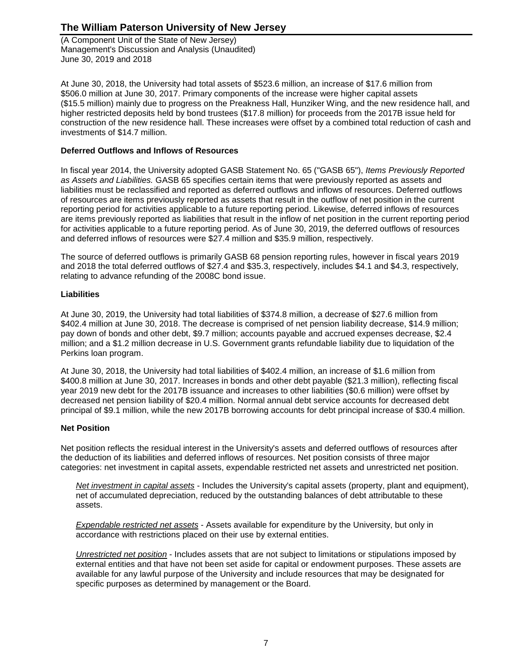(A Component Unit of the State of New Jersey) Management's Discussion and Analysis (Unaudited) June 30, 2019 and 2018

At June 30, 2018, the University had total assets of \$523.6 million, an increase of \$17.6 million from \$506.0 million at June 30, 2017. Primary components of the increase were higher capital assets (\$15.5 million) mainly due to progress on the Preakness Hall, Hunziker Wing, and the new residence hall, and higher restricted deposits held by bond trustees (\$17.8 million) for proceeds from the 2017B issue held for construction of the new residence hall. These increases were offset by a combined total reduction of cash and investments of \$14.7 million.

### **Deferred Outflows and Inflows of Resources**

In fiscal year 2014, the University adopted GASB Statement No. 65 ("GASB 65"), *Items Previously Reported as Assets and Liabilities.* GASB 65 specifies certain items that were previously reported as assets and liabilities must be reclassified and reported as deferred outflows and inflows of resources. Deferred outflows of resources are items previously reported as assets that result in the outflow of net position in the current reporting period for activities applicable to a future reporting period. Likewise, deferred inflows of resources are items previously reported as liabilities that result in the inflow of net position in the current reporting period for activities applicable to a future reporting period. As of June 30, 2019, the deferred outflows of resources and deferred inflows of resources were \$27.4 million and \$35.9 million, respectively.

The source of deferred outflows is primarily GASB 68 pension reporting rules, however in fiscal years 2019 and 2018 the total deferred outflows of \$27.4 and \$35.3, respectively, includes \$4.1 and \$4.3, respectively, relating to advance refunding of the 2008C bond issue.

### **Liabilities**

At June 30, 2019, the University had total liabilities of \$374.8 million, a decrease of \$27.6 million from \$402.4 million at June 30, 2018. The decrease is comprised of net pension liability decrease, \$14.9 million; pay down of bonds and other debt, \$9.7 million; accounts payable and accrued expenses decrease, \$2.4 million; and a \$1.2 million decrease in U.S. Government grants refundable liability due to liquidation of the Perkins loan program.

At June 30, 2018, the University had total liabilities of \$402.4 million, an increase of \$1.6 million from \$400.8 million at June 30, 2017. Increases in bonds and other debt payable (\$21.3 million), reflecting fiscal year 2019 new debt for the 2017B issuance and increases to other liabilities (\$0.6 million) were offset by decreased net pension liability of \$20.4 million. Normal annual debt service accounts for decreased debt principal of \$9.1 million, while the new 2017B borrowing accounts for debt principal increase of \$30.4 million.

### **Net Position**

Net position reflects the residual interest in the University's assets and deferred outflows of resources after the deduction of its liabilities and deferred inflows of resources. Net position consists of three major categories: net investment in capital assets, expendable restricted net assets and unrestricted net position.

*Net investment in capital assets* - Includes the University's capital assets (property, plant and equipment), net of accumulated depreciation, reduced by the outstanding balances of debt attributable to these assets.

*Expendable restricted net assets* - Assets available for expenditure by the University, but only in accordance with restrictions placed on their use by external entities.

*Unrestricted net position* - Includes assets that are not subject to limitations or stipulations imposed by external entities and that have not been set aside for capital or endowment purposes. These assets are available for any lawful purpose of the University and include resources that may be designated for specific purposes as determined by management or the Board.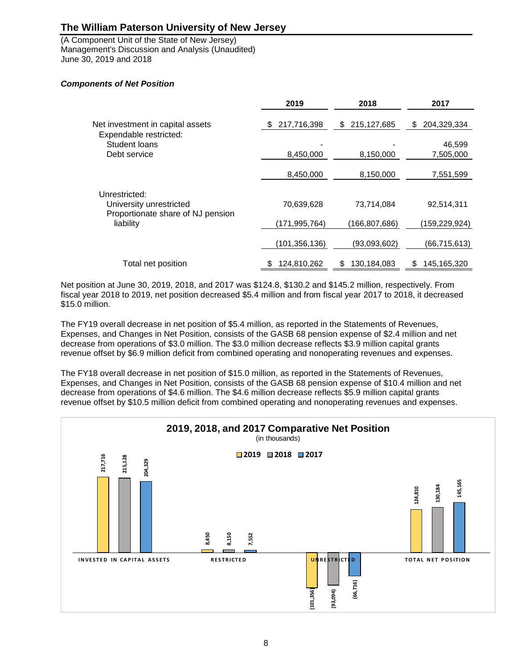(A Component Unit of the State of New Jersey) Management's Discussion and Analysis (Unaudited) June 30, 2019 and 2018

### *Components of Net Position*

|                                                              | 2019              | 2018              | 2017                |
|--------------------------------------------------------------|-------------------|-------------------|---------------------|
| Net investment in capital assets<br>Expendable restricted:   | 217,716,398<br>S. | 215,127,685<br>S. | 204,329,334<br>\$   |
| Student Ioans<br>Debt service                                | 8,450,000         | 8,150,000         | 46,599<br>7,505,000 |
|                                                              | 8,450,000         | 8,150,000         | 7,551,599           |
| Unrestricted:                                                |                   |                   |                     |
| University unrestricted<br>Proportionate share of NJ pension | 70,639,628        | 73,714,084        | 92,514,311          |
| liability                                                    | (171,995,764)     | (166,807,686)     | (159,229,924)       |
|                                                              | (101, 356, 136)   | (93,093,602)      | (66, 715, 613)      |
| Total net position                                           | 124,810,262       | 130,184,083<br>S  | 145,165,320         |

Net position at June 30, 2019, 2018, and 2017 was \$124.8, \$130.2 and \$145.2 million, respectively. From fiscal year 2018 to 2019, net position decreased \$5.4 million and from fiscal year 2017 to 2018, it decreased \$15.0 million.

The FY19 overall decrease in net position of \$5.4 million, as reported in the Statements of Revenues, Expenses, and Changes in Net Position, consists of the GASB 68 pension expense of \$2.4 million and net decrease from operations of \$3.0 million. The \$3.0 million decrease reflects \$3.9 million capital grants revenue offset by \$6.9 million deficit from combined operating and nonoperating revenues and expenses.

The FY18 overall decrease in net position of \$15.0 million, as reported in the Statements of Revenues, Expenses, and Changes in Net Position, consists of the GASB 68 pension expense of \$10.4 million and net decrease from operations of \$4.6 million. The \$4.6 million decrease reflects \$5.9 million capital grants revenue offset by \$10.5 million deficit from combined operating and nonoperating revenues and expenses.

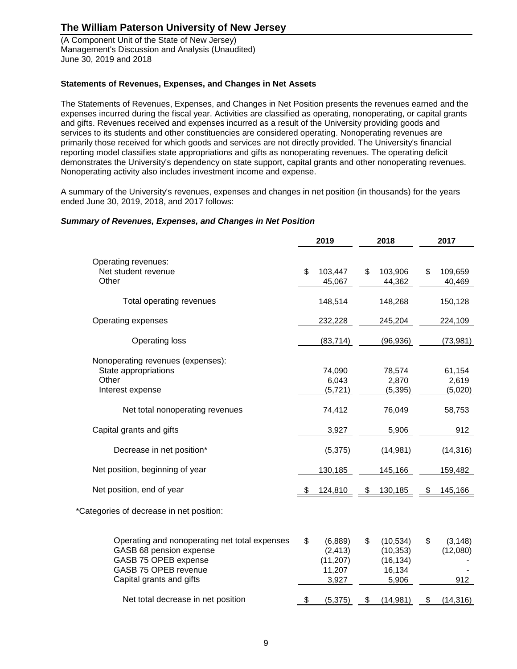(A Component Unit of the State of New Jersey) Management's Discussion and Analysis (Unaudited) June 30, 2019 and 2018

### **Statements of Revenues, Expenses, and Changes in Net Assets**

The Statements of Revenues, Expenses, and Changes in Net Position presents the revenues earned and the expenses incurred during the fiscal year. Activities are classified as operating, nonoperating, or capital grants and gifts. Revenues received and expenses incurred as a result of the University providing goods and services to its students and other constituencies are considered operating. Nonoperating revenues are primarily those received for which goods and services are not directly provided. The University's financial reporting model classifies state appropriations and gifts as nonoperating revenues. The operating deficit demonstrates the University's dependency on state support, capital grants and other nonoperating revenues. Nonoperating activity also includes investment income and expense.

A summary of the University's revenues, expenses and changes in net position (in thousands) for the years ended June 30, 2019, 2018, and 2017 follows:

#### *Summary of Revenues, Expenses, and Changes in Net Position*

|                                                                                                                          | 2019 |                                            | 2018 |                                               |    | 2017                       |
|--------------------------------------------------------------------------------------------------------------------------|------|--------------------------------------------|------|-----------------------------------------------|----|----------------------------|
| Operating revenues:<br>Net student revenue<br>Other                                                                      | \$   | 103,447<br>45,067                          | \$   | 103,906<br>44,362                             | \$ | 109,659<br>40,469          |
| Total operating revenues                                                                                                 |      | 148,514                                    |      | 148,268                                       |    | 150,128                    |
| Operating expenses                                                                                                       |      | 232,228                                    |      | 245,204                                       |    | 224,109                    |
| <b>Operating loss</b>                                                                                                    |      | (83, 714)                                  |      | (96, 936)                                     |    | (73, 981)                  |
| Nonoperating revenues (expenses):<br>State appropriations<br>Other<br>Interest expense                                   |      | 74,090<br>6,043<br>(5, 721)                |      | 78,574<br>2,870<br>(5, 395)                   |    | 61,154<br>2,619<br>(5,020) |
| Net total nonoperating revenues                                                                                          |      | 74,412                                     |      | 76,049                                        |    | 58,753                     |
| Capital grants and gifts                                                                                                 |      | 3,927                                      |      | 5,906                                         |    | 912                        |
| Decrease in net position*                                                                                                |      | (5,375)                                    |      | (14, 981)                                     |    | (14, 316)                  |
| Net position, beginning of year                                                                                          |      | 130,185                                    |      | 145,166                                       |    | 159,482                    |
| Net position, end of year                                                                                                | S    | 124,810                                    | \$   | 130,185                                       | \$ | 145,166                    |
| *Categories of decrease in net position:                                                                                 |      |                                            |      |                                               |    |                            |
| Operating and nonoperating net total expenses<br>GASB 68 pension expense<br>GASB 75 OPEB expense<br>GASR 75 OPER revenue | \$   | (6,889)<br>(2, 413)<br>(11, 207)<br>11 207 | \$   | (10, 534)<br>(10, 353)<br>(16, 134)<br>16.134 | \$ | (3, 148)<br>(12,080)       |

| Net total decrease in net position | (5.375) | (14.981) | (14,316) |
|------------------------------------|---------|----------|----------|
| Capital grants and gifts           | 3.927   | 5.906    | 912      |
| GASB 75 OPEB revenue               | 11.207  | 16.134   |          |
|                                    |         |          |          |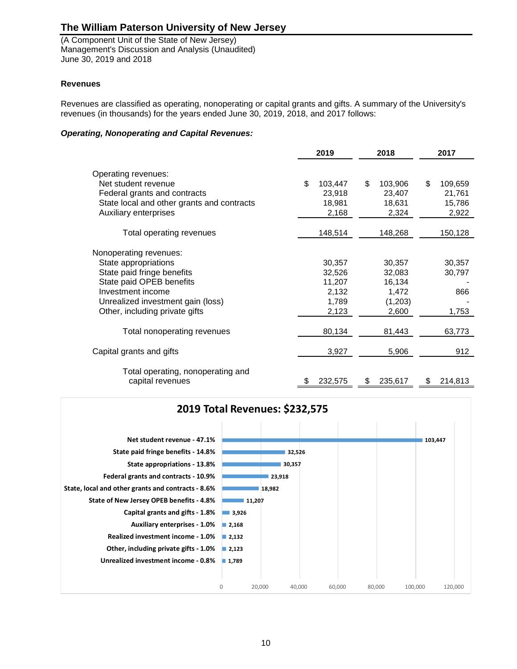(A Component Unit of the State of New Jersey) Management's Discussion and Analysis (Unaudited) June 30, 2019 and 2018

### **Revenues**

Revenues are classified as operating, nonoperating or capital grants and gifts. A summary of the University's revenues (in thousands) for the years ended June 30, 2019, 2018, and 2017 follows:

### *Operating, Nonoperating and Capital Revenues:*

|                                                       | 2019          | 2018          | 2017          |
|-------------------------------------------------------|---------------|---------------|---------------|
| Operating revenues:<br>Net student revenue            | \$<br>103,447 | \$<br>103,906 | \$<br>109,659 |
| Federal grants and contracts                          | 23,918        | 23,407        | 21,761        |
| State local and other grants and contracts            | 18,981        | 18,631        | 15,786        |
| Auxiliary enterprises                                 | 2,168         | 2,324         | 2,922         |
| Total operating revenues                              | 148,514       | 148,268       | 150,128       |
| Nonoperating revenues:                                |               |               |               |
| State appropriations                                  | 30,357        | 30,357        | 30,357        |
| State paid fringe benefits                            | 32,526        | 32,083        | 30,797        |
| State paid OPEB benefits                              | 11,207        | 16,134        |               |
| Investment income                                     | 2,132         | 1,472         | 866           |
| Unrealized investment gain (loss)                     | 1,789         | (1,203)       |               |
| Other, including private gifts                        | 2,123         | 2,600         | 1,753         |
|                                                       |               |               |               |
| Total nonoperating revenues                           | 80,134        | 81,443        | 63,773        |
| Capital grants and gifts                              | 3,927         | 5,906         | 912           |
| Total operating, nonoperating and<br>capital revenues | \$<br>232,575 | \$<br>235,617 | \$<br>214,813 |

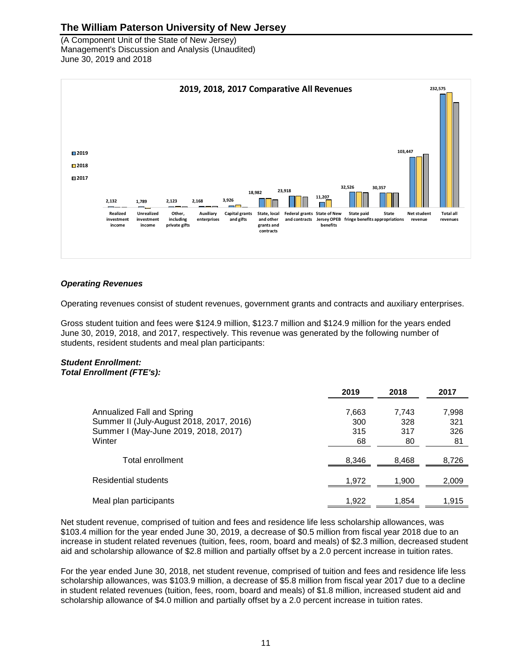(A Component Unit of the State of New Jersey) Management's Discussion and Analysis (Unaudited) June 30, 2019 and 2018



### *Operating Revenues*

Operating revenues consist of student revenues, government grants and contracts and auxiliary enterprises.

Gross student tuition and fees were \$124.9 million, \$123.7 million and \$124.9 million for the years ended June 30, 2019, 2018, and 2017, respectively. This revenue was generated by the following number of students, resident students and meal plan participants:

#### *Student Enrollment: Total Enrollment (FTE's):*

|                                                                                                                          | 2019                      | 2018                      | 2017                      |
|--------------------------------------------------------------------------------------------------------------------------|---------------------------|---------------------------|---------------------------|
| Annualized Fall and Spring<br>Summer II (July-August 2018, 2017, 2016)<br>Summer I (May-June 2019, 2018, 2017)<br>Winter | 7,663<br>300<br>315<br>68 | 7,743<br>328<br>317<br>80 | 7,998<br>321<br>326<br>81 |
| Total enrollment                                                                                                         | 8,346                     | 8,468                     | 8,726                     |
| <b>Residential students</b>                                                                                              | 1.972                     | 1,900                     | 2,009                     |
| Meal plan participants                                                                                                   | 1,922                     | 1,854                     | 1,915                     |

Net student revenue, comprised of tuition and fees and residence life less scholarship allowances, was \$103.4 million for the year ended June 30, 2019, a decrease of \$0.5 million from fiscal year 2018 due to an increase in student related revenues (tuition, fees, room, board and meals) of \$2.3 million, decreased student aid and scholarship allowance of \$2.8 million and partially offset by a 2.0 percent increase in tuition rates.

For the year ended June 30, 2018, net student revenue, comprised of tuition and fees and residence life less scholarship allowances, was \$103.9 million, a decrease of \$5.8 million from fiscal year 2017 due to a decline in student related revenues (tuition, fees, room, board and meals) of \$1.8 million, increased student aid and scholarship allowance of \$4.0 million and partially offset by a 2.0 percent increase in tuition rates.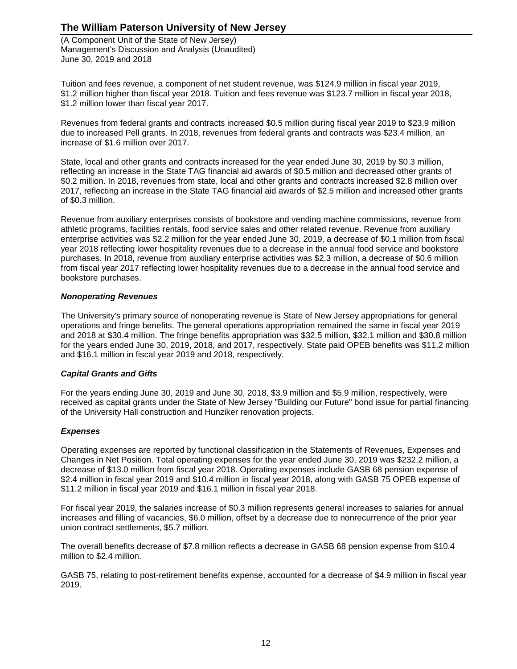(A Component Unit of the State of New Jersey) Management's Discussion and Analysis (Unaudited) June 30, 2019 and 2018

Tuition and fees revenue, a component of net student revenue, was \$124.9 million in fiscal year 2019, \$1.2 million higher than fiscal year 2018. Tuition and fees revenue was \$123.7 million in fiscal year 2018, \$1.2 million lower than fiscal year 2017.

Revenues from federal grants and contracts increased \$0.5 million during fiscal year 2019 to \$23.9 million due to increased Pell grants. In 2018, revenues from federal grants and contracts was \$23.4 million, an increase of \$1.6 million over 2017.

State, local and other grants and contracts increased for the year ended June 30, 2019 by \$0.3 million, reflecting an increase in the State TAG financial aid awards of \$0.5 million and decreased other grants of \$0.2 million. In 2018, revenues from state, local and other grants and contracts increased \$2.8 million over 2017, reflecting an increase in the State TAG financial aid awards of \$2.5 million and increased other grants of \$0.3 million.

Revenue from auxiliary enterprises consists of bookstore and vending machine commissions, revenue from athletic programs, facilities rentals, food service sales and other related revenue. Revenue from auxiliary enterprise activities was \$2.2 million for the year ended June 30, 2019, a decrease of \$0.1 million from fiscal year 2018 reflecting lower hospitality revenues due to a decrease in the annual food service and bookstore purchases. In 2018, revenue from auxiliary enterprise activities was \$2.3 million, a decrease of \$0.6 million from fiscal year 2017 reflecting lower hospitality revenues due to a decrease in the annual food service and bookstore purchases.

### *Nonoperating Revenues*

The University's primary source of nonoperating revenue is State of New Jersey appropriations for general operations and fringe benefits. The general operations appropriation remained the same in fiscal year 2019 and 2018 at \$30.4 million. The fringe benefits appropriation was \$32.5 million, \$32.1 million and \$30.8 million for the years ended June 30, 2019, 2018, and 2017, respectively. State paid OPEB benefits was \$11.2 million and \$16.1 million in fiscal year 2019 and 2018, respectively.

### *Capital Grants and Gifts*

For the years ending June 30, 2019 and June 30, 2018, \$3.9 million and \$5.9 million, respectively, were received as capital grants under the State of New Jersey "Building our Future" bond issue for partial financing of the University Hall construction and Hunziker renovation projects.

### *Expenses*

Operating expenses are reported by functional classification in the Statements of Revenues, Expenses and Changes in Net Position. Total operating expenses for the year ended June 30, 2019 was \$232.2 million, a decrease of \$13.0 million from fiscal year 2018. Operating expenses include GASB 68 pension expense of \$2.4 million in fiscal year 2019 and \$10.4 million in fiscal year 2018, along with GASB 75 OPEB expense of \$11.2 million in fiscal year 2019 and \$16.1 million in fiscal year 2018.

For fiscal year 2019, the salaries increase of \$0.3 million represents general increases to salaries for annual increases and filling of vacancies, \$6.0 million, offset by a decrease due to nonrecurrence of the prior year union contract settlements, \$5.7 million.

The overall benefits decrease of \$7.8 million reflects a decrease in GASB 68 pension expense from \$10.4 million to \$2.4 million.

GASB 75, relating to post-retirement benefits expense, accounted for a decrease of \$4.9 million in fiscal year 2019.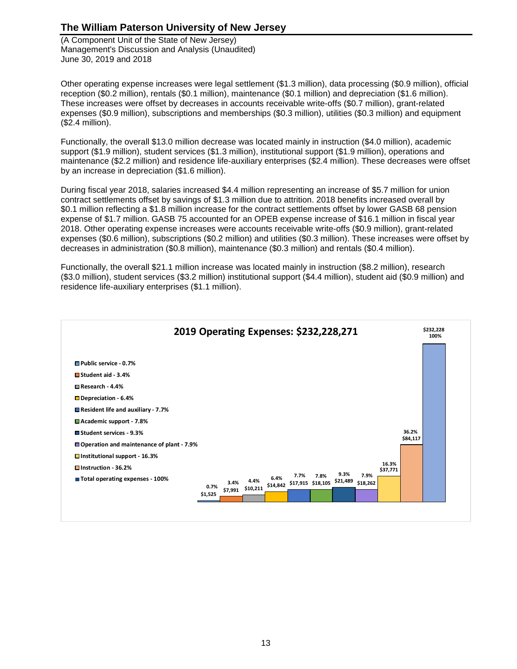(A Component Unit of the State of New Jersey) Management's Discussion and Analysis (Unaudited) June 30, 2019 and 2018

Other operating expense increases were legal settlement (\$1.3 million), data processing (\$0.9 million), official reception (\$0.2 million), rentals (\$0.1 million), maintenance (\$0.1 million) and depreciation (\$1.6 million). These increases were offset by decreases in accounts receivable write-offs (\$0.7 million), grant-related expenses (\$0.9 million), subscriptions and memberships (\$0.3 million), utilities (\$0.3 million) and equipment (\$2.4 million).

Functionally, the overall \$13.0 million decrease was located mainly in instruction (\$4.0 million), academic support (\$1.9 million), student services (\$1.3 million), institutional support (\$1.9 million), operations and maintenance (\$2.2 million) and residence life-auxiliary enterprises (\$2.4 million). These decreases were offset by an increase in depreciation (\$1.6 million).

During fiscal year 2018, salaries increased \$4.4 million representing an increase of \$5.7 million for union contract settlements offset by savings of \$1.3 million due to attrition. 2018 benefits increased overall by \$0.1 million reflecting a \$1.8 million increase for the contract settlements offset by lower GASB 68 pension expense of \$1.7 million. GASB 75 accounted for an OPEB expense increase of \$16.1 million in fiscal year 2018. Other operating expense increases were accounts receivable write-offs (\$0.9 million), grant-related expenses (\$0.6 million), subscriptions (\$0.2 million) and utilities (\$0.3 million). These increases were offset by decreases in administration (\$0.8 million), maintenance (\$0.3 million) and rentals (\$0.4 million).

Functionally, the overall \$21.1 million increase was located mainly in instruction (\$8.2 million), research (\$3.0 million), student services (\$3.2 million) institutional support (\$4.4 million), student aid (\$0.9 million) and residence life-auxiliary enterprises (\$1.1 million).

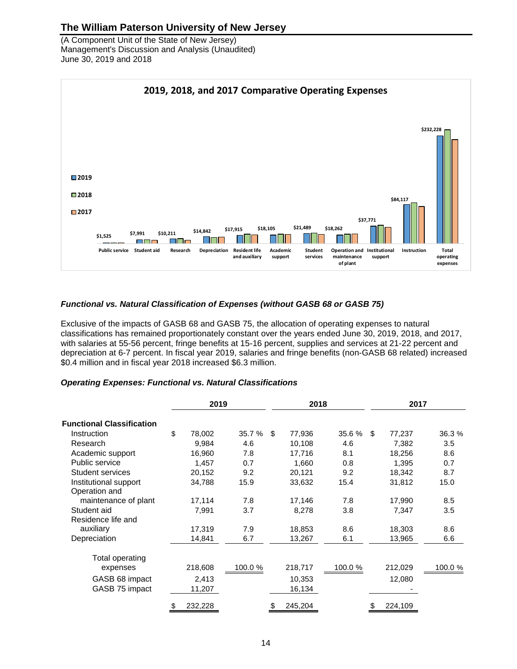(A Component Unit of the State of New Jersey) Management's Discussion and Analysis (Unaudited) June 30, 2019 and 2018



### *Functional vs. Natural Classification of Expenses (without GASB 68 or GASB 75)*

Exclusive of the impacts of GASB 68 and GASB 75, the allocation of operating expenses to natural classifications has remained proportionately constant over the years ended June 30, 2019, 2018, and 2017, with salaries at 55-56 percent, fringe benefits at 15-16 percent, supplies and services at 21-22 percent and depreciation at 6-7 percent. In fiscal year 2019, salaries and fringe benefits (non-GASB 68 related) increased \$0.4 million and in fiscal year 2018 increased \$6.3 million.

### *Operating Expenses: Functional vs. Natural Classifications*

|                                        |    | 2019    |         |    | 2018    |        |     | 2017    |         |
|----------------------------------------|----|---------|---------|----|---------|--------|-----|---------|---------|
| <b>Functional Classification</b>       |    |         |         |    |         |        |     |         |         |
| Instruction                            | \$ | 78,002  | 35.7 %  | \$ | 77,936  | 35.6 % | \$. | 77,237  | 36.3 %  |
| Research                               |    | 9.984   | 4.6     |    | 10,108  | 4.6    |     | 7,382   | 3.5     |
| Academic support                       |    | 16,960  | 7.8     |    | 17,716  | 8.1    |     | 18,256  | 8.6     |
| Public service                         |    | 1,457   | 0.7     |    | 1,660   | 0.8    |     | 1,395   | 0.7     |
| Student services                       |    | 20,152  | 9.2     |    | 20,121  | 9.2    |     | 18,342  | 8.7     |
| Institutional support<br>Operation and |    | 34,788  | 15.9    |    | 33,632  | 15.4   |     | 31,812  | 15.0    |
| maintenance of plant                   |    | 17,114  | 7.8     |    | 17,146  | 7.8    |     | 17,990  | 8.5     |
| Student aid<br>Residence life and      |    | 7,991   | 3.7     |    | 8,278   | 3.8    |     | 7,347   | 3.5     |
| auxiliary                              |    | 17,319  | 7.9     |    | 18,853  | 8.6    |     | 18,303  | 8.6     |
| Depreciation                           |    | 14,841  | 6.7     |    | 13,267  | 6.1    |     | 13,965  | 6.6     |
| Total operating                        |    |         |         |    |         |        |     |         |         |
| expenses                               |    | 218,608 | 100.0 % |    | 218,717 | 100.0% |     | 212,029 | 100.0 % |
| GASB 68 impact                         |    | 2,413   |         |    | 10,353  |        |     | 12,080  |         |
| GASB 75 impact                         |    | 11,207  |         |    | 16,134  |        |     |         |         |
|                                        | S  | 232,228 |         |    | 245,204 |        |     | 224,109 |         |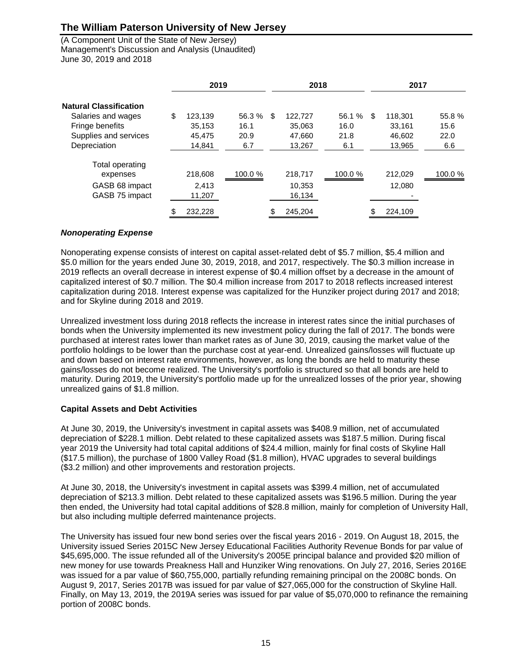(A Component Unit of the State of New Jersey) Management's Discussion and Analysis (Unaudited) June 30, 2019 and 2018

|                               | 2019          |        | 2018 |         |         | 2017 |         |         |
|-------------------------------|---------------|--------|------|---------|---------|------|---------|---------|
| <b>Natural Classification</b> |               |        |      |         |         |      |         |         |
| Salaries and wages            | \$<br>123.139 | 56.3 % | \$.  | 122,727 | 56.1 %  | \$.  | 118.301 | 55.8 %  |
| Fringe benefits               | 35,153        | 16.1   |      | 35,063  | 16.0    |      | 33,161  | 15.6    |
| Supplies and services         | 45.475        | 20.9   |      | 47,660  | 21.8    |      | 46.602  | 22.0    |
| Depreciation                  | 14,841        | 6.7    |      | 13.267  | 6.1     |      | 13.965  | 6.6     |
| Total operating               |               |        |      |         |         |      |         |         |
| expenses                      | 218,608       | 100.0% |      | 218,717 | 100.0 % |      | 212,029 | 100.0 % |
| GASB 68 impact                | 2.413         |        |      | 10,353  |         |      | 12.080  |         |
| GASB 75 impact                | 11,207        |        |      | 16,134  |         |      |         |         |
|                               | 232,228       |        |      | 245,204 |         |      | 224,109 |         |

### *Nonoperating Expense*

Nonoperating expense consists of interest on capital asset-related debt of \$5.7 million, \$5.4 million and \$5.0 million for the years ended June 30, 2019, 2018, and 2017, respectively. The \$0.3 million increase in 2019 reflects an overall decrease in interest expense of \$0.4 million offset by a decrease in the amount of capitalized interest of \$0.7 million. The \$0.4 million increase from 2017 to 2018 reflects increased interest capitalization during 2018. Interest expense was capitalized for the Hunziker project during 2017 and 2018; and for Skyline during 2018 and 2019.

Unrealized investment loss during 2018 reflects the increase in interest rates since the initial purchases of bonds when the University implemented its new investment policy during the fall of 2017. The bonds were purchased at interest rates lower than market rates as of June 30, 2019, causing the market value of the portfolio holdings to be lower than the purchase cost at year-end. Unrealized gains/losses will fluctuate up and down based on interest rate environments, however, as long the bonds are held to maturity these gains/losses do not become realized. The University's portfolio is structured so that all bonds are held to maturity. During 2019, the University's portfolio made up for the unrealized losses of the prior year, showing unrealized gains of \$1.8 million.

### **Capital Assets and Debt Activities**

At June 30, 2019, the University's investment in capital assets was \$408.9 million, net of accumulated depreciation of \$228.1 million. Debt related to these capitalized assets was \$187.5 million. During fiscal year 2019 the University had total capital additions of \$24.4 million, mainly for final costs of Skyline Hall (\$17.5 million), the purchase of 1800 Valley Road (\$1.8 million), HVAC upgrades to several buildings (\$3.2 million) and other improvements and restoration projects.

At June 30, 2018, the University's investment in capital assets was \$399.4 million, net of accumulated depreciation of \$213.3 million. Debt related to these capitalized assets was \$196.5 million. During the year then ended, the University had total capital additions of \$28.8 million, mainly for completion of University Hall, but also including multiple deferred maintenance projects.

The University has issued four new bond series over the fiscal years 2016 - 2019. On August 18, 2015, the University issued Series 2015C New Jersey Educational Facilities Authority Revenue Bonds for par value of \$45,695,000. The issue refunded all of the University's 2005E principal balance and provided \$20 million of new money for use towards Preakness Hall and Hunziker Wing renovations. On July 27, 2016, Series 2016E was issued for a par value of \$60,755,000, partially refunding remaining principal on the 2008C bonds. On August 9, 2017, Series 2017B was issued for par value of \$27,065,000 for the construction of Skyline Hall. Finally, on May 13, 2019, the 2019A series was issued for par value of \$5,070,000 to refinance the remaining portion of 2008C bonds.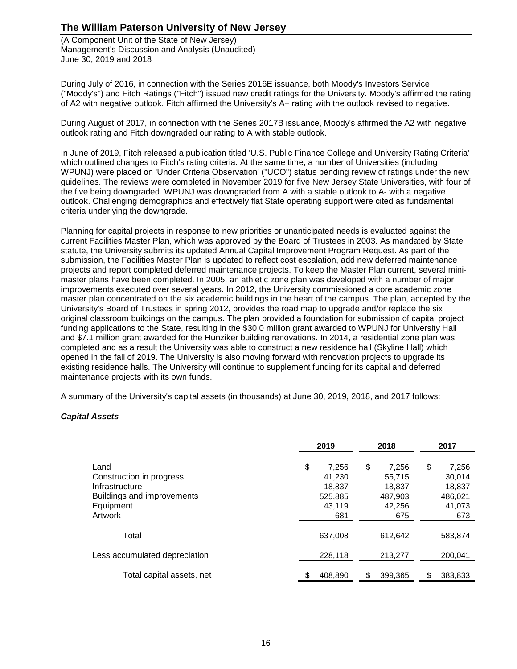(A Component Unit of the State of New Jersey) Management's Discussion and Analysis (Unaudited) June 30, 2019 and 2018

During July of 2016, in connection with the Series 2016E issuance, both Moody's Investors Service ("Moody's") and Fitch Ratings ("Fitch") issued new credit ratings for the University. Moody's affirmed the rating of A2 with negative outlook. Fitch affirmed the University's A+ rating with the outlook revised to negative.

During August of 2017, in connection with the Series 2017B issuance, Moody's affirmed the A2 with negative outlook rating and Fitch downgraded our rating to A with stable outlook.

In June of 2019, Fitch released a publication titled 'U.S. Public Finance College and University Rating Criteria' which outlined changes to Fitch's rating criteria. At the same time, a number of Universities (including WPUNJ) were placed on 'Under Criteria Observation' ("UCO") status pending review of ratings under the new guidelines. The reviews were completed in November 2019 for five New Jersey State Universities, with four of the five being downgraded. WPUNJ was downgraded from A with a stable outlook to A- with a negative outlook. Challenging demographics and effectively flat State operating support were cited as fundamental criteria underlying the downgrade.

Planning for capital projects in response to new priorities or unanticipated needs is evaluated against the current Facilities Master Plan, which was approved by the Board of Trustees in 2003. As mandated by State statute, the University submits its updated Annual Capital Improvement Program Request. As part of the submission, the Facilities Master Plan is updated to reflect cost escalation, add new deferred maintenance projects and report completed deferred maintenance projects. To keep the Master Plan current, several minimaster plans have been completed. In 2005, an athletic zone plan was developed with a number of major improvements executed over several years. In 2012, the University commissioned a core academic zone master plan concentrated on the six academic buildings in the heart of the campus. The plan, accepted by the University's Board of Trustees in spring 2012, provides the road map to upgrade and/or replace the six original classroom buildings on the campus. The plan provided a foundation for submission of capital project funding applications to the State, resulting in the \$30.0 million grant awarded to WPUNJ for University Hall and \$7.1 million grant awarded for the Hunziker building renovations. In 2014, a residential zone plan was completed and as a result the University was able to construct a new residence hall (Skyline Hall) which opened in the fall of 2019. The University is also moving forward with renovation projects to upgrade its existing residence halls. The University will continue to supplement funding for its capital and deferred maintenance projects with its own funds.

A summary of the University's capital assets (in thousands) at June 30, 2019, 2018, and 2017 follows:

#### *Capital Assets*

|                               | 2019        | 2018        | 2017        |
|-------------------------------|-------------|-------------|-------------|
| Land                          | \$<br>7.256 | \$<br>7,256 | \$<br>7,256 |
| Construction in progress      | 41.230      | 55,715      | 30,014      |
| Infrastructure                | 18,837      | 18,837      | 18,837      |
| Buildings and improvements    | 525,885     | 487,903     | 486,021     |
| Equipment                     | 43.119      | 42,256      | 41,073      |
| Artwork                       | 681         | 675         | 673         |
| Total                         | 637.008     | 612.642     | 583.874     |
| Less accumulated depreciation | 228.118     | 213.277     | 200.041     |
| Total capital assets, net     | 408,890     | 399,365     | 383,833     |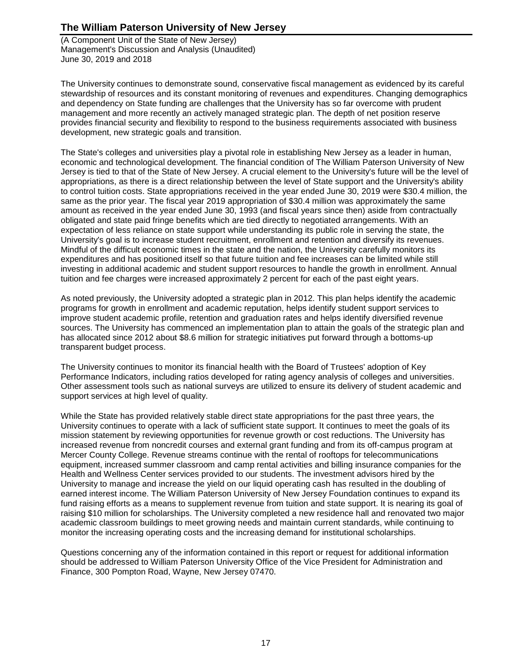(A Component Unit of the State of New Jersey) Management's Discussion and Analysis (Unaudited) June 30, 2019 and 2018

The University continues to demonstrate sound, conservative fiscal management as evidenced by its careful stewardship of resources and its constant monitoring of revenues and expenditures. Changing demographics and dependency on State funding are challenges that the University has so far overcome with prudent management and more recently an actively managed strategic plan. The depth of net position reserve provides financial security and flexibility to respond to the business requirements associated with business development, new strategic goals and transition.

The State's colleges and universities play a pivotal role in establishing New Jersey as a leader in human, economic and technological development. The financial condition of The William Paterson University of New Jersey is tied to that of the State of New Jersey. A crucial element to the University's future will be the level of appropriations, as there is a direct relationship between the level of State support and the University's ability to control tuition costs. State appropriations received in the year ended June 30, 2019 were \$30.4 million, the same as the prior year. The fiscal year 2019 appropriation of \$30.4 million was approximately the same amount as received in the year ended June 30, 1993 (and fiscal years since then) aside from contractually obligated and state paid fringe benefits which are tied directly to negotiated arrangements. With an expectation of less reliance on state support while understanding its public role in serving the state, the University's goal is to increase student recruitment, enrollment and retention and diversify its revenues. Mindful of the difficult economic times in the state and the nation, the University carefully monitors its expenditures and has positioned itself so that future tuition and fee increases can be limited while still investing in additional academic and student support resources to handle the growth in enrollment. Annual tuition and fee charges were increased approximately 2 percent for each of the past eight years.

As noted previously, the University adopted a strategic plan in 2012. This plan helps identify the academic programs for growth in enrollment and academic reputation, helps identify student support services to improve student academic profile, retention and graduation rates and helps identify diversified revenue sources. The University has commenced an implementation plan to attain the goals of the strategic plan and has allocated since 2012 about \$8.6 million for strategic initiatives put forward through a bottoms-up transparent budget process.

The University continues to monitor its financial health with the Board of Trustees' adoption of Key Performance Indicators, including ratios developed for rating agency analysis of colleges and universities. Other assessment tools such as national surveys are utilized to ensure its delivery of student academic and support services at high level of quality.

While the State has provided relatively stable direct state appropriations for the past three years, the University continues to operate with a lack of sufficient state support. It continues to meet the goals of its mission statement by reviewing opportunities for revenue growth or cost reductions. The University has increased revenue from noncredit courses and external grant funding and from its off-campus program at Mercer County College. Revenue streams continue with the rental of rooftops for telecommunications equipment, increased summer classroom and camp rental activities and billing insurance companies for the Health and Wellness Center services provided to our students. The investment advisors hired by the University to manage and increase the yield on our liquid operating cash has resulted in the doubling of earned interest income. The William Paterson University of New Jersey Foundation continues to expand its fund raising efforts as a means to supplement revenue from tuition and state support. It is nearing its goal of raising \$10 million for scholarships. The University completed a new residence hall and renovated two major academic classroom buildings to meet growing needs and maintain current standards, while continuing to monitor the increasing operating costs and the increasing demand for institutional scholarships.

Questions concerning any of the information contained in this report or request for additional information should be addressed to William Paterson University Office of the Vice President for Administration and Finance, 300 Pompton Road, Wayne, New Jersey 07470.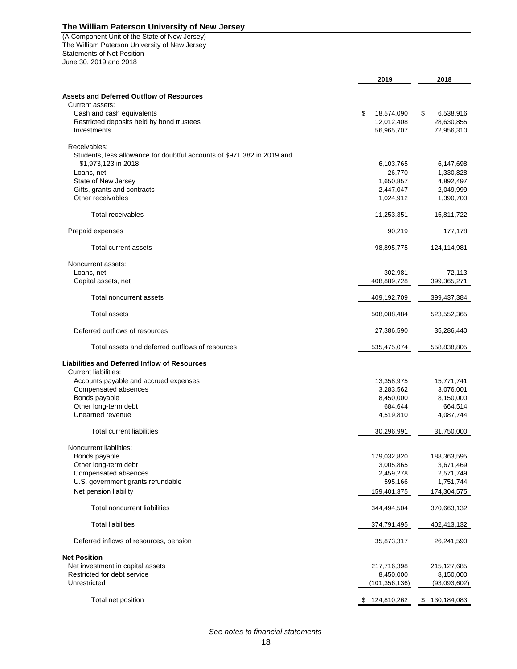The William Paterson University of New Jersey (A Component Unit of the State of New Jersey) Statements of Net Position June 30, 2019 and 2018

|                                                                         | 2019                         | 2018                      |
|-------------------------------------------------------------------------|------------------------------|---------------------------|
| <b>Assets and Deferred Outflow of Resources</b>                         |                              |                           |
| Current assets:                                                         |                              |                           |
| Cash and cash equivalents                                               | \$<br>18,574,090             | \$<br>6,538,916           |
| Restricted deposits held by bond trustees                               | 12,012,408                   | 28,630,855                |
| Investments                                                             | 56,965,707                   | 72,956,310                |
| Receivables:                                                            |                              |                           |
| Students, less allowance for doubtful accounts of \$971,382 in 2019 and |                              |                           |
| \$1,973,123 in 2018                                                     | 6,103,765                    | 6,147,698                 |
| Loans, net                                                              | 26,770                       | 1,330,828                 |
| State of New Jersey                                                     | 1,650,857                    | 4,892,497                 |
| Gifts, grants and contracts                                             | 2,447,047                    | 2,049,999                 |
| Other receivables                                                       | 1,024,912                    | 1,390,700                 |
| Total receivables                                                       | 11,253,351                   | 15,811,722                |
| Prepaid expenses                                                        | 90,219                       | 177,178                   |
| <b>Total current assets</b>                                             | 98,895,775                   | 124,114,981               |
| Noncurrent assets:                                                      |                              |                           |
| Loans, net                                                              | 302,981                      | 72,113                    |
| Capital assets, net                                                     | 408,889,728                  | 399,365,271               |
| <b>Total noncurrent assets</b>                                          | 409,192,709                  | 399,437,384               |
| <b>Total assets</b>                                                     | 508,088,484                  | 523,552,365               |
| Deferred outflows of resources                                          | 27,386,590                   | 35,286,440                |
| Total assets and deferred outflows of resources                         | 535,475,074                  | 558,838,805               |
| <b>Liabilities and Deferred Inflow of Resources</b>                     |                              |                           |
| <b>Current liabilities:</b>                                             |                              |                           |
| Accounts payable and accrued expenses                                   | 13,358,975<br>3,283,562      | 15,771,741<br>3,076,001   |
| Compensated absences<br>Bonds payable                                   | 8,450,000                    | 8,150,000                 |
| Other long-term debt                                                    | 684,644                      | 664,514                   |
| Unearned revenue                                                        | 4,519,810                    | 4,087,744                 |
| <b>Total current liabilities</b>                                        | 30,296,991                   | 31,750,000                |
| Noncurrent liabilities:                                                 |                              |                           |
| Bonds payable                                                           | 179,032,820                  | 188,363,595               |
| Other long-term debt                                                    | 3,005,865                    | 3,671,469                 |
| Compensated absences                                                    | 2,459,278                    | 2,571,749                 |
| U.S. government grants refundable                                       | 595,166                      | 1,751,744                 |
| Net pension liability                                                   | 159,401,375                  | 174,304,575               |
| <b>Total noncurrent liabilities</b>                                     | 344,494,504                  | 370,663,132               |
| <b>Total liabilities</b>                                                | 374,791,495                  | 402,413,132               |
| Deferred inflows of resources, pension                                  | 35,873,317                   | 26,241,590                |
|                                                                         |                              |                           |
| <b>Net Position</b>                                                     |                              |                           |
| Net investment in capital assets                                        | 217,716,398                  | 215,127,685               |
| Restricted for debt service<br>Unrestricted                             | 8,450,000<br>(101, 356, 136) | 8,150,000<br>(93,093,602) |
| Total net position                                                      | 124,810,262                  | \$<br>130,184,083         |
|                                                                         |                              |                           |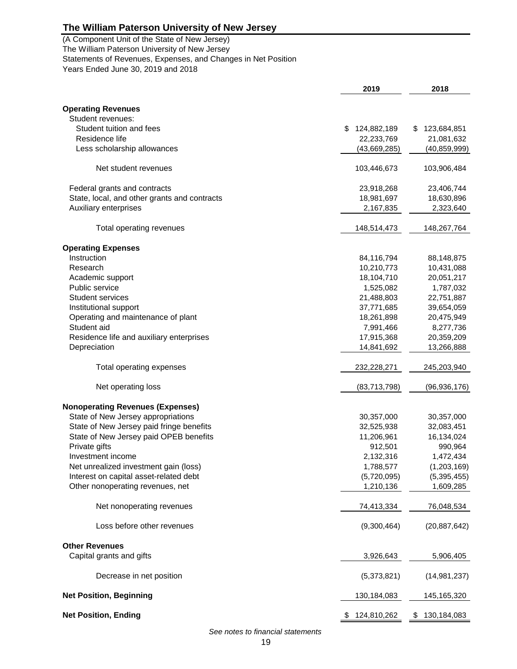(A Component Unit of the State of New Jersey) Statements of Revenues, Expenses, and Changes in Net Position Years Ended June 30, 2019 and 2018 The William Paterson University of New Jersey

|                                              | 2019              | 2018              |
|----------------------------------------------|-------------------|-------------------|
| <b>Operating Revenues</b>                    |                   |                   |
| Student revenues:                            |                   |                   |
| Student tuition and fees                     |                   |                   |
| Residence life                               | \$<br>124,882,189 | 123,684,851<br>\$ |
|                                              | 22,233,769        | 21,081,632        |
| Less scholarship allowances                  | (43,669,285)      | (40, 859, 999)    |
| Net student revenues                         | 103,446,673       | 103,906,484       |
| Federal grants and contracts                 | 23,918,268        | 23,406,744        |
| State, local, and other grants and contracts | 18,981,697        | 18,630,896        |
| <b>Auxiliary enterprises</b>                 | 2,167,835         | 2,323,640         |
| Total operating revenues                     | 148,514,473       | 148,267,764       |
| <b>Operating Expenses</b>                    |                   |                   |
| Instruction                                  | 84,116,794        | 88,148,875        |
| Research                                     | 10,210,773        | 10,431,088        |
| Academic support                             | 18,104,710        | 20,051,217        |
| Public service                               | 1,525,082         | 1,787,032         |
| <b>Student services</b>                      | 21,488,803        | 22,751,887        |
| Institutional support                        |                   |                   |
|                                              | 37,771,685        | 39,654,059        |
| Operating and maintenance of plant           | 18,261,898        | 20,475,949        |
| Student aid                                  | 7,991,466         | 8,277,736         |
| Residence life and auxiliary enterprises     | 17,915,368        | 20,359,209        |
| Depreciation                                 | 14,841,692        | 13,266,888        |
| Total operating expenses                     | 232,228,271       | 245,203,940       |
| Net operating loss                           | (83,713,798)      | (96, 936, 176)    |
| <b>Nonoperating Revenues (Expenses)</b>      |                   |                   |
| State of New Jersey appropriations           | 30,357,000        | 30,357,000        |
| State of New Jersey paid fringe benefits     | 32,525,938        | 32,083,451        |
| State of New Jersey paid OPEB benefits       | 11,206,961        | 16,134,024        |
| Private gifts                                | 912,501           | 990,964           |
| Investment income                            | 2,132,316         | 1,472,434         |
| Net unrealized investment gain (loss)        | 1,788,577         | (1,203,169)       |
| Interest on capital asset-related debt       | (5,720,095)       | (5,395,455)       |
| Other nonoperating revenues, net             | 1,210,136         | 1,609,285         |
|                                              |                   |                   |
| Net nonoperating revenues                    | 74,413,334        | 76,048,534        |
| Loss before other revenues                   | (9,300,464)       | (20, 887, 642)    |
| <b>Other Revenues</b>                        |                   |                   |
| Capital grants and gifts                     | 3,926,643         | 5,906,405         |
|                                              |                   |                   |
| Decrease in net position                     | (5,373,821)       | (14, 981, 237)    |
| <b>Net Position, Beginning</b>               | 130,184,083       | 145,165,320       |
| <b>Net Position, Ending</b>                  | 124,810,262<br>\$ | 130,184,083<br>\$ |

*See notes to financial statements*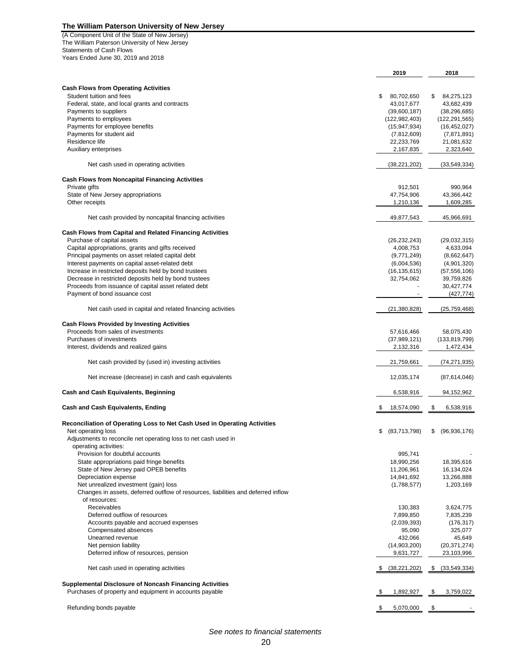The William Paterson University of New Jersey (A Component Unit of the State of New Jersey) Statements of Cash Flows Years Ended June 30, 2019 and 2018

|                                                                                   | 2019                            | 2018                         |
|-----------------------------------------------------------------------------------|---------------------------------|------------------------------|
|                                                                                   |                                 |                              |
| <b>Cash Flows from Operating Activities</b>                                       |                                 |                              |
| Student tuition and fees                                                          | \$<br>80,702,650                | 84,275,123<br>\$             |
| Federal, state, and local grants and contracts<br>Payments to suppliers           | 43,017,677                      | 43,682,439<br>(38, 296, 685) |
| Payments to employees                                                             | (39,600,187)<br>(122, 982, 403) | (122, 291, 565)              |
| Payments for employee benefits                                                    | (15, 947, 934)                  | (16, 452, 027)               |
| Payments for student aid                                                          | (7,812,609)                     | (7,871,891)                  |
| Residence life                                                                    | 22,233,769                      | 21,081,632                   |
| Auxiliary enterprises                                                             | 2,167,835                       | 2,323,640                    |
|                                                                                   |                                 |                              |
| Net cash used in operating activities                                             | (38, 221, 202)                  | (33, 549, 334)               |
| <b>Cash Flows from Noncapital Financing Activities</b>                            |                                 |                              |
| Private gifts                                                                     | 912,501                         | 990,964                      |
| State of New Jersey appropriations                                                | 47,754,906                      | 43,366,442<br>1,609,285      |
| Other receipts                                                                    | 1,210,136                       |                              |
| Net cash provided by noncapital financing activities                              | 49,877,543                      | 45,966,691                   |
| <b>Cash Flows from Capital and Related Financing Activities</b>                   |                                 |                              |
| Purchase of capital assets                                                        | (26, 232, 243)                  | (29,032,315)                 |
| Capital appropriations, grants and gifts received                                 | 4,008,753                       | 4,633,094                    |
| Principal payments on asset related capital debt                                  | (9,771,249)                     | (8,662,647)                  |
| Interest payments on capital asset-related debt                                   | (6,004,536)                     | (4,901,320)                  |
| Increase in restricted deposits held by bond trustees                             | (16, 135, 615)                  | (57, 556, 106)               |
| Decrease in restricted deposits held by bond trustees                             | 32,754,062                      | 39,759,826                   |
| Proceeds from issuance of capital asset related debt                              |                                 | 30,427,774                   |
| Payment of bond issuance cost                                                     |                                 | (427, 774)                   |
| Net cash used in capital and related financing activities                         | (21, 380, 828)                  | (25, 759, 468)               |
| <b>Cash Flows Provided by Investing Activities</b>                                |                                 |                              |
| Proceeds from sales of investments                                                | 57,616,466                      | 58,075,430                   |
| Purchases of investments                                                          | (37,989,121)                    | (133, 819, 799)              |
| Interest, dividends and realized gains                                            | 2,132,316                       | 1,472,434                    |
| Net cash provided by (used in) investing activities                               | 21,759,661                      | (74, 271, 935)               |
| Net increase (decrease) in cash and cash equivalents                              | 12,035,174                      | (87,614,046)                 |
| <b>Cash and Cash Equivalents, Beginning</b>                                       | 6,538,916                       | 94,152,962                   |
|                                                                                   |                                 |                              |
| <b>Cash and Cash Equivalents, Ending</b>                                          | 18,574,090<br>\$.               | 6,538,916<br>\$              |
| Reconciliation of Operating Loss to Net Cash Used in Operating Activities         |                                 |                              |
| Net operating loss                                                                | \$<br>(83,713,798)              | (96, 936, 176)<br>\$         |
| Adjustments to reconcile net operating loss to net cash used in                   |                                 |                              |
| operating activities:                                                             |                                 |                              |
| Provision for doubtful accounts<br>State appropriations paid fringe benefits      | 995,741<br>18,990,256           | 18,395,616                   |
| State of New Jersey paid OPEB benefits                                            | 11,206,961                      | 16,134,024                   |
| Depreciation expense                                                              | 14,841,692                      | 13,266,888                   |
| Net unrealized investment (gain) loss                                             | (1,788,577)                     | 1,203,169                    |
| Changes in assets, deferred outflow of resources, liabilities and deferred inflow |                                 |                              |
| of resources:                                                                     |                                 |                              |
| Receivables                                                                       | 130,383                         | 3,624,775                    |
| Deferred outflow of resources                                                     | 7,899,850                       | 7,835,239                    |
| Accounts payable and accrued expenses                                             | (2,039,393)                     | (176, 317)                   |
| Compensated absences                                                              | 95,090                          | 325,077                      |
| Unearned revenue                                                                  | 432,066                         | 45,649                       |
| Net pension liability                                                             | (14,903,200)                    | (20, 371, 274)               |
| Deferred inflow of resources, pension                                             | 9,631,727                       | 23,103,996                   |
| Net cash used in operating activities                                             | (38, 221, 202)                  | (33, 549, 334)<br>S.         |
| <b>Supplemental Disclosure of Noncash Financing Activities</b>                    |                                 |                              |
| Purchases of property and equipment in accounts payable                           | 1,892,927                       | 3,759,022<br>\$              |
|                                                                                   |                                 |                              |
| Refunding bonds payable                                                           | 5,070,000<br>\$                 | \$                           |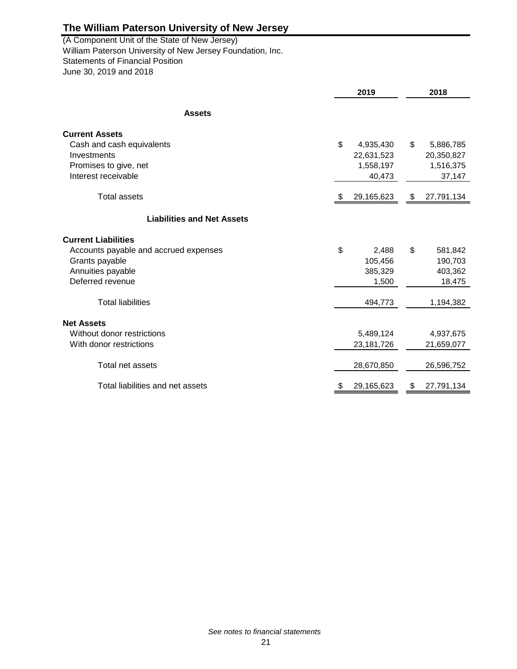June 30, 2019 and 2018 William Paterson University of New Jersey Foundation, Inc. (A Component Unit of the State of New Jersey) Statements of Financial Position

|                                       | 2019 |            |    | 2018       |  |
|---------------------------------------|------|------------|----|------------|--|
| <b>Assets</b>                         |      |            |    |            |  |
| <b>Current Assets</b>                 |      |            |    |            |  |
| Cash and cash equivalents             | \$   | 4,935,430  | \$ | 5,886,785  |  |
| Investments                           |      | 22,631,523 |    | 20,350,827 |  |
| Promises to give, net                 |      | 1,558,197  |    | 1,516,375  |  |
| Interest receivable                   |      | 40,473     |    | 37,147     |  |
| <b>Total assets</b>                   | P.   | 29,165,623 | \$ | 27,791,134 |  |
| <b>Liabilities and Net Assets</b>     |      |            |    |            |  |
| <b>Current Liabilities</b>            |      |            |    |            |  |
| Accounts payable and accrued expenses | \$   | 2,488      | \$ | 581,842    |  |
| Grants payable                        |      | 105,456    |    | 190,703    |  |
| Annuities payable                     |      | 385,329    |    | 403,362    |  |
| Deferred revenue                      |      | 1,500      |    | 18,475     |  |
| <b>Total liabilities</b>              |      | 494,773    |    | 1,194,382  |  |
| <b>Net Assets</b>                     |      |            |    |            |  |
| Without donor restrictions            |      | 5,489,124  |    | 4,937,675  |  |
| With donor restrictions               |      | 23,181,726 |    | 21,659,077 |  |
|                                       |      |            |    |            |  |
| Total net assets                      |      | 28,670,850 |    | 26,596,752 |  |
| Total liabilities and net assets      | S.   | 29,165,623 |    | 27,791,134 |  |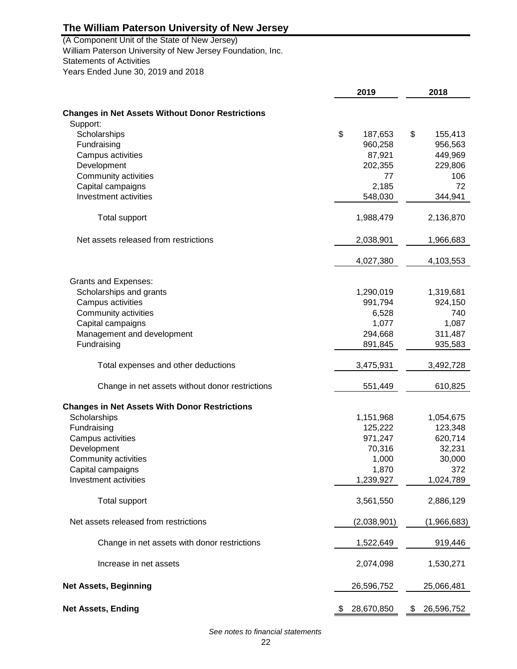Statements of Activities Years Ended June 30, 2019 and 2018 William Paterson University of New Jersey Foundation, Inc. (A Component Unit of the State of New Jersey)

|                                                         | 2019             | 2018             |
|---------------------------------------------------------|------------------|------------------|
|                                                         |                  |                  |
| <b>Changes in Net Assets Without Donor Restrictions</b> |                  |                  |
| Support:                                                |                  |                  |
| Scholarships                                            | \$<br>187,653    | \$<br>155,413    |
| Fundraising                                             | 960,258          | 956,563          |
| Campus activities                                       | 87,921           | 449,969          |
| Development                                             | 202,355          | 229,806          |
| Community activities                                    | 77               | 106              |
| Capital campaigns                                       | 2,185            | 72               |
| Investment activities                                   | 548,030          | 344,941          |
| <b>Total support</b>                                    | 1,988,479        | 2,136,870        |
| Net assets released from restrictions                   | 2,038,901        | 1,966,683        |
|                                                         | 4,027,380        | 4,103,553        |
| <b>Grants and Expenses:</b>                             |                  |                  |
| Scholarships and grants                                 | 1,290,019        | 1,319,681        |
| Campus activities                                       | 991,794          | 924,150          |
| Community activities                                    | 6,528            | 740              |
| Capital campaigns                                       | 1,077            | 1,087            |
| Management and development                              | 294,668          | 311,487          |
| Fundraising                                             | 891,845          | 935,583          |
|                                                         |                  |                  |
| Total expenses and other deductions                     | 3,475,931        | 3,492,728        |
| Change in net assets without donor restrictions         | 551,449          | 610,825          |
| <b>Changes in Net Assets With Donor Restrictions</b>    |                  |                  |
| Scholarships                                            | 1,151,968        | 1,054,675        |
| Fundraising                                             | 125,222          | 123,348          |
| Campus activities                                       | 971,247          | 620,714          |
| Development                                             | 70,316           | 32,231           |
| Community activities                                    | 1,000            | 30,000           |
| Capital campaigns                                       | 1,870            | 372              |
| Investment activities                                   | 1,239,927        | 1,024,789        |
| <b>Total support</b>                                    | 3,561,550        | 2,886,129        |
| Net assets released from restrictions                   | (2,038,901)      | (1,966,683)      |
| Change in net assets with donor restrictions            | 1,522,649        | 919,446          |
| Increase in net assets                                  | 2,074,098        | 1,530,271        |
| <b>Net Assets, Beginning</b>                            | 26,596,752       | 25,066,481       |
| <b>Net Assets, Ending</b>                               | \$<br>28,670,850 | \$<br>26,596,752 |

*See notes to financial statements*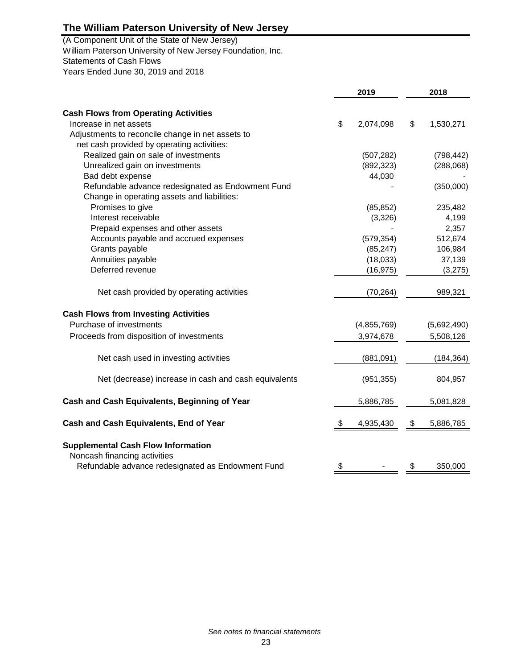Statements of Cash Flows (A Component Unit of the State of New Jersey) William Paterson University of New Jersey Foundation, Inc. Years Ended June 30, 2019 and 2018

|                                                                                                                                | 2019 |             | 2018            |  |
|--------------------------------------------------------------------------------------------------------------------------------|------|-------------|-----------------|--|
|                                                                                                                                |      |             |                 |  |
| <b>Cash Flows from Operating Activities</b>                                                                                    |      |             |                 |  |
| Increase in net assets                                                                                                         | \$   | 2,074,098   | \$<br>1,530,271 |  |
| Adjustments to reconcile change in net assets to                                                                               |      |             |                 |  |
| net cash provided by operating activities:                                                                                     |      |             |                 |  |
| Realized gain on sale of investments                                                                                           |      | (507, 282)  | (798, 442)      |  |
| Unrealized gain on investments                                                                                                 |      | (892, 323)  | (288,068)       |  |
| Bad debt expense                                                                                                               |      | 44,030      |                 |  |
| Refundable advance redesignated as Endowment Fund                                                                              |      |             | (350,000)       |  |
| Change in operating assets and liabilities:                                                                                    |      |             |                 |  |
| Promises to give                                                                                                               |      | (85, 852)   | 235,482         |  |
| Interest receivable                                                                                                            |      | (3, 326)    | 4,199           |  |
| Prepaid expenses and other assets                                                                                              |      |             | 2,357           |  |
| Accounts payable and accrued expenses                                                                                          |      | (579, 354)  | 512,674         |  |
| Grants payable                                                                                                                 |      | (85, 247)   | 106,984         |  |
| Annuities payable                                                                                                              |      | (18,033)    | 37,139          |  |
| Deferred revenue                                                                                                               |      | (16, 975)   | (3,275)         |  |
| Net cash provided by operating activities                                                                                      |      | (70, 264)   | 989,321         |  |
| <b>Cash Flows from Investing Activities</b>                                                                                    |      |             |                 |  |
| Purchase of investments                                                                                                        |      |             |                 |  |
|                                                                                                                                |      | (4,855,769) | (5,692,490)     |  |
| Proceeds from disposition of investments                                                                                       |      | 3,974,678   | 5,508,126       |  |
| Net cash used in investing activities                                                                                          |      | (881,091)   | (184, 364)      |  |
| Net (decrease) increase in cash and cash equivalents                                                                           |      | (951, 355)  | 804,957         |  |
| Cash and Cash Equivalents, Beginning of Year                                                                                   |      | 5,886,785   | 5,081,828       |  |
| Cash and Cash Equivalents, End of Year                                                                                         |      | 4,935,430   | \$<br>5,886,785 |  |
| <b>Supplemental Cash Flow Information</b><br>Noncash financing activities<br>Refundable advance redesignated as Endowment Fund | \$   |             | \$<br>350,000   |  |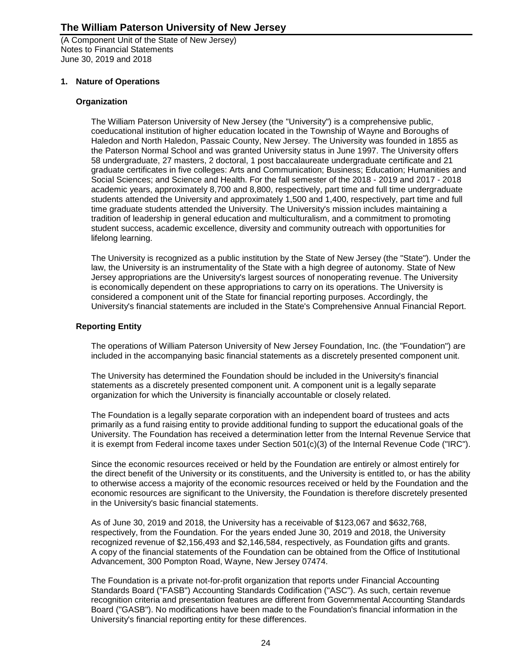(A Component Unit of the State of New Jersey) Notes to Financial Statements June 30, 2019 and 2018

### **1. Nature of Operations**

### **Organization**

The William Paterson University of New Jersey (the "University") is a comprehensive public, coeducational institution of higher education located in the Township of Wayne and Boroughs of Haledon and North Haledon, Passaic County, New Jersey. The University was founded in 1855 as the Paterson Normal School and was granted University status in June 1997. The University offers 58 undergraduate, 27 masters, 2 doctoral, 1 post baccalaureate undergraduate certificate and 21 graduate certificates in five colleges: Arts and Communication; Business; Education; Humanities and Social Sciences; and Science and Health. For the fall semester of the 2018 - 2019 and 2017 - 2018 academic years, approximately 8,700 and 8,800, respectively, part time and full time undergraduate students attended the University and approximately 1,500 and 1,400, respectively, part time and full time graduate students attended the University. The University's mission includes maintaining a tradition of leadership in general education and multiculturalism, and a commitment to promoting student success, academic excellence, diversity and community outreach with opportunities for lifelong learning.

The University is recognized as a public institution by the State of New Jersey (the "State"). Under the law, the University is an instrumentality of the State with a high degree of autonomy. State of New Jersey appropriations are the University's largest sources of nonoperating revenue. The University is economically dependent on these appropriations to carry on its operations. The University is considered a component unit of the State for financial reporting purposes. Accordingly, the University's financial statements are included in the State's Comprehensive Annual Financial Report.

### **Reporting Entity**

The operations of William Paterson University of New Jersey Foundation, Inc. (the "Foundation") are included in the accompanying basic financial statements as a discretely presented component unit.

The University has determined the Foundation should be included in the University's financial statements as a discretely presented component unit. A component unit is a legally separate organization for which the University is financially accountable or closely related.

The Foundation is a legally separate corporation with an independent board of trustees and acts primarily as a fund raising entity to provide additional funding to support the educational goals of the University. The Foundation has received a determination letter from the Internal Revenue Service that it is exempt from Federal income taxes under Section 501(c)(3) of the Internal Revenue Code ("IRC").

Since the economic resources received or held by the Foundation are entirely or almost entirely for the direct benefit of the University or its constituents, and the University is entitled to, or has the ability to otherwise access a majority of the economic resources received or held by the Foundation and the economic resources are significant to the University, the Foundation is therefore discretely presented in the University's basic financial statements.

As of June 30, 2019 and 2018, the University has a receivable of \$123,067 and \$632,768, respectively, from the Foundation. For the years ended June 30, 2019 and 2018, the University recognized revenue of \$2,156,493 and \$2,146,584, respectively, as Foundation gifts and grants. A copy of the financial statements of the Foundation can be obtained from the Office of Institutional Advancement, 300 Pompton Road, Wayne, New Jersey 07474.

The Foundation is a private not-for-profit organization that reports under Financial Accounting Standards Board ("FASB") Accounting Standards Codification ("ASC"). As such, certain revenue recognition criteria and presentation features are different from Governmental Accounting Standards Board ("GASB"). No modifications have been made to the Foundation's financial information in the University's financial reporting entity for these differences.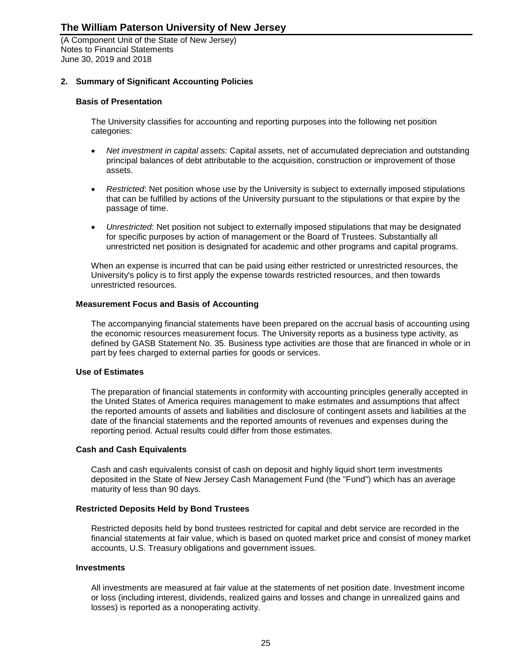(A Component Unit of the State of New Jersey) Notes to Financial Statements June 30, 2019 and 2018

### **2. Summary of Significant Accounting Policies**

#### **Basis of Presentation**

The University classifies for accounting and reporting purposes into the following net position categories:

- *Net investment in capital assets:* Capital assets, net of accumulated depreciation and outstanding principal balances of debt attributable to the acquisition, construction or improvement of those assets.
- *Restricted*: Net position whose use by the University is subject to externally imposed stipulations that can be fulfilled by actions of the University pursuant to the stipulations or that expire by the passage of time.
- *Unrestricted*: Net position not subject to externally imposed stipulations that may be designated for specific purposes by action of management or the Board of Trustees. Substantially all unrestricted net position is designated for academic and other programs and capital programs.

When an expense is incurred that can be paid using either restricted or unrestricted resources, the University's policy is to first apply the expense towards restricted resources, and then towards unrestricted resources.

### **Measurement Focus and Basis of Accounting**

The accompanying financial statements have been prepared on the accrual basis of accounting using the economic resources measurement focus. The University reports as a business type activity, as defined by GASB Statement No. 35. Business type activities are those that are financed in whole or in part by fees charged to external parties for goods or services.

#### **Use of Estimates**

The preparation of financial statements in conformity with accounting principles generally accepted in the United States of America requires management to make estimates and assumptions that affect the reported amounts of assets and liabilities and disclosure of contingent assets and liabilities at the date of the financial statements and the reported amounts of revenues and expenses during the reporting period. Actual results could differ from those estimates.

#### **Cash and Cash Equivalents**

Cash and cash equivalents consist of cash on deposit and highly liquid short term investments deposited in the State of New Jersey Cash Management Fund (the "Fund") which has an average maturity of less than 90 days.

#### **Restricted Deposits Held by Bond Trustees**

Restricted deposits held by bond trustees restricted for capital and debt service are recorded in the financial statements at fair value, which is based on quoted market price and consist of money market accounts, U.S. Treasury obligations and government issues.

#### **Investments**

All investments are measured at fair value at the statements of net position date. Investment income or loss (including interest, dividends, realized gains and losses and change in unrealized gains and losses) is reported as a nonoperating activity.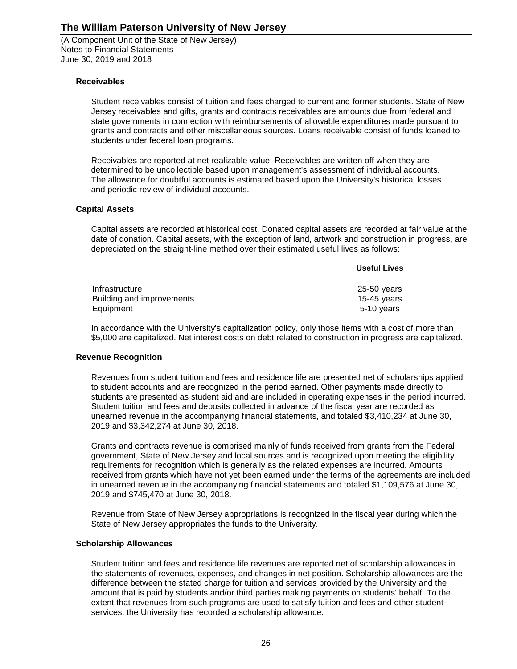(A Component Unit of the State of New Jersey) Notes to Financial Statements June 30, 2019 and 2018

### **Receivables**

Student receivables consist of tuition and fees charged to current and former students. State of New Jersey receivables and gifts, grants and contracts receivables are amounts due from federal and state governments in connection with reimbursements of allowable expenditures made pursuant to grants and contracts and other miscellaneous sources. Loans receivable consist of funds loaned to students under federal loan programs.

Receivables are reported at net realizable value. Receivables are written off when they are determined to be uncollectible based upon management's assessment of individual accounts. The allowance for doubtful accounts is estimated based upon the University's historical losses and periodic review of individual accounts.

#### **Capital Assets**

Capital assets are recorded at historical cost. Donated capital assets are recorded at fair value at the date of donation. Capital assets, with the exception of land, artwork and construction in progress, are depreciated on the straight-line method over their estimated useful lives as follows:

|                           | <b>Useful Lives</b> |
|---------------------------|---------------------|
|                           |                     |
| Infrastructure            | 25-50 years         |
| Building and improvements | 15-45 years         |
| Equipment                 | 5-10 years          |

In accordance with the University's capitalization policy, only those items with a cost of more than \$5,000 are capitalized. Net interest costs on debt related to construction in progress are capitalized.

#### **Revenue Recognition**

Revenues from student tuition and fees and residence life are presented net of scholarships applied to student accounts and are recognized in the period earned. Other payments made directly to students are presented as student aid and are included in operating expenses in the period incurred. Student tuition and fees and deposits collected in advance of the fiscal year are recorded as unearned revenue in the accompanying financial statements, and totaled \$3,410,234 at June 30, 2019 and \$3,342,274 at June 30, 2018.

Grants and contracts revenue is comprised mainly of funds received from grants from the Federal government, State of New Jersey and local sources and is recognized upon meeting the eligibility requirements for recognition which is generally as the related expenses are incurred. Amounts received from grants which have not yet been earned under the terms of the agreements are included in unearned revenue in the accompanying financial statements and totaled \$1,109,576 at June 30, 2019 and \$745,470 at June 30, 2018.

Revenue from State of New Jersey appropriations is recognized in the fiscal year during which the State of New Jersey appropriates the funds to the University.

#### **Scholarship Allowances**

Student tuition and fees and residence life revenues are reported net of scholarship allowances in the statements of revenues, expenses, and changes in net position. Scholarship allowances are the difference between the stated charge for tuition and services provided by the University and the amount that is paid by students and/or third parties making payments on students' behalf. To the extent that revenues from such programs are used to satisfy tuition and fees and other student services, the University has recorded a scholarship allowance.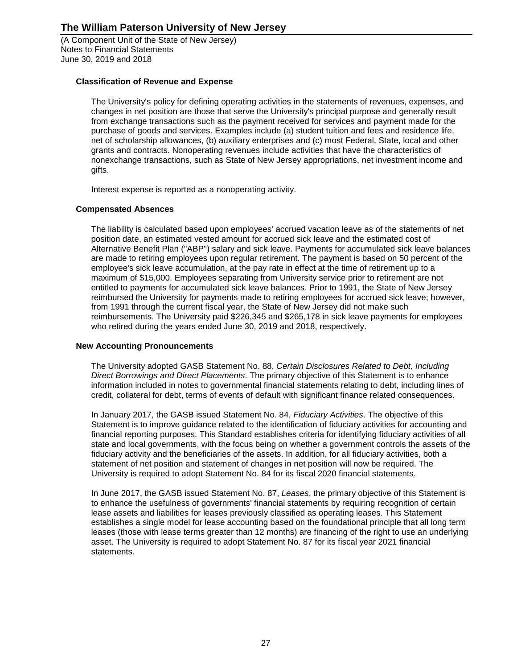(A Component Unit of the State of New Jersey) Notes to Financial Statements June 30, 2019 and 2018

### **Classification of Revenue and Expense**

The University's policy for defining operating activities in the statements of revenues, expenses, and changes in net position are those that serve the University's principal purpose and generally result from exchange transactions such as the payment received for services and payment made for the purchase of goods and services. Examples include (a) student tuition and fees and residence life, net of scholarship allowances, (b) auxiliary enterprises and (c) most Federal, State, local and other grants and contracts. Nonoperating revenues include activities that have the characteristics of nonexchange transactions, such as State of New Jersey appropriations, net investment income and gifts.

Interest expense is reported as a nonoperating activity.

### **Compensated Absences**

The liability is calculated based upon employees' accrued vacation leave as of the statements of net position date, an estimated vested amount for accrued sick leave and the estimated cost of Alternative Benefit Plan ("ABP") salary and sick leave. Payments for accumulated sick leave balances are made to retiring employees upon regular retirement. The payment is based on 50 percent of the employee's sick leave accumulation, at the pay rate in effect at the time of retirement up to a maximum of \$15,000. Employees separating from University service prior to retirement are not entitled to payments for accumulated sick leave balances. Prior to 1991, the State of New Jersey reimbursed the University for payments made to retiring employees for accrued sick leave; however, from 1991 through the current fiscal year, the State of New Jersey did not make such reimbursements. The University paid \$226,345 and \$265,178 in sick leave payments for employees who retired during the years ended June 30, 2019 and 2018, respectively.

#### **New Accounting Pronouncements**

The University adopted GASB Statement No. 88, *Certain Disclosures Related to Debt, Including Direct Borrowings and Direct Placements*. The primary objective of this Statement is to enhance information included in notes to governmental financial statements relating to debt, including lines of credit, collateral for debt, terms of events of default with significant finance related consequences.

In January 2017, the GASB issued Statement No. 84, *Fiduciary Activities*. The objective of this Statement is to improve guidance related to the identification of fiduciary activities for accounting and financial reporting purposes. This Standard establishes criteria for identifying fiduciary activities of all state and local governments, with the focus being on whether a government controls the assets of the fiduciary activity and the beneficiaries of the assets. In addition, for all fiduciary activities, both a statement of net position and statement of changes in net position will now be required. The University is required to adopt Statement No. 84 for its fiscal 2020 financial statements.

In June 2017, the GASB issued Statement No. 87, *Leases*, the primary objective of this Statement is to enhance the usefulness of governments' financial statements by requiring recognition of certain lease assets and liabilities for leases previously classified as operating leases. This Statement establishes a single model for lease accounting based on the foundational principle that all long term leases (those with lease terms greater than 12 months) are financing of the right to use an underlying asset. The University is required to adopt Statement No. 87 for its fiscal year 2021 financial statements.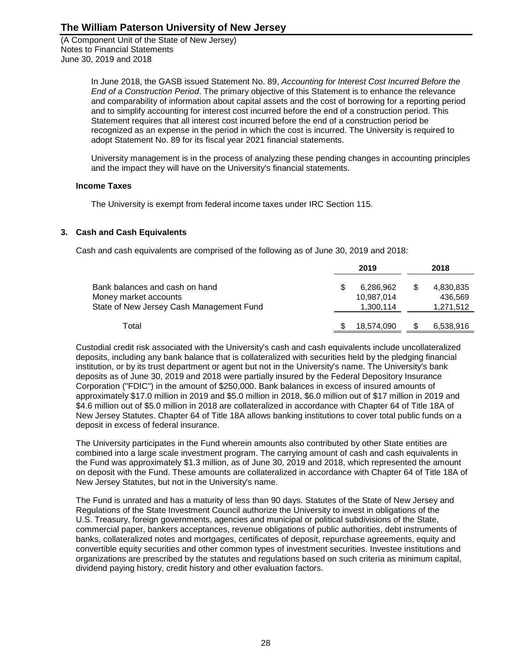(A Component Unit of the State of New Jersey) Notes to Financial Statements June 30, 2019 and 2018

> In June 2018, the GASB issued Statement No. 89, *Accounting for Interest Cost Incurred Before the End of a Construction Period*. The primary objective of this Statement is to enhance the relevance and comparability of information about capital assets and the cost of borrowing for a reporting period and to simplify accounting for interest cost incurred before the end of a construction period. This Statement requires that all interest cost incurred before the end of a construction period be recognized as an expense in the period in which the cost is incurred. The University is required to adopt Statement No. 89 for its fiscal year 2021 financial statements.

> University management is in the process of analyzing these pending changes in accounting principles and the impact they will have on the University's financial statements.

### **Income Taxes**

The University is exempt from federal income taxes under IRC Section 115.

### **3. Cash and Cash Equivalents**

Cash and cash equivalents are comprised of the following as of June 30, 2019 and 2018:

|                                          | 2019       | 2018 |           |  |
|------------------------------------------|------------|------|-----------|--|
| Bank balances and cash on hand           | 6,286,962  |      | 4,830,835 |  |
| Money market accounts                    | 10.987.014 |      | 436.569   |  |
| State of New Jersey Cash Management Fund | 1,300,114  |      | 1,271,512 |  |
| Total                                    | 18,574,090 |      | 6,538,916 |  |

Custodial credit risk associated with the University's cash and cash equivalents include uncollateralized deposits, including any bank balance that is collateralized with securities held by the pledging financial institution, or by its trust department or agent but not in the University's name. The University's bank deposits as of June 30, 2019 and 2018 were partially insured by the Federal Depository Insurance Corporation ("FDIC") in the amount of \$250,000. Bank balances in excess of insured amounts of approximately \$17.0 million in 2019 and \$5.0 million in 2018, \$6.0 million out of \$17 million in 2019 and \$4.6 million out of \$5.0 million in 2018 are collateralized in accordance with Chapter 64 of Title 18A of New Jersey Statutes. Chapter 64 of Title 18A allows banking institutions to cover total public funds on a deposit in excess of federal insurance.

The University participates in the Fund wherein amounts also contributed by other State entities are combined into a large scale investment program. The carrying amount of cash and cash equivalents in the Fund was approximately \$1.3 million, as of June 30, 2019 and 2018, which represented the amount on deposit with the Fund. These amounts are collateralized in accordance with Chapter 64 of Title 18A of New Jersey Statutes, but not in the University's name.

The Fund is unrated and has a maturity of less than 90 days. Statutes of the State of New Jersey and Regulations of the State Investment Council authorize the University to invest in obligations of the U.S. Treasury, foreign governments, agencies and municipal or political subdivisions of the State, commercial paper, bankers acceptances, revenue obligations of public authorities, debt instruments of banks, collateralized notes and mortgages, certificates of deposit, repurchase agreements, equity and convertible equity securities and other common types of investment securities. Investee institutions and organizations are prescribed by the statutes and regulations based on such criteria as minimum capital, dividend paying history, credit history and other evaluation factors.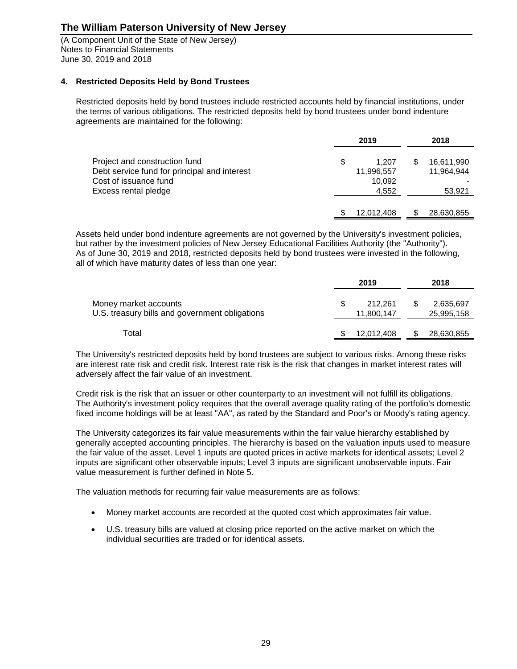(A Component Unit of the State of New Jersey) Notes to Financial Statements June 30, 2019 and 2018

### **4. Restricted Deposits Held by Bond Trustees**

Restricted deposits held by bond trustees include restricted accounts held by financial institutions, under the terms of various obligations. The restricted deposits held by bond trustees under bond indenture agreements are maintained for the following:

|                                              | 2019 |            |  | 2018       |
|----------------------------------------------|------|------------|--|------------|
| Project and construction fund                | S    | 1.207      |  | 16,611,990 |
| Debt service fund for principal and interest |      | 11,996,557 |  | 11.964.944 |
| Cost of issuance fund                        |      | 10,092     |  |            |
| Excess rental pledge                         |      | 4.552      |  | 53,921     |
|                                              |      | 12.012.408 |  | 28,630,855 |

Assets held under bond indenture agreements are not governed by the University's investment policies, but rather by the investment policies of New Jersey Educational Facilities Authority (the "Authority"). As of June 30, 2019 and 2018, restricted deposits held by bond trustees were invested in the following, all of which have maturity dates of less than one year:

|                                                                         | 2019 |                       |  | 2018                    |  |  |
|-------------------------------------------------------------------------|------|-----------------------|--|-------------------------|--|--|
| Money market accounts<br>U.S. treasury bills and government obligations |      | 212.261<br>11,800,147 |  | 2,635,697<br>25,995,158 |  |  |
| Total                                                                   |      | 12,012,408            |  | 28,630,855              |  |  |

The University's restricted deposits held by bond trustees are subject to various risks. Among these risks are interest rate risk and credit risk. Interest rate risk is the risk that changes in market interest rates will adversely affect the fair value of an investment.

Credit risk is the risk that an issuer or other counterparty to an investment will not fulfill its obligations. The Authority's investment policy requires that the overall average quality rating of the portfolio's domestic fixed income holdings will be at least "AA", as rated by the Standard and Poor's or Moody's rating agency.

The University categorizes its fair value measurements within the fair value hierarchy established by generally accepted accounting principles. The hierarchy is based on the valuation inputs used to measure the fair value of the asset. Level 1 inputs are quoted prices in active markets for identical assets; Level 2 inputs are significant other observable inputs; Level 3 inputs are significant unobservable inputs. Fair value measurement is further defined in Note 5.

The valuation methods for recurring fair value measurements are as follows:

- Money market accounts are recorded at the quoted cost which approximates fair value.
- U.S. treasury bills are valued at closing price reported on the active market on which the individual securities are traded or for identical assets.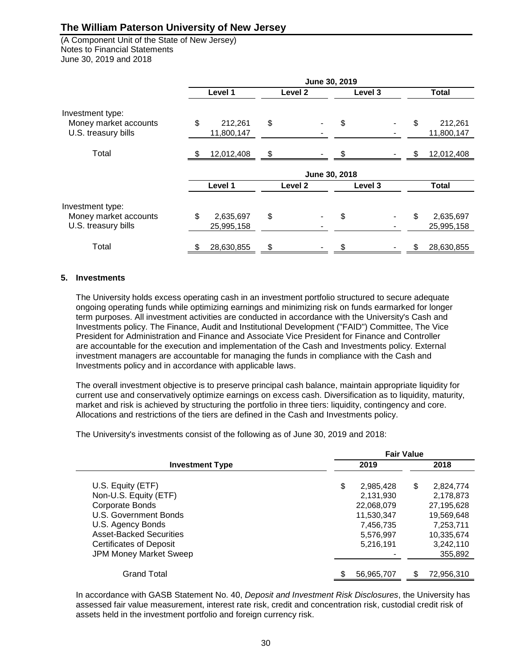(A Component Unit of the State of New Jersey) Notes to Financial Statements June 30, 2019 and 2018

|                                              | June 30, 2019 |                       |                    |               |         |  |    |                       |
|----------------------------------------------|---------------|-----------------------|--------------------|---------------|---------|--|----|-----------------------|
|                                              |               | Level 1               | Level <sub>2</sub> |               | Level 3 |  |    | <b>Total</b>          |
| Investment type:                             |               |                       |                    |               |         |  |    |                       |
| Money market accounts<br>U.S. treasury bills | \$            | 212,261<br>11,800,147 | \$                 |               | \$      |  | \$ | 212,261<br>11,800,147 |
| Total                                        | S             | 12,012,408            | \$                 |               | S       |  | S  | 12,012,408            |
|                                              |               |                       |                    | June 30, 2018 |         |  |    |                       |
|                                              |               | Level 1               | Level <sub>2</sub> |               | Level 3 |  |    | <b>Total</b>          |
| Investment type:                             |               |                       |                    |               |         |  |    |                       |
| Money market accounts                        | \$            | 2,635,697             | \$                 |               | \$      |  | \$ | 2,635,697             |
| U.S. treasury bills                          |               | 25,995,158            |                    |               |         |  |    | 25,995,158            |
| Total                                        | \$            | 28,630,855            | \$                 |               | \$      |  | \$ | 28,630,855            |

### **5. Investments**

The University holds excess operating cash in an investment portfolio structured to secure adequate ongoing operating funds while optimizing earnings and minimizing risk on funds earmarked for longer term purposes. All investment activities are conducted in accordance with the University's Cash and Investments policy. The Finance, Audit and Institutional Development ("FAID") Committee, The Vice President for Administration and Finance and Associate Vice President for Finance and Controller are accountable for the execution and implementation of the Cash and Investments policy. External investment managers are accountable for managing the funds in compliance with the Cash and Investments policy and in accordance with applicable laws.

The overall investment objective is to preserve principal cash balance, maintain appropriate liquidity for current use and conservatively optimize earnings on excess cash. Diversification as to liquidity, maturity, market and risk is achieved by structuring the portfolio in three tiers: liquidity, contingency and core. Allocations and restrictions of the tiers are defined in the Cash and Investments policy.

The University's investments consist of the following as of June 30, 2019 and 2018:

|                                |                 | <b>Fair Value</b> |  |  |  |  |  |
|--------------------------------|-----------------|-------------------|--|--|--|--|--|
| <b>Investment Type</b>         | 2019            | 2018              |  |  |  |  |  |
| U.S. Equity (ETF)              | \$<br>2,985,428 | \$<br>2,824,774   |  |  |  |  |  |
| Non-U.S. Equity (ETF)          | 2,131,930       | 2,178,873         |  |  |  |  |  |
| Corporate Bonds                | 22,068,079      | 27,195,628        |  |  |  |  |  |
| U.S. Government Bonds          | 11,530,347      | 19,569,648        |  |  |  |  |  |
| U.S. Agency Bonds              | 7,456,735       | 7,253,711         |  |  |  |  |  |
| <b>Asset-Backed Securities</b> | 5,576,997       | 10,335,674        |  |  |  |  |  |
| <b>Certificates of Deposit</b> | 5,216,191       | 3,242,110         |  |  |  |  |  |
| JPM Money Market Sweep         |                 | 355.892           |  |  |  |  |  |
|                                |                 |                   |  |  |  |  |  |
| <b>Grand Total</b>             | 56,965,707      | 72,956,310        |  |  |  |  |  |
|                                |                 |                   |  |  |  |  |  |

In accordance with GASB Statement No. 40, *Deposit and Investment Risk Disclosures*, the University has assessed fair value measurement, interest rate risk, credit and concentration risk, custodial credit risk of assets held in the investment portfolio and foreign currency risk.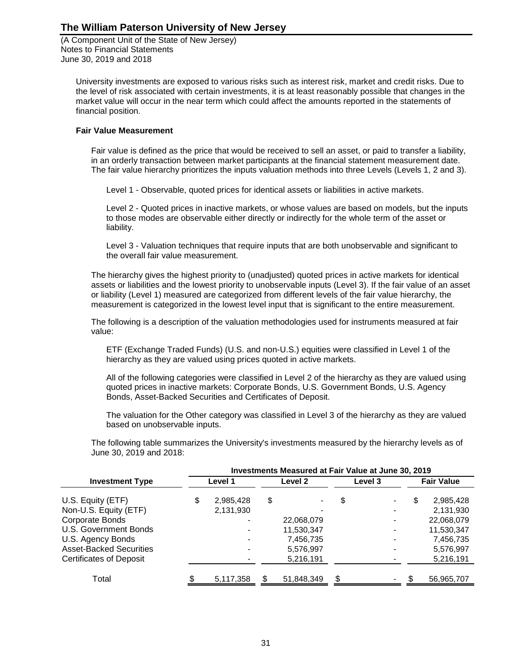(A Component Unit of the State of New Jersey) Notes to Financial Statements June 30, 2019 and 2018

University investments are exposed to various risks such as interest risk, market and credit risks. Due to the level of risk associated with certain investments, it is at least reasonably possible that changes in the market value will occur in the near term which could affect the amounts reported in the statements of financial position.

#### **Fair Value Measurement**

Fair value is defined as the price that would be received to sell an asset, or paid to transfer a liability, in an orderly transaction between market participants at the financial statement measurement date. The fair value hierarchy prioritizes the inputs valuation methods into three Levels (Levels 1, 2 and 3).

Level 1 - Observable, quoted prices for identical assets or liabilities in active markets.

Level 2 - Quoted prices in inactive markets, or whose values are based on models, but the inputs to those modes are observable either directly or indirectly for the whole term of the asset or liability.

Level 3 - Valuation techniques that require inputs that are both unobservable and significant to the overall fair value measurement.

The hierarchy gives the highest priority to (unadjusted) quoted prices in active markets for identical assets or liabilities and the lowest priority to unobservable inputs (Level 3). If the fair value of an asset or liability (Level 1) measured are categorized from different levels of the fair value hierarchy, the measurement is categorized in the lowest level input that is significant to the entire measurement.

The following is a description of the valuation methodologies used for instruments measured at fair value:

ETF (Exchange Traded Funds) (U.S. and non-U.S.) equities were classified in Level 1 of the hierarchy as they are valued using prices quoted in active markets.

All of the following categories were classified in Level 2 of the hierarchy as they are valued using quoted prices in inactive markets: Corporate Bonds, U.S. Government Bonds, U.S. Agency Bonds, Asset-Backed Securities and Certificates of Deposit.

The valuation for the Other category was classified in Level 3 of the hierarchy as they are valued based on unobservable inputs.

The following table summarizes the University's investments measured by the hierarchy levels as of June 30, 2019 and 2018:

|                                | Investments Measured at Fair Value at June 30, 2019 |    |            |         |                          |                   |            |  |
|--------------------------------|-----------------------------------------------------|----|------------|---------|--------------------------|-------------------|------------|--|
| <b>Investment Type</b>         | Level 1                                             |    | Level 2    | Level 3 |                          | <b>Fair Value</b> |            |  |
| U.S. Equity (ETF)              | \$<br>2,985,428                                     | \$ |            | \$      |                          | \$                | 2,985,428  |  |
| Non-U.S. Equity (ETF)          | 2,131,930                                           |    |            |         | $\overline{\phantom{a}}$ |                   | 2,131,930  |  |
| Corporate Bonds                |                                                     |    | 22,068,079 |         |                          |                   | 22,068,079 |  |
| U.S. Government Bonds          |                                                     |    | 11,530,347 |         |                          |                   | 11,530,347 |  |
| U.S. Agency Bonds              |                                                     |    | 7,456,735  |         |                          |                   | 7,456,735  |  |
| <b>Asset-Backed Securities</b> |                                                     |    | 5,576,997  |         |                          |                   | 5,576,997  |  |
| Certificates of Deposit        |                                                     |    | 5,216,191  |         |                          |                   | 5,216,191  |  |
| Total                          | 5,117,358                                           |    | 51,848,349 | \$      |                          |                   | 56,965,707 |  |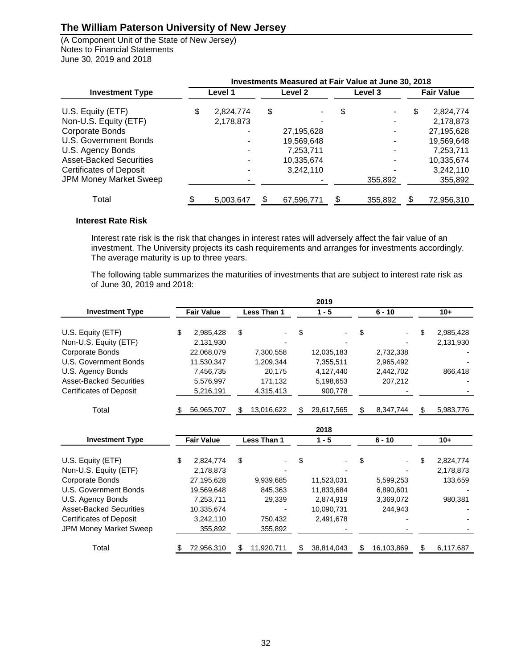(A Component Unit of the State of New Jersey) Notes to Financial Statements June 30, 2019 and 2018

|                                | Investments Measured at Fair Value at June 30, 2018 |           |     |            |    |         |                   |            |
|--------------------------------|-----------------------------------------------------|-----------|-----|------------|----|---------|-------------------|------------|
| <b>Investment Type</b>         | Level 1                                             |           |     | Level 2    |    | Level 3 | <b>Fair Value</b> |            |
| U.S. Equity (ETF)              | \$                                                  | 2,824,774 | \$  |            | \$ |         | \$                | 2,824,774  |
| Non-U.S. Equity (ETF)          |                                                     | 2,178,873 |     |            |    |         |                   | 2,178,873  |
| Corporate Bonds                |                                                     |           |     | 27,195,628 |    |         |                   | 27,195,628 |
| U.S. Government Bonds          |                                                     |           |     | 19,569,648 |    |         |                   | 19,569,648 |
| U.S. Agency Bonds              |                                                     |           |     | 7,253,711  |    |         |                   | 7,253,711  |
| <b>Asset-Backed Securities</b> |                                                     |           |     | 10,335,674 |    |         |                   | 10,335,674 |
| <b>Certificates of Deposit</b> |                                                     |           |     | 3,242,110  |    |         |                   | 3,242,110  |
| JPM Money Market Sweep         |                                                     |           |     |            |    | 355,892 |                   | 355,892    |
| Total                          |                                                     | 5,003,647 | \$. | 67,596,771 | \$ | 355,892 | \$.               | 72,956,310 |

#### **Interest Rate Risk**

Interest rate risk is the risk that changes in interest rates will adversely affect the fair value of an investment. The University projects its cash requirements and arranges for investments accordingly. The average maturity is up to three years.

The following table summarizes the maturities of investments that are subject to interest rate risk as of June 30, 2019 and 2018:

|                                |                   |    |             | 2019             |    |            |    |           |
|--------------------------------|-------------------|----|-------------|------------------|----|------------|----|-----------|
| <b>Investment Type</b>         | <b>Fair Value</b> |    | Less Than 1 | $1 - 5$          |    | $6 - 10$   |    | $10+$     |
| U.S. Equity (ETF)              | \$<br>2,985,428   | \$ |             | \$               | \$ |            | S  | 2,985,428 |
| Non-U.S. Equity (ETF)          | 2,131,930         |    |             |                  |    |            |    | 2,131,930 |
| Corporate Bonds                | 22,068,079        |    | 7,300,558   | 12,035,183       |    | 2,732,338  |    |           |
| U.S. Government Bonds          | 11,530,347        |    | 1,209,344   | 7,355,511        |    | 2,965,492  |    |           |
| U.S. Agency Bonds              | 7,456,735         |    | 20,175      | 4,127,440        |    | 2,442,702  |    | 866,418   |
| <b>Asset-Backed Securities</b> | 5,576,997         |    | 171,132     | 5.198.653        |    | 207,212    |    |           |
| <b>Certificates of Deposit</b> | 5,216,191         |    | 4,315,413   | 900,778          |    |            |    |           |
| Total                          | 56,965,707        | S  | 13,016,622  | 29,617,565       | \$ | 8,347,744  | S  | 5,983,776 |
|                                |                   |    |             | 2018             |    |            |    |           |
| <b>Investment Type</b>         | <b>Fair Value</b> |    | Less Than 1 | $1 - 5$          |    | $6 - 10$   |    | $10+$     |
| U.S. Equity (ETF)              | \$<br>2,824,774   | \$ |             |                  | \$ |            | \$ | 2,824,774 |
| Non-U.S. Equity (ETF)          | 2,178,873         |    |             |                  |    |            |    | 2,178,873 |
| Corporate Bonds                | 27,195,628        |    | 9,939,685   | 11,523,031       |    | 5,599,253  |    | 133,659   |
| U.S. Government Bonds          | 19,569,648        |    | 845,363     | 11,833,684       |    | 6,890,601  |    |           |
| U.S. Agency Bonds              | 7,253,711         |    | 29,339      | 2,874,919        |    | 3,369,072  |    | 980,381   |
| <b>Asset-Backed Securities</b> | 10,335,674        |    |             | 10,090,731       |    | 244,943    |    |           |
| <b>Certificates of Deposit</b> | 3,242,110         |    | 750,432     | 2,491,678        |    |            |    |           |
| <b>JPM Money Market Sweep</b>  | 355,892           |    | 355,892     |                  |    |            |    |           |
| Total                          | 72,956,310        | \$ | 11,920,711  | \$<br>38,814,043 | S  | 16,103,869 | \$ | 6,117,687 |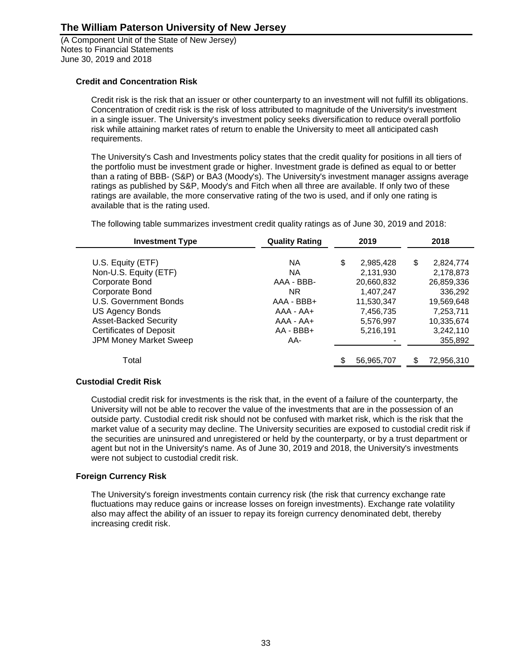(A Component Unit of the State of New Jersey) Notes to Financial Statements June 30, 2019 and 2018

### **Credit and Concentration Risk**

Credit risk is the risk that an issuer or other counterparty to an investment will not fulfill its obligations. Concentration of credit risk is the risk of loss attributed to magnitude of the University's investment in a single issuer. The University's investment policy seeks diversification to reduce overall portfolio risk while attaining market rates of return to enable the University to meet all anticipated cash requirements.

The University's Cash and Investments policy states that the credit quality for positions in all tiers of the portfolio must be investment grade or higher. Investment grade is defined as equal to or better than a rating of BBB- (S&P) or BA3 (Moody's). The University's investment manager assigns average ratings as published by S&P, Moody's and Fitch when all three are available. If only two of these ratings are available, the more conservative rating of the two is used, and if only one rating is available that is the rating used.

The following table summarizes investment credit quality ratings as of June 30, 2019 and 2018:

| <b>Investment Type</b>                                       | <b>Quality Rating</b>          | 2019 |                                      |    | 2018                                 |  |
|--------------------------------------------------------------|--------------------------------|------|--------------------------------------|----|--------------------------------------|--|
| U.S. Equity (ETF)<br>Non-U.S. Equity (ETF)<br>Corporate Bond | <b>NA</b><br>NA.<br>AAA - BBB- | \$   | 2,985,428<br>2,131,930<br>20,660,832 | \$ | 2,824,774<br>2,178,873<br>26,859,336 |  |
| Corporate Bond                                               | NR.                            |      | 1,407,247                            |    | 336,292                              |  |
| U.S. Government Bonds                                        | $AAA - BBB +$                  |      | 11,530,347                           |    | 19,569,648                           |  |
| US Agency Bonds                                              | $AAA - AAA +$                  |      | 7,456,735                            |    | 7,253,711                            |  |
| <b>Asset-Backed Security</b>                                 | $AAA - AAA +$                  |      | 5,576,997                            |    | 10,335,674                           |  |
| <b>Certificates of Deposit</b>                               | AA - BBB+                      |      | 5,216,191                            |    | 3,242,110                            |  |
| <b>JPM Money Market Sweep</b>                                | AA-                            |      |                                      |    | 355,892                              |  |
| Total                                                        |                                |      | 56,965,707                           | S  | 72,956,310                           |  |

#### **Custodial Credit Risk**

Custodial credit risk for investments is the risk that, in the event of a failure of the counterparty, the University will not be able to recover the value of the investments that are in the possession of an outside party. Custodial credit risk should not be confused with market risk, which is the risk that the market value of a security may decline. The University securities are exposed to custodial credit risk if the securities are uninsured and unregistered or held by the counterparty, or by a trust department or agent but not in the University's name. As of June 30, 2019 and 2018, the University's investments were not subject to custodial credit risk.

### **Foreign Currency Risk**

The University's foreign investments contain currency risk (the risk that currency exchange rate fluctuations may reduce gains or increase losses on foreign investments). Exchange rate volatility also may affect the ability of an issuer to repay its foreign currency denominated debt, thereby increasing credit risk.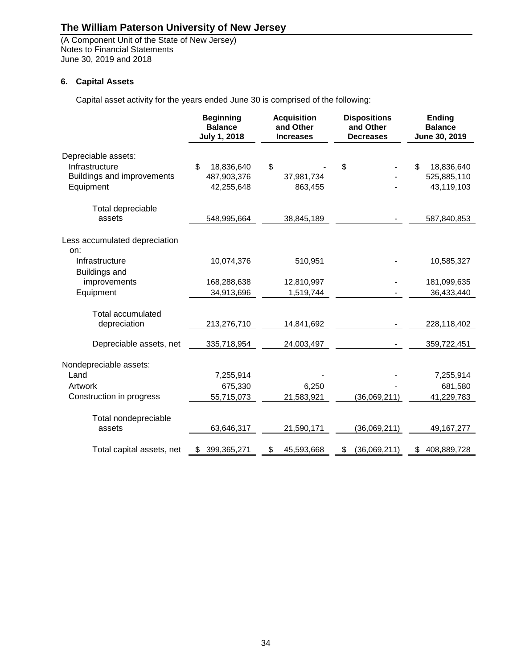(A Component Unit of the State of New Jersey) Notes to Financial Statements June 30, 2019 and 2018

### **6. Capital Assets**

Capital asset activity for the years ended June 30 is comprised of the following:

|                                       | <b>Beginning</b><br><b>Balance</b><br><b>July 1, 2018</b> | <b>Acquisition</b><br>and Other<br><b>Increases</b> | <b>Dispositions</b><br>and Other<br><b>Decreases</b> | <b>Ending</b><br><b>Balance</b><br>June 30, 2019 |
|---------------------------------------|-----------------------------------------------------------|-----------------------------------------------------|------------------------------------------------------|--------------------------------------------------|
| Depreciable assets:<br>Infrastructure | \$<br>18,836,640                                          | \$                                                  | \$                                                   | 18,836,640<br>\$.                                |
| Buildings and improvements            | 487,903,376                                               | 37,981,734                                          |                                                      | 525,885,110                                      |
| Equipment                             | 42,255,648                                                | 863,455                                             |                                                      | 43,119,103                                       |
|                                       |                                                           |                                                     |                                                      |                                                  |
| Total depreciable                     |                                                           |                                                     |                                                      |                                                  |
| assets                                | 548,995,664                                               | 38,845,189                                          |                                                      | 587,840,853                                      |
| Less accumulated depreciation<br>on:  |                                                           |                                                     |                                                      |                                                  |
| Infrastructure                        | 10,074,376                                                | 510,951                                             |                                                      | 10,585,327                                       |
| <b>Buildings and</b>                  |                                                           |                                                     |                                                      |                                                  |
| improvements                          | 168,288,638                                               | 12,810,997                                          |                                                      | 181,099,635                                      |
| Equipment                             | 34,913,696                                                | 1,519,744                                           |                                                      | 36,433,440                                       |
|                                       |                                                           |                                                     |                                                      |                                                  |
| <b>Total accumulated</b>              |                                                           |                                                     |                                                      |                                                  |
| depreciation                          | 213,276,710                                               | 14,841,692                                          |                                                      | 228,118,402                                      |
| Depreciable assets, net               | 335,718,954                                               | 24,003,497                                          |                                                      | 359,722,451                                      |
| Nondepreciable assets:                |                                                           |                                                     |                                                      |                                                  |
| Land                                  | 7,255,914                                                 |                                                     |                                                      | 7,255,914                                        |
| Artwork                               | 675,330                                                   | 6,250                                               |                                                      | 681,580                                          |
| Construction in progress              | 55,715,073                                                | 21,583,921                                          | (36,069,211)                                         | 41,229,783                                       |
| Total nondepreciable                  |                                                           |                                                     |                                                      |                                                  |
| assets                                | 63,646,317                                                | 21,590,171                                          | (36,069,211)                                         | 49, 167, 277                                     |
| Total capital assets, net             | 399,365,271<br>\$                                         | 45,593,668<br>\$                                    | \$<br>(36,069,211)                                   | \$<br>408,889,728                                |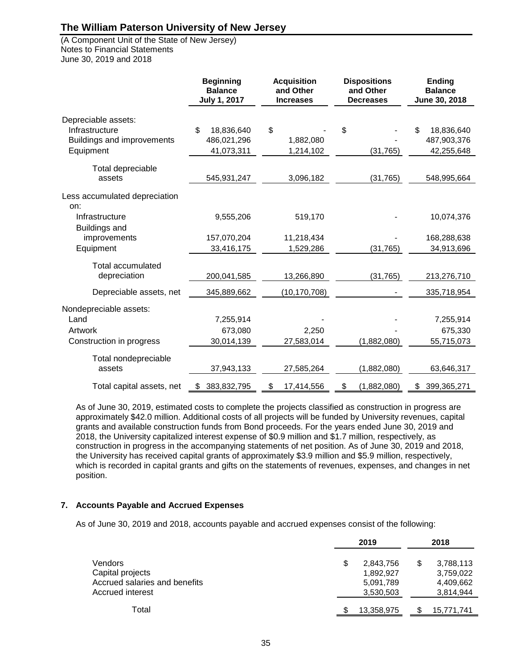(A Component Unit of the State of New Jersey) Notes to Financial Statements June 30, 2019 and 2018

|                                      | <b>Beginning</b><br><b>Balance</b><br><b>July 1, 2017</b> | <b>Acquisition</b><br><b>Dispositions</b><br>and Other<br>and Other<br><b>Decreases</b><br><b>Increases</b> |                   | <b>Ending</b><br><b>Balance</b><br>June 30, 2018 |
|--------------------------------------|-----------------------------------------------------------|-------------------------------------------------------------------------------------------------------------|-------------------|--------------------------------------------------|
| Depreciable assets:                  |                                                           |                                                                                                             |                   |                                                  |
| Infrastructure                       | \$<br>18,836,640                                          | \$                                                                                                          | \$                | \$<br>18,836,640                                 |
| Buildings and improvements           | 486,021,296                                               | 1,882,080                                                                                                   |                   | 487,903,376                                      |
| Equipment                            | 41,073,311                                                | 1,214,102                                                                                                   | (31, 765)         | 42,255,648                                       |
| Total depreciable                    |                                                           |                                                                                                             |                   |                                                  |
| assets                               | 545, 931, 247                                             | 3,096,182                                                                                                   | (31, 765)         | 548,995,664                                      |
| Less accumulated depreciation<br>on: |                                                           |                                                                                                             |                   |                                                  |
| Infrastructure                       | 9,555,206                                                 | 519,170                                                                                                     |                   | 10,074,376                                       |
| <b>Buildings and</b>                 |                                                           |                                                                                                             |                   |                                                  |
| improvements                         | 157,070,204                                               | 11,218,434                                                                                                  |                   | 168,288,638                                      |
| Equipment                            | 33,416,175                                                | 1,529,286                                                                                                   | (31, 765)         | 34,913,696                                       |
| <b>Total accumulated</b>             |                                                           |                                                                                                             |                   |                                                  |
| depreciation                         | 200,041,585                                               | 13,266,890                                                                                                  | (31, 765)         | 213,276,710                                      |
| Depreciable assets, net              | 345,889,662                                               | (10, 170, 708)                                                                                              |                   | 335,718,954                                      |
| Nondepreciable assets:               |                                                           |                                                                                                             |                   |                                                  |
| Land                                 | 7,255,914                                                 |                                                                                                             |                   | 7,255,914                                        |
| Artwork                              | 673,080                                                   | 2,250                                                                                                       |                   | 675,330                                          |
| Construction in progress             | 30,014,139                                                | 27,583,014                                                                                                  | (1,882,080)       | 55,715,073                                       |
| Total nondepreciable                 |                                                           |                                                                                                             |                   |                                                  |
| assets                               | 37,943,133                                                | 27,585,264                                                                                                  | (1,882,080)       | 63,646,317                                       |
| Total capital assets, net            | 383,832,795<br>S                                          | \$<br>17,414,556                                                                                            | (1,882,080)<br>\$ | \$<br>399,365,271                                |

As of June 30, 2019, estimated costs to complete the projects classified as construction in progress are approximately \$42.0 million. Additional costs of all projects will be funded by University revenues, capital grants and available construction funds from Bond proceeds. For the years ended June 30, 2019 and 2018, the University capitalized interest expense of \$0.9 million and \$1.7 million, respectively, as construction in progress in the accompanying statements of net position. As of June 30, 2019 and 2018, the University has received capital grants of approximately \$3.9 million and \$5.9 million, respectively, which is recorded in capital grants and gifts on the statements of revenues, expenses, and changes in net position.

### **7. Accounts Payable and Accrued Expenses**

As of June 30, 2019 and 2018, accounts payable and accrued expenses consist of the following:

|                               | 2019            |    |            |
|-------------------------------|-----------------|----|------------|
| Vendors                       | \$<br>2,843,756 | \$ | 3,788,113  |
| Capital projects              | 1,892,927       |    | 3,759,022  |
| Accrued salaries and benefits | 5,091,789       |    | 4,409,662  |
| Accrued interest              | 3,530,503       |    | 3,814,944  |
| Total                         | 13,358,975      |    | 15,771,741 |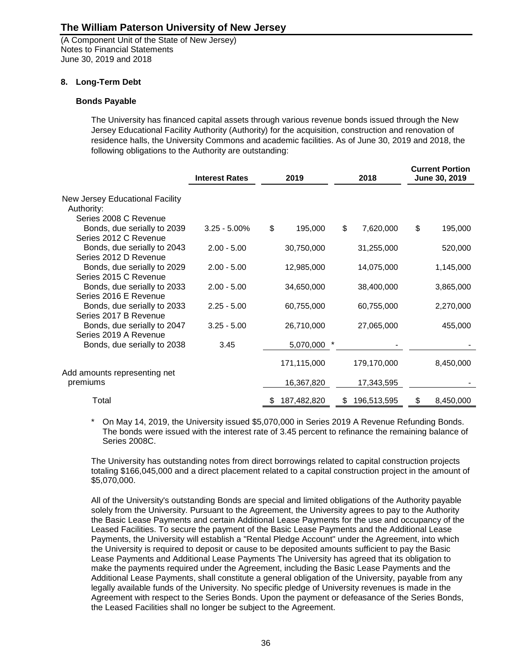(A Component Unit of the State of New Jersey) Notes to Financial Statements June 30, 2019 and 2018

### **8. Long-Term Debt**

### **Bonds Payable**

The University has financed capital assets through various revenue bonds issued through the New Jersey Educational Facility Authority (Authority) for the acquisition, construction and renovation of residence halls, the University Commons and academic facilities. As of June 30, 2019 and 2018, the following obligations to the Authority are outstanding:

|                                                      | <b>Interest Rates</b> |    | 2019        |    | 2018        |    | <b>Current Portion</b><br>June 30, 2019 |  |
|------------------------------------------------------|-----------------------|----|-------------|----|-------------|----|-----------------------------------------|--|
| New Jersey Educational Facility<br>Authority:        |                       |    |             |    |             |    |                                         |  |
| Series 2008 C Revenue                                |                       |    |             |    |             |    |                                         |  |
| Bonds, due serially to 2039<br>Series 2012 C Revenue | $3.25 - 5.00\%$       | \$ | 195,000     | \$ | 7,620,000   | \$ | 195,000                                 |  |
| Bonds, due serially to 2043<br>Series 2012 D Revenue | $2.00 - 5.00$         |    | 30,750,000  |    | 31,255,000  |    | 520,000                                 |  |
| Bonds, due serially to 2029<br>Series 2015 C Revenue | $2.00 - 5.00$         |    | 12,985,000  |    | 14,075,000  |    | 1,145,000                               |  |
| Bonds, due serially to 2033<br>Series 2016 E Revenue | $2.00 - 5.00$         |    | 34,650,000  |    | 38,400,000  |    | 3,865,000                               |  |
| Bonds, due serially to 2033<br>Series 2017 B Revenue | $2.25 - 5.00$         |    | 60,755,000  |    | 60,755,000  |    | 2,270,000                               |  |
| Bonds, due serially to 2047<br>Series 2019 A Revenue | $3.25 - 5.00$         |    | 26,710,000  |    | 27,065,000  |    | 455,000                                 |  |
| Bonds, due serially to 2038                          | 3.45                  |    | 5,070,000 * |    |             |    |                                         |  |
| Add amounts representing net                         |                       |    | 171,115,000 |    | 179,170,000 |    | 8,450,000                               |  |
| premiums                                             |                       |    | 16,367,820  |    | 17,343,595  |    |                                         |  |
| Total                                                |                       | \$ | 187,482,820 | \$ | 196,513,595 | \$ | 8,450,000                               |  |

On May 14, 2019, the University issued \$5,070,000 in Series 2019 A Revenue Refunding Bonds. The bonds were issued with the interest rate of 3.45 percent to refinance the remaining balance of Series 2008C.

The University has outstanding notes from direct borrowings related to capital construction projects totaling \$166,045,000 and a direct placement related to a capital construction project in the amount of \$5,070,000.

All of the University's outstanding Bonds are special and limited obligations of the Authority payable solely from the University. Pursuant to the Agreement, the University agrees to pay to the Authority the Basic Lease Payments and certain Additional Lease Payments for the use and occupancy of the Leased Facilities. To secure the payment of the Basic Lease Payments and the Additional Lease Payments, the University will establish a "Rental Pledge Account" under the Agreement, into which the University is required to deposit or cause to be deposited amounts sufficient to pay the Basic Lease Payments and Additional Lease Payments The University has agreed that its obligation to make the payments required under the Agreement, including the Basic Lease Payments and the Additional Lease Payments, shall constitute a general obligation of the University, payable from any legally available funds of the University. No specific pledge of University revenues is made in the Agreement with respect to the Series Bonds. Upon the payment or defeasance of the Series Bonds, the Leased Facilities shall no longer be subject to the Agreement.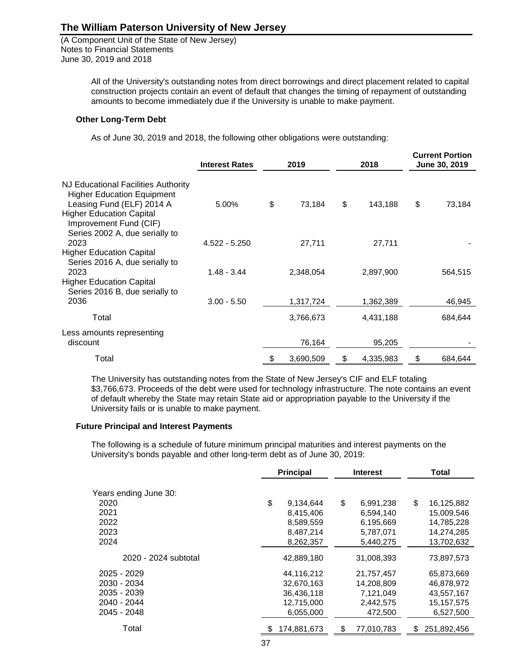(A Component Unit of the State of New Jersey) Notes to Financial Statements June 30, 2019 and 2018

> All of the University's outstanding notes from direct borrowings and direct placement related to capital construction projects contain an event of default that changes the timing of repayment of outstanding amounts to become immediately due if the University is unable to make payment.

#### **Other Long-Term Debt**

As of June 30, 2019 and 2018, the following other obligations were outstanding:

|                                                                                                                                                                                                      | <b>Interest Rates</b> |    | 2019      |    | 2018      | <b>Current Portion</b><br>June 30, 2019 |         |
|------------------------------------------------------------------------------------------------------------------------------------------------------------------------------------------------------|-----------------------|----|-----------|----|-----------|-----------------------------------------|---------|
| NJ Educational Facilities Authority<br><b>Higher Education Equipment</b><br>Leasing Fund (ELF) 2014 A<br><b>Higher Education Capital</b><br>Improvement Fund (CIF)<br>Series 2002 A, due serially to | 5.00%                 | \$ | 73,184    | \$ | 143,188   | \$                                      | 73,184  |
| 2023                                                                                                                                                                                                 | $4.522 - 5.250$       |    | 27,711    |    | 27,711    |                                         |         |
| <b>Higher Education Capital</b><br>Series 2016 A, due serially to<br>2023                                                                                                                            | $1.48 - 3.44$         |    | 2,348,054 |    | 2,897,900 |                                         | 564,515 |
| <b>Higher Education Capital</b><br>Series 2016 B, due serially to                                                                                                                                    |                       |    |           |    |           |                                         |         |
| 2036                                                                                                                                                                                                 | $3.00 - 5.50$         |    | 1,317,724 |    | 1,362,389 |                                         | 46,945  |
| Total                                                                                                                                                                                                |                       |    | 3,766,673 |    | 4,431,188 |                                         | 684,644 |
| Less amounts representing<br>discount                                                                                                                                                                |                       |    | 76,164    |    | 95,205    |                                         |         |
| Total                                                                                                                                                                                                |                       | æ. | 3,690,509 | \$ | 4,335,983 | \$                                      | 684.644 |

The University has outstanding notes from the State of New Jersey's CIF and ELF totaling \$3,766,673. Proceeds of the debt were used for technology infrastructure. The note contains an event of default whereby the State may retain State aid or appropriation payable to the University if the University fails or is unable to make payment.

#### **Future Principal and Interest Payments**

The following is a schedule of future minimum principal maturities and interest payments on the University's bonds payable and other long-term debt as of June 30, 2019:

|                       | <b>Principal</b> | <b>Interest</b>  | <b>Total</b>       |
|-----------------------|------------------|------------------|--------------------|
| Years ending June 30: |                  |                  |                    |
| 2020                  | \$<br>9,134,644  | \$<br>6,991,238  | \$<br>16,125,882   |
| 2021                  | 8,415,406        | 6,594,140        | 15,009,546         |
| 2022                  | 8,589,559        | 6,195,669        | 14,785,228         |
| 2023                  | 8,487,214        | 5,787,071        | 14,274,285         |
| 2024                  | 8,262,357        | 5,440,275        | 13,702,632         |
| 2020 - 2024 subtotal  | 42,889,180       | 31,008,393       | 73,897,573         |
| 2025 - 2029           | 44,116,212       | 21,757,457       | 65,873,669         |
| 2030 - 2034           | 32,670,163       | 14,208,809       | 46,878,972         |
| 2035 - 2039           | 36,436,118       | 7,121,049        | 43,557,167         |
| 2040 - 2044           | 12,715,000       | 2,442,575        | 15, 157, 575       |
| 2045 - 2048           | 6,055,000        | 472,500          | 6,527,500          |
| Total                 | 174,881,673      | \$<br>77,010,783 | 251,892,456<br>\$. |
|                       |                  |                  |                    |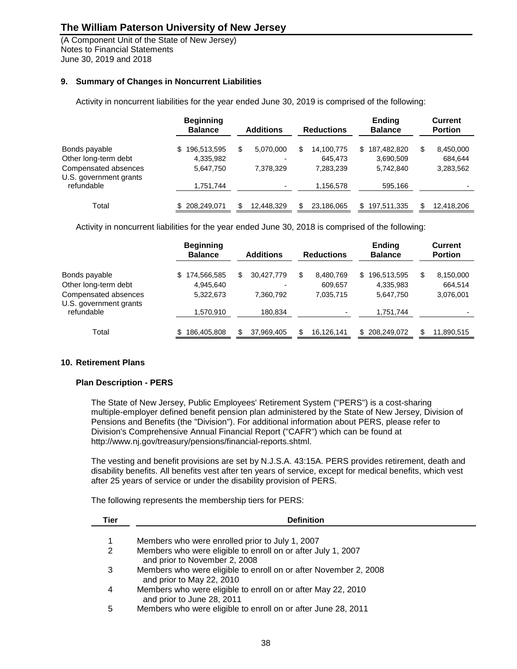(A Component Unit of the State of New Jersey) Notes to Financial Statements June 30, 2019 and 2018

### **9. Summary of Changes in Noncurrent Liabilities**

Activity in noncurrent liabilities for the year ended June 30, 2019 is comprised of the following:

|                                                | <b>Beginning</b><br><b>Balance</b> | <b>Additions</b> |                          | <b>Reductions</b> | <b>Ending</b><br><b>Balance</b> |   | Current<br><b>Portion</b> |
|------------------------------------------------|------------------------------------|------------------|--------------------------|-------------------|---------------------------------|---|---------------------------|
| Bonds payable                                  | 196,513,595<br>S.                  | S<br>5.070.000   | S                        | 14,100,775        | 187,482,820<br>S                | S | 8,450,000                 |
| Other long-term debt                           | 4,335,982                          |                  | $\overline{\phantom{a}}$ | 645.473           | 3,690,509                       |   | 684.644                   |
| Compensated absences<br>U.S. government grants | 5.647.750                          | 7.378.329        |                          | 7.283.239         | 5.742.840                       |   | 3,283,562                 |
| refundable                                     | 1,751,744                          |                  |                          | 1,156,578         | 595,166                         |   |                           |
|                                                |                                    |                  |                          |                   |                                 |   |                           |
| Total                                          | 208,249,071                        | 12.448.329<br>\$ |                          | 23,186,065        | 197,511,335<br>\$               |   | 12,418,206                |

Activity in noncurrent liabilities for the year ended June 30, 2018 is comprised of the following:

|                                                | <b>Beginning</b><br><b>Balance</b> |    | <b>Additions</b>         |   | <b>Reductions</b> | <b>Ending</b><br><b>Balance</b> |     | <b>Current</b><br><b>Portion</b> |
|------------------------------------------------|------------------------------------|----|--------------------------|---|-------------------|---------------------------------|-----|----------------------------------|
| Bonds payable                                  | 174,566,585<br>\$                  | \$ | 30,427,779               | S | 8,480,769         | \$<br>196,513,595               | S   | 8,150,000                        |
| Other long-term debt                           | 4.945.640                          |    | $\overline{\phantom{0}}$ |   | 609,657           | 4,335,983                       |     | 664,514                          |
| Compensated absences<br>U.S. government grants | 5.322.673                          |    | 7.360.792                |   | 7,035,715         | 5,647,750                       |     | 3,076,001                        |
| refundable                                     | 1,570,910                          |    | 180,834                  |   |                   | 1,751,744                       |     |                                  |
| Total                                          | 186,405,808                        | S  | 37,969,405               |   | 16,126,141        | \$<br>208,249,072               | \$. | 11,890,515                       |

### **10. Retirement Plans**

#### **Plan Description - PERS**

The State of New Jersey, Public Employees' Retirement System ("PERS") is a cost-sharing multiple-employer defined benefit pension plan administered by the State of New Jersey, Division of Pensions and Benefits (the "Division"). For additional information about PERS, please refer to Division's Comprehensive Annual Financial Report ("CAFR") which can be found at http://www.nj.gov/treasury/pensions/financial-reports.shtml.

The vesting and benefit provisions are set by N.J.S.A. 43:15A. PERS provides retirement, death and disability benefits. All benefits vest after ten years of service, except for medical benefits, which vest after 25 years of service or under the disability provision of PERS.

The following represents the membership tiers for PERS:

| Tier | <b>Definition</b>                                                                             |
|------|-----------------------------------------------------------------------------------------------|
|      |                                                                                               |
|      | Members who were enrolled prior to July 1, 2007                                               |
| 2    | Members who were eligible to enroll on or after July 1, 2007<br>and prior to November 2, 2008 |
| 3    | Members who were eligible to enroll on or after November 2, 2008<br>and prior to May 22, 2010 |
| 4    | Members who were eligible to enroll on or after May 22, 2010<br>and prior to June 28, 2011    |
| 5    | Members who were eligible to enroll on or after June 28, 2011                                 |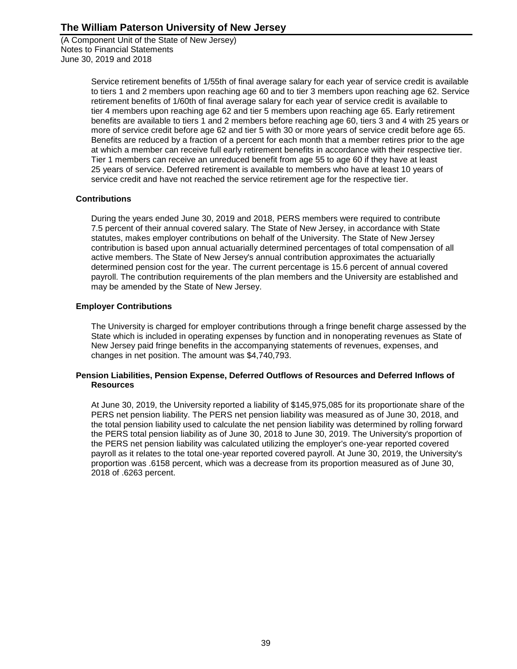(A Component Unit of the State of New Jersey) Notes to Financial Statements June 30, 2019 and 2018

> Service retirement benefits of 1/55th of final average salary for each year of service credit is available to tiers 1 and 2 members upon reaching age 60 and to tier 3 members upon reaching age 62. Service retirement benefits of 1/60th of final average salary for each year of service credit is available to tier 4 members upon reaching age 62 and tier 5 members upon reaching age 65. Early retirement benefits are available to tiers 1 and 2 members before reaching age 60, tiers 3 and 4 with 25 years or more of service credit before age 62 and tier 5 with 30 or more years of service credit before age 65. Benefits are reduced by a fraction of a percent for each month that a member retires prior to the age at which a member can receive full early retirement benefits in accordance with their respective tier. Tier 1 members can receive an unreduced benefit from age 55 to age 60 if they have at least 25 years of service. Deferred retirement is available to members who have at least 10 years of service credit and have not reached the service retirement age for the respective tier.

### **Contributions**

During the years ended June 30, 2019 and 2018, PERS members were required to contribute 7.5 percent of their annual covered salary. The State of New Jersey, in accordance with State statutes, makes employer contributions on behalf of the University. The State of New Jersey contribution is based upon annual actuarially determined percentages of total compensation of all active members. The State of New Jersey's annual contribution approximates the actuarially determined pension cost for the year. The current percentage is 15.6 percent of annual covered payroll. The contribution requirements of the plan members and the University are established and may be amended by the State of New Jersey.

### **Employer Contributions**

The University is charged for employer contributions through a fringe benefit charge assessed by the State which is included in operating expenses by function and in nonoperating revenues as State of New Jersey paid fringe benefits in the accompanying statements of revenues, expenses, and changes in net position. The amount was \$4,740,793.

#### **Pension Liabilities, Pension Expense, Deferred Outflows of Resources and Deferred Inflows of Resources**

At June 30, 2019, the University reported a liability of \$145,975,085 for its proportionate share of the PERS net pension liability. The PERS net pension liability was measured as of June 30, 2018, and the total pension liability used to calculate the net pension liability was determined by rolling forward the PERS total pension liability as of June 30, 2018 to June 30, 2019. The University's proportion of the PERS net pension liability was calculated utilizing the employer's one-year reported covered payroll as it relates to the total one-year reported covered payroll. At June 30, 2019, the University's proportion was .6158 percent, which was a decrease from its proportion measured as of June 30, 2018 of .6263 percent.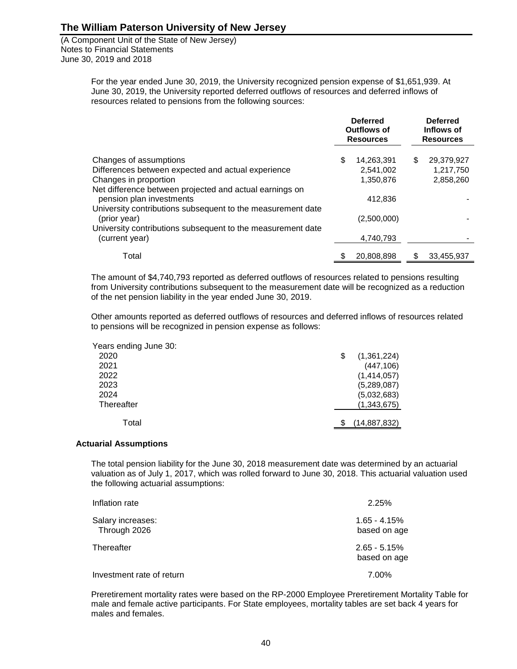(A Component Unit of the State of New Jersey) Notes to Financial Statements June 30, 2019 and 2018

> For the year ended June 30, 2019, the University recognized pension expense of \$1,651,939. At June 30, 2019, the University reported deferred outflows of resources and deferred inflows of resources related to pensions from the following sources:

|                                                                                     | <b>Deferred</b><br>Outflows of<br><b>Resources</b> | <b>Deferred</b><br>Inflows of<br><b>Resources</b> |
|-------------------------------------------------------------------------------------|----------------------------------------------------|---------------------------------------------------|
| Changes of assumptions                                                              | \$<br>14,263,391                                   | \$<br>29,379,927                                  |
| Differences between expected and actual experience                                  | 2,541,002                                          | 1,217,750                                         |
| Changes in proportion                                                               | 1,350,876                                          | 2,858,260                                         |
| Net difference between projected and actual earnings on<br>pension plan investments | 412.836                                            |                                                   |
| University contributions subsequent to the measurement date<br>(prior year)         | (2,500,000)                                        |                                                   |
| University contributions subsequent to the measurement date<br>(current year)       | 4,740,793                                          |                                                   |
| Total                                                                               | 20.808.898                                         | 33,455,937                                        |

The amount of \$4,740,793 reported as deferred outflows of resources related to pensions resulting from University contributions subsequent to the measurement date will be recognized as a reduction of the net pension liability in the year ended June 30, 2019.

Other amounts reported as deferred outflows of resources and deferred inflows of resources related to pensions will be recognized in pension expense as follows:

| Years ending June 30: |   |                |
|-----------------------|---|----------------|
| 2020                  | S | (1,361,224)    |
| 2021                  |   | (447, 106)     |
| 2022                  |   | (1,414,057)    |
| 2023                  |   | (5,289,087)    |
| 2024                  |   | (5,032,683)    |
| Thereafter            |   | (1,343,675)    |
|                       |   |                |
| Total                 |   | (14, 887, 832) |

#### **Actuarial Assumptions**

The total pension liability for the June 30, 2018 measurement date was determined by an actuarial valuation as of July 1, 2017, which was rolled forward to June 30, 2018. This actuarial valuation used the following actuarial assumptions:

| Inflation rate                    | 2.25%                          |
|-----------------------------------|--------------------------------|
| Salary increases:<br>Through 2026 | $1.65 - 4.15%$<br>based on age |
| Thereafter                        | $2.65 - 5.15%$<br>based on age |
| Investment rate of return         | 7.00%                          |

Preretirement mortality rates were based on the RP-2000 Employee Preretirement Mortality Table for male and female active participants. For State employees, mortality tables are set back 4 years for males and females.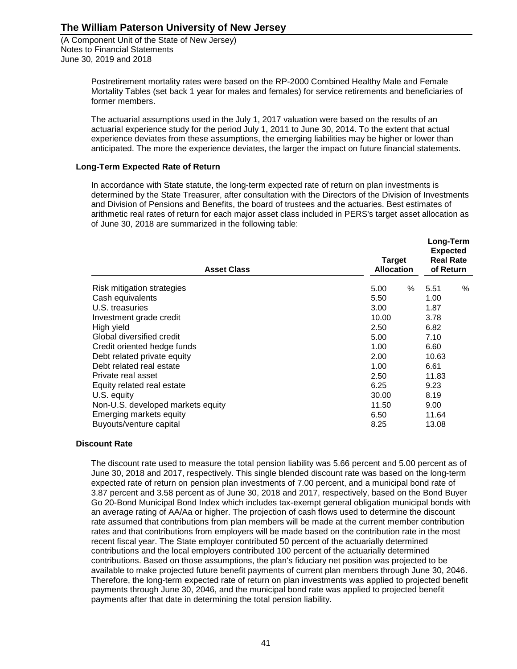(A Component Unit of the State of New Jersey) Notes to Financial Statements June 30, 2019 and 2018

> Postretirement mortality rates were based on the RP-2000 Combined Healthy Male and Female Mortality Tables (set back 1 year for males and females) for service retirements and beneficiaries of former members.

> The actuarial assumptions used in the July 1, 2017 valuation were based on the results of an actuarial experience study for the period July 1, 2011 to June 30, 2014. To the extent that actual experience deviates from these assumptions, the emerging liabilities may be higher or lower than anticipated. The more the experience deviates, the larger the impact on future financial statements.

### **Long-Term Expected Rate of Return**

In accordance with State statute, the long-term expected rate of return on plan investments is determined by the State Treasurer, after consultation with the Directors of the Division of Investments and Division of Pensions and Benefits, the board of trustees and the actuaries. Best estimates of arithmetic real rates of return for each major asset class included in PERS's target asset allocation as of June 30, 2018 are summarized in the following table:

| <b>Asset Class</b>                | <b>Target</b><br><b>Allocation</b> |   |       | Long-Term<br><b>Expected</b><br><b>Real Rate</b><br>of Return |  |
|-----------------------------------|------------------------------------|---|-------|---------------------------------------------------------------|--|
| Risk mitigation strategies        | 5.00                               | % | 5.51  | %                                                             |  |
| Cash equivalents                  | 5.50                               |   | 1.00  |                                                               |  |
| U.S. treasuries                   | 3.00                               |   | 1.87  |                                                               |  |
| Investment grade credit           | 10.00                              |   | 3.78  |                                                               |  |
| High yield                        | 2.50                               |   | 6.82  |                                                               |  |
| Global diversified credit         | 5.00                               |   | 7.10  |                                                               |  |
| Credit oriented hedge funds       | 1.00                               |   | 6.60  |                                                               |  |
| Debt related private equity       | 2.00                               |   | 10.63 |                                                               |  |
| Debt related real estate          | 1.00                               |   | 6.61  |                                                               |  |
| Private real asset                | 2.50                               |   | 11.83 |                                                               |  |
| Equity related real estate        | 6.25                               |   | 9.23  |                                                               |  |
| U.S. equity                       | 30.00                              |   | 8.19  |                                                               |  |
| Non-U.S. developed markets equity | 11.50                              |   | 9.00  |                                                               |  |
| Emerging markets equity           | 6.50                               |   | 11.64 |                                                               |  |
| Buyouts/venture capital           | 8.25                               |   | 13.08 |                                                               |  |

#### **Discount Rate**

The discount rate used to measure the total pension liability was 5.66 percent and 5.00 percent as of June 30, 2018 and 2017, respectively. This single blended discount rate was based on the long-term expected rate of return on pension plan investments of 7.00 percent, and a municipal bond rate of 3.87 percent and 3.58 percent as of June 30, 2018 and 2017, respectively, based on the Bond Buyer Go 20-Bond Municipal Bond Index which includes tax-exempt general obligation municipal bonds with an average rating of AA/Aa or higher. The projection of cash flows used to determine the discount rate assumed that contributions from plan members will be made at the current member contribution rates and that contributions from employers will be made based on the contribution rate in the most recent fiscal year. The State employer contributed 50 percent of the actuarially determined contributions and the local employers contributed 100 percent of the actuarially determined contributions. Based on those assumptions, the plan's fiduciary net position was projected to be available to make projected future benefit payments of current plan members through June 30, 2046. Therefore, the long-term expected rate of return on plan investments was applied to projected benefit payments through June 30, 2046, and the municipal bond rate was applied to projected benefit payments after that date in determining the total pension liability.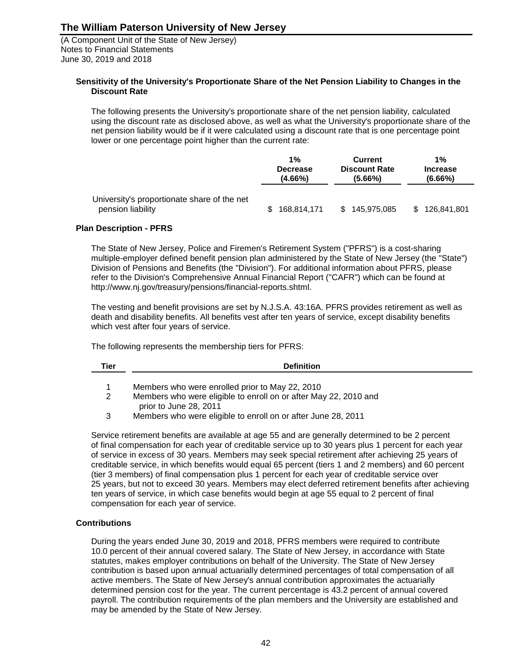(A Component Unit of the State of New Jersey) Notes to Financial Statements June 30, 2019 and 2018

#### **Sensitivity of the University's Proportionate Share of the Net Pension Liability to Changes in the Discount Rate**

The following presents the University's proportionate share of the net pension liability, calculated using the discount rate as disclosed above, as well as what the University's proportionate share of the net pension liability would be if it were calculated using a discount rate that is one percentage point lower or one percentage point higher than the current rate:

|                                                                  | 1%<br><b>Decrease</b><br>$(4.66\%)$ | Current<br><b>Discount Rate</b><br>$(5.66\%)$ | 1%<br><b>Increase</b><br>$(6.66\%)$ |
|------------------------------------------------------------------|-------------------------------------|-----------------------------------------------|-------------------------------------|
| University's proportionate share of the net<br>pension liability | 168.814.171                         | \$145.975.085                                 | \$126,841,801                       |

### **Plan Description - PFRS**

The State of New Jersey, Police and Firemen's Retirement System ("PFRS") is a cost-sharing multiple-employer defined benefit pension plan administered by the State of New Jersey (the "State") Division of Pensions and Benefits (the "Division"). For additional information about PFRS, please refer to the Division's Comprehensive Annual Financial Report ("CAFR") which can be found at http://www.nj.gov/treasury/pensions/financial-reports.shtml.

The vesting and benefit provisions are set by N.J.S.A. 43:16A. PFRS provides retirement as well as death and disability benefits. All benefits vest after ten years of service, except disability benefits which vest after four years of service.

The following represents the membership tiers for PFRS:

| Tier | <b>Definition</b>                                                                          |
|------|--------------------------------------------------------------------------------------------|
|      |                                                                                            |
|      | Members who were enrolled prior to May 22, 2010                                            |
| 2    | Members who were eligible to enroll on or after May 22, 2010 and<br>prior to June 28, 2011 |
| 3    | Members who were eligible to enroll on or after June 28, 2011                              |

Service retirement benefits are available at age 55 and are generally determined to be 2 percent of final compensation for each year of creditable service up to 30 years plus 1 percent for each year of service in excess of 30 years. Members may seek special retirement after achieving 25 years of creditable service, in which benefits would equal 65 percent (tiers 1 and 2 members) and 60 percent (tier 3 members) of final compensation plus 1 percent for each year of creditable service over 25 years, but not to exceed 30 years. Members may elect deferred retirement benefits after achieving ten years of service, in which case benefits would begin at age 55 equal to 2 percent of final compensation for each year of service.

### **Contributions**

During the years ended June 30, 2019 and 2018, PFRS members were required to contribute 10.0 percent of their annual covered salary. The State of New Jersey, in accordance with State statutes, makes employer contributions on behalf of the University. The State of New Jersey contribution is based upon annual actuarially determined percentages of total compensation of all active members. The State of New Jersey's annual contribution approximates the actuarially determined pension cost for the year. The current percentage is 43.2 percent of annual covered payroll. The contribution requirements of the plan members and the University are established and may be amended by the State of New Jersey.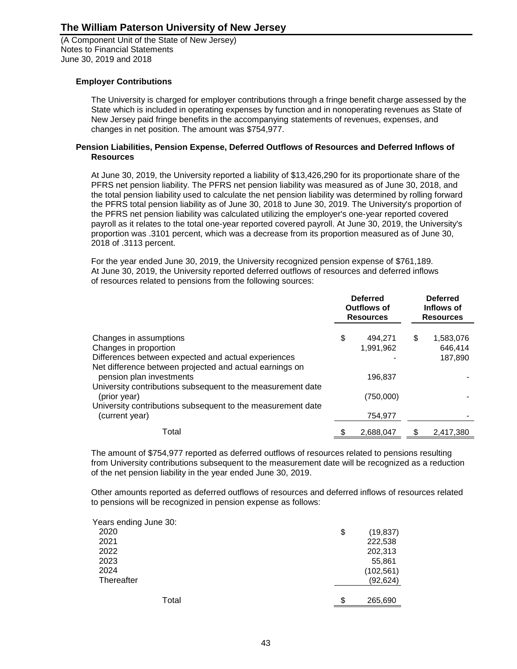(A Component Unit of the State of New Jersey) Notes to Financial Statements June 30, 2019 and 2018

### **Employer Contributions**

The University is charged for employer contributions through a fringe benefit charge assessed by the State which is included in operating expenses by function and in nonoperating revenues as State of New Jersey paid fringe benefits in the accompanying statements of revenues, expenses, and changes in net position. The amount was \$754,977.

#### **Pension Liabilities, Pension Expense, Deferred Outflows of Resources and Deferred Inflows of Resources**

At June 30, 2019, the University reported a liability of \$13,426,290 for its proportionate share of the PFRS net pension liability. The PFRS net pension liability was measured as of June 30, 2018, and the total pension liability used to calculate the net pension liability was determined by rolling forward the PFRS total pension liability as of June 30, 2018 to June 30, 2019. The University's proportion of the PFRS net pension liability was calculated utilizing the employer's one-year reported covered payroll as it relates to the total one-year reported covered payroll. At June 30, 2019, the University's proportion was .3101 percent, which was a decrease from its proportion measured as of June 30, 2018 of .3113 percent.

For the year ended June 30, 2019, the University recognized pension expense of \$761,189. At June 30, 2019, the University reported deferred outflows of resources and deferred inflows of resources related to pensions from the following sources:

|                                                                                                                | <b>Deferred</b><br>Outflows of<br><b>Resources</b> | <b>Deferred</b><br>Inflows of<br><b>Resources</b> |
|----------------------------------------------------------------------------------------------------------------|----------------------------------------------------|---------------------------------------------------|
| Changes in assumptions                                                                                         | \$<br>494.271                                      | \$<br>1,583,076                                   |
| Changes in proportion                                                                                          | 1,991,962                                          | 646.414                                           |
| Differences between expected and actual experiences<br>Net difference between projected and actual earnings on |                                                    | 187,890                                           |
| pension plan investments                                                                                       | 196,837                                            |                                                   |
| University contributions subsequent to the measurement date<br>(prior year)                                    | (750,000)                                          |                                                   |
| University contributions subsequent to the measurement date<br>(current year)                                  | 754,977                                            |                                                   |
| Total                                                                                                          | 2,688,047                                          | 2,417,380                                         |

The amount of \$754,977 reported as deferred outflows of resources related to pensions resulting from University contributions subsequent to the measurement date will be recognized as a reduction of the net pension liability in the year ended June 30, 2019.

Other amounts reported as deferred outflows of resources and deferred inflows of resources related to pensions will be recognized in pension expense as follows:

| Years ending June 30: |                 |
|-----------------------|-----------------|
| 2020                  | \$<br>(19, 837) |
| 2021                  | 222,538         |
| 2022                  | 202,313         |
| 2023                  | 55,861          |
| 2024                  | (102, 561)      |
| Thereafter            | (92, 624)       |
| Total                 | \$<br>265,690   |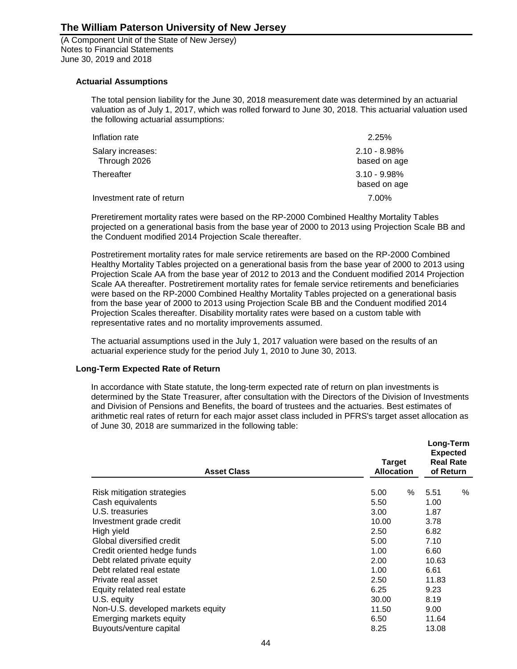(A Component Unit of the State of New Jersey) Notes to Financial Statements June 30, 2019 and 2018

#### **Actuarial Assumptions**

The total pension liability for the June 30, 2018 measurement date was determined by an actuarial valuation as of July 1, 2017, which was rolled forward to June 30, 2018. This actuarial valuation used the following actuarial assumptions:

| Inflation rate                    | 2.25%                           |
|-----------------------------------|---------------------------------|
| Salary increases:<br>Through 2026 | $2.10 - 8.98\%$<br>based on age |
| Thereafter                        | $3.10 - 9.98\%$<br>based on age |
| Investment rate of return         | 7.00%                           |

Preretirement mortality rates were based on the RP-2000 Combined Healthy Mortality Tables projected on a generational basis from the base year of 2000 to 2013 using Projection Scale BB and the Conduent modified 2014 Projection Scale thereafter.

Postretirement mortality rates for male service retirements are based on the RP-2000 Combined Healthy Mortality Tables projected on a generational basis from the base year of 2000 to 2013 using Projection Scale AA from the base year of 2012 to 2013 and the Conduent modified 2014 Projection Scale AA thereafter. Postretirement mortality rates for female service retirements and beneficiaries were based on the RP-2000 Combined Healthy Mortality Tables projected on a generational basis from the base year of 2000 to 2013 using Projection Scale BB and the Conduent modified 2014 Projection Scales thereafter. Disability mortality rates were based on a custom table with representative rates and no mortality improvements assumed.

The actuarial assumptions used in the July 1, 2017 valuation were based on the results of an actuarial experience study for the period July 1, 2010 to June 30, 2013.

### **Long-Term Expected Rate of Return**

In accordance with State statute, the long-term expected rate of return on plan investments is determined by the State Treasurer, after consultation with the Directors of the Division of Investments and Division of Pensions and Benefits, the board of trustees and the actuaries. Best estimates of arithmetic real rates of return for each major asset class included in PFRS's target asset allocation as of June 30, 2018 are summarized in the following table:

**Long-Term** 

| <b>Asset Class</b>                | <b>Target</b><br><b>Allocation</b> | ьонд тогит<br><b>Expected</b><br><b>Real Rate</b><br>of Return |  |
|-----------------------------------|------------------------------------|----------------------------------------------------------------|--|
| Risk mitigation strategies        | %<br>5.00                          | %<br>5.51                                                      |  |
| Cash equivalents                  | 5.50                               | 1.00                                                           |  |
| U.S. treasuries                   | 3.00                               | 1.87                                                           |  |
| Investment grade credit           | 10.00                              | 3.78                                                           |  |
| High yield                        | 2.50                               | 6.82                                                           |  |
| Global diversified credit         | 5.00                               | 7.10                                                           |  |
| Credit oriented hedge funds       | 1.00                               | 6.60                                                           |  |
| Debt related private equity       | 2.00                               | 10.63                                                          |  |
| Debt related real estate          | 1.00                               | 6.61                                                           |  |
| Private real asset                | 2.50                               | 11.83                                                          |  |
| Equity related real estate        | 6.25                               | 9.23                                                           |  |
| U.S. equity                       | 30.00                              | 8.19                                                           |  |
| Non-U.S. developed markets equity | 11.50                              | 9.00                                                           |  |
| Emerging markets equity           | 6.50                               | 11.64                                                          |  |
| Buyouts/venture capital           | 8.25                               | 13.08                                                          |  |
|                                   |                                    |                                                                |  |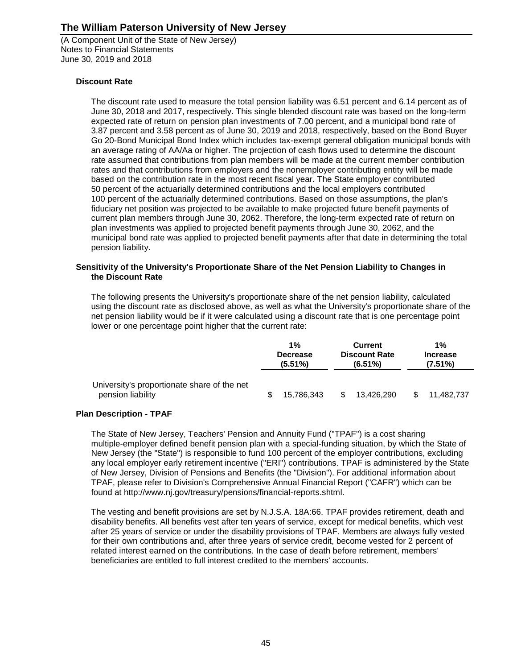(A Component Unit of the State of New Jersey) Notes to Financial Statements June 30, 2019 and 2018

### **Discount Rate**

The discount rate used to measure the total pension liability was 6.51 percent and 6.14 percent as of June 30, 2018 and 2017, respectively. This single blended discount rate was based on the long-term expected rate of return on pension plan investments of 7.00 percent, and a municipal bond rate of 3.87 percent and 3.58 percent as of June 30, 2019 and 2018, respectively, based on the Bond Buyer Go 20-Bond Municipal Bond Index which includes tax-exempt general obligation municipal bonds with an average rating of AA/Aa or higher. The projection of cash flows used to determine the discount rate assumed that contributions from plan members will be made at the current member contribution rates and that contributions from employers and the nonemployer contributing entity will be made based on the contribution rate in the most recent fiscal year. The State employer contributed 50 percent of the actuarially determined contributions and the local employers contributed 100 percent of the actuarially determined contributions. Based on those assumptions, the plan's fiduciary net position was projected to be available to make projected future benefit payments of current plan members through June 30, 2062. Therefore, the long-term expected rate of return on plan investments was applied to projected benefit payments through June 30, 2062, and the municipal bond rate was applied to projected benefit payments after that date in determining the total pension liability.

#### **Sensitivity of the University's Proportionate Share of the Net Pension Liability to Changes in the Discount Rate**

The following presents the University's proportionate share of the net pension liability, calculated using the discount rate as disclosed above, as well as what the University's proportionate share of the net pension liability would be if it were calculated using a discount rate that is one percentage point lower or one percentage point higher that the current rate:

|                                                                  | 1%<br><b>Decrease</b><br>$(5.51\%)$ |    | Current<br><b>Discount Rate</b><br>$(6.51\%)$ |     | $1\%$<br><b>Increase</b><br>$(7.51\%)$ |
|------------------------------------------------------------------|-------------------------------------|----|-----------------------------------------------|-----|----------------------------------------|
| University's proportionate share of the net<br>pension liability | 15.786.343                          | S. | 13.426.290                                    | \$. | 11.482.737                             |

### **Plan Description - TPAF**

The State of New Jersey, Teachers' Pension and Annuity Fund ("TPAF") is a cost sharing multiple-employer defined benefit pension plan with a special-funding situation, by which the State of New Jersey (the "State") is responsible to fund 100 percent of the employer contributions, excluding any local employer early retirement incentive ("ERI") contributions. TPAF is administered by the State of New Jersey, Division of Pensions and Benefits (the "Division"). For additional information about TPAF, please refer to Division's Comprehensive Annual Financial Report ("CAFR") which can be found at http://www.nj.gov/treasury/pensions/financial-reports.shtml.

The vesting and benefit provisions are set by N.J.S.A. 18A:66. TPAF provides retirement, death and disability benefits. All benefits vest after ten years of service, except for medical benefits, which vest after 25 years of service or under the disability provisions of TPAF. Members are always fully vested for their own contributions and, after three years of service credit, become vested for 2 percent of related interest earned on the contributions. In the case of death before retirement, members' beneficiaries are entitled to full interest credited to the members' accounts.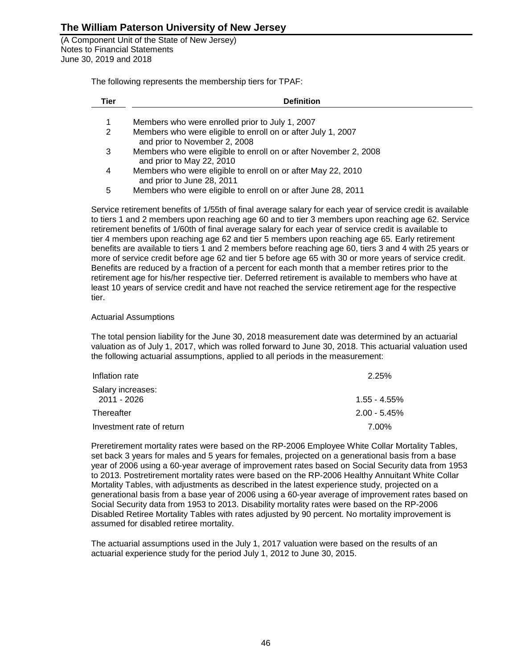(A Component Unit of the State of New Jersey) Notes to Financial Statements June 30, 2019 and 2018

The following represents the membership tiers for TPAF:

| Tier | <b>Definition</b>                                                                             |
|------|-----------------------------------------------------------------------------------------------|
|      |                                                                                               |
|      | Members who were enrolled prior to July 1, 2007                                               |
| 2    | Members who were eligible to enroll on or after July 1, 2007<br>and prior to November 2, 2008 |
| 3    | Members who were eligible to enroll on or after November 2, 2008<br>and prior to May 22, 2010 |
| 4    | Members who were eligible to enroll on or after May 22, 2010<br>and prior to June 28, 2011    |
| 5    | Members who were eligible to enroll on or after June 28, 2011                                 |

Service retirement benefits of 1/55th of final average salary for each year of service credit is available to tiers 1 and 2 members upon reaching age 60 and to tier 3 members upon reaching age 62. Service retirement benefits of 1/60th of final average salary for each year of service credit is available to tier 4 members upon reaching age 62 and tier 5 members upon reaching age 65. Early retirement benefits are available to tiers 1 and 2 members before reaching age 60, tiers 3 and 4 with 25 years or more of service credit before age 62 and tier 5 before age 65 with 30 or more years of service credit. Benefits are reduced by a fraction of a percent for each month that a member retires prior to the retirement age for his/her respective tier. Deferred retirement is available to members who have at least 10 years of service credit and have not reached the service retirement age for the respective tier.

### Actuarial Assumptions

The total pension liability for the June 30, 2018 measurement date was determined by an actuarial valuation as of July 1, 2017, which was rolled forward to June 30, 2018. This actuarial valuation used the following actuarial assumptions, applied to all periods in the measurement:

| Inflation rate                   | 2.25%           |
|----------------------------------|-----------------|
| Salary increases:<br>2011 - 2026 | $1.55 - 4.55\%$ |
| Thereafter                       | $2.00 - 5.45\%$ |
| Investment rate of return        | 7.00%           |

Preretirement mortality rates were based on the RP-2006 Employee White Collar Mortality Tables, set back 3 years for males and 5 years for females, projected on a generational basis from a base year of 2006 using a 60-year average of improvement rates based on Social Security data from 1953 to 2013. Postretirement mortality rates were based on the RP-2006 Healthy Annuitant White Collar Mortality Tables, with adjustments as described in the latest experience study, projected on a generational basis from a base year of 2006 using a 60-year average of improvement rates based on Social Security data from 1953 to 2013. Disability mortality rates were based on the RP-2006 Disabled Retiree Mortality Tables with rates adjusted by 90 percent. No mortality improvement is assumed for disabled retiree mortality.

The actuarial assumptions used in the July 1, 2017 valuation were based on the results of an actuarial experience study for the period July 1, 2012 to June 30, 2015.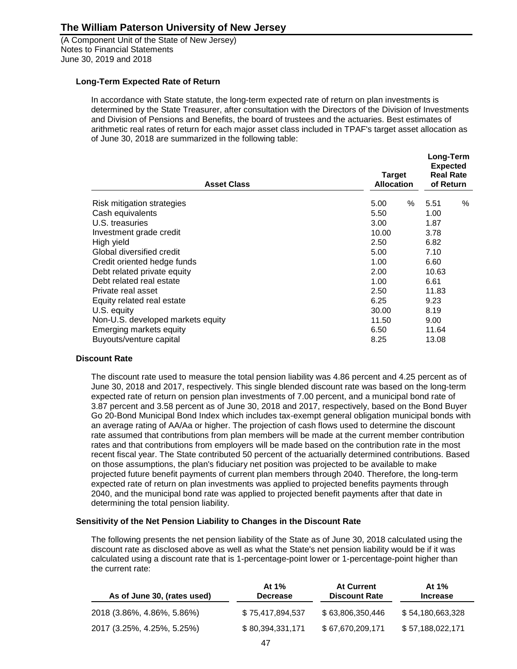(A Component Unit of the State of New Jersey) Notes to Financial Statements June 30, 2019 and 2018

### **Long-Term Expected Rate of Return**

In accordance with State statute, the long-term expected rate of return on plan investments is determined by the State Treasurer, after consultation with the Directors of the Division of Investments and Division of Pensions and Benefits, the board of trustees and the actuaries. Best estimates of arithmetic real rates of return for each major asset class included in TPAF's target asset allocation as of June 30, 2018 are summarized in the following table:

| <b>Asset Class</b>                | <b>Target</b><br><b>Allocation</b> | Long-Term<br><b>Expected</b><br><b>Real Rate</b><br>of Return |  |
|-----------------------------------|------------------------------------|---------------------------------------------------------------|--|
| Risk mitigation strategies        | $\%$<br>5.00                       | %<br>5.51                                                     |  |
| Cash equivalents                  | 5.50                               | 1.00                                                          |  |
| U.S. treasuries                   | 3.00                               | 1.87                                                          |  |
| Investment grade credit           | 10.00                              | 3.78                                                          |  |
| High yield                        | 2.50                               | 6.82                                                          |  |
| Global diversified credit         | 5.00                               | 7.10                                                          |  |
| Credit oriented hedge funds       | 1.00                               | 6.60                                                          |  |
| Debt related private equity       | 2.00                               | 10.63                                                         |  |
| Debt related real estate          | 1.00                               | 6.61                                                          |  |
| Private real asset                | 2.50                               | 11.83                                                         |  |
| Equity related real estate        | 6.25                               | 9.23                                                          |  |
| U.S. equity                       | 30.00                              | 8.19                                                          |  |
| Non-U.S. developed markets equity | 11.50                              | 9.00                                                          |  |
| Emerging markets equity           | 6.50                               | 11.64                                                         |  |
| Buyouts/venture capital           | 8.25                               | 13.08                                                         |  |
|                                   |                                    |                                                               |  |

#### **Discount Rate**

The discount rate used to measure the total pension liability was 4.86 percent and 4.25 percent as of June 30, 2018 and 2017, respectively. This single blended discount rate was based on the long-term expected rate of return on pension plan investments of 7.00 percent, and a municipal bond rate of 3.87 percent and 3.58 percent as of June 30, 2018 and 2017, respectively, based on the Bond Buyer Go 20-Bond Municipal Bond Index which includes tax-exempt general obligation municipal bonds with an average rating of AA/Aa or higher. The projection of cash flows used to determine the discount rate assumed that contributions from plan members will be made at the current member contribution rates and that contributions from employers will be made based on the contribution rate in the most recent fiscal year. The State contributed 50 percent of the actuarially determined contributions. Based on those assumptions, the plan's fiduciary net position was projected to be available to make projected future benefit payments of current plan members through 2040. Therefore, the long-term expected rate of return on plan investments was applied to projected benefits payments through 2040, and the municipal bond rate was applied to projected benefit payments after that date in determining the total pension liability.

#### **Sensitivity of the Net Pension Liability to Changes in the Discount Rate**

The following presents the net pension liability of the State as of June 30, 2018 calculated using the discount rate as disclosed above as well as what the State's net pension liability would be if it was calculated using a discount rate that is 1-percentage-point lower or 1-percentage-point higher than the current rate:

| As of June 30, (rates used) | At $1\%$<br><b>Decrease</b> | <b>At Current</b><br><b>Discount Rate</b> | At $1\%$<br><b>Increase</b> |
|-----------------------------|-----------------------------|-------------------------------------------|-----------------------------|
| 2018 (3.86%, 4.86%, 5.86%)  | \$75.417.894.537            | \$63,806,350,446                          | \$54,180,663,328            |
| 2017 (3.25%, 4.25%, 5.25%)  | \$80,394,331,171            | \$67,670,209,171                          | \$57,188,022,171            |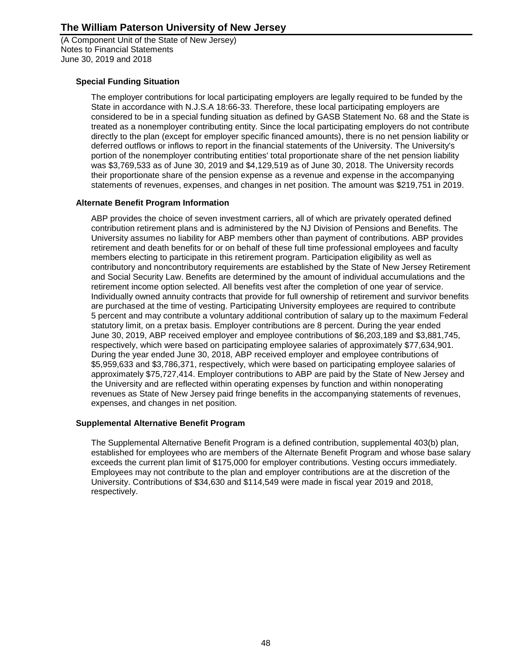(A Component Unit of the State of New Jersey) Notes to Financial Statements June 30, 2019 and 2018

### **Special Funding Situation**

The employer contributions for local participating employers are legally required to be funded by the State in accordance with N.J.S.A 18:66-33. Therefore, these local participating employers are considered to be in a special funding situation as defined by GASB Statement No. 68 and the State is treated as a nonemployer contributing entity. Since the local participating employers do not contribute directly to the plan (except for employer specific financed amounts), there is no net pension liability or deferred outflows or inflows to report in the financial statements of the University. The University's portion of the nonemployer contributing entities' total proportionate share of the net pension liability was \$3,769,533 as of June 30, 2019 and \$4,129,519 as of June 30, 2018. The University records their proportionate share of the pension expense as a revenue and expense in the accompanying statements of revenues, expenses, and changes in net position. The amount was \$219,751 in 2019.

### **Alternate Benefit Program Information**

ABP provides the choice of seven investment carriers, all of which are privately operated defined contribution retirement plans and is administered by the NJ Division of Pensions and Benefits. The University assumes no liability for ABP members other than payment of contributions. ABP provides retirement and death benefits for or on behalf of these full time professional employees and faculty members electing to participate in this retirement program. Participation eligibility as well as contributory and noncontributory requirements are established by the State of New Jersey Retirement and Social Security Law. Benefits are determined by the amount of individual accumulations and the retirement income option selected. All benefits vest after the completion of one year of service. Individually owned annuity contracts that provide for full ownership of retirement and survivor benefits are purchased at the time of vesting. Participating University employees are required to contribute 5 percent and may contribute a voluntary additional contribution of salary up to the maximum Federal statutory limit, on a pretax basis. Employer contributions are 8 percent. During the year ended June 30, 2019, ABP received employer and employee contributions of \$6,203,189 and \$3,881,745, respectively, which were based on participating employee salaries of approximately \$77,634,901. During the year ended June 30, 2018, ABP received employer and employee contributions of \$5,959,633 and \$3,786,371, respectively, which were based on participating employee salaries of approximately \$75,727,414. Employer contributions to ABP are paid by the State of New Jersey and the University and are reflected within operating expenses by function and within nonoperating revenues as State of New Jersey paid fringe benefits in the accompanying statements of revenues, expenses, and changes in net position.

### **Supplemental Alternative Benefit Program**

The Supplemental Alternative Benefit Program is a defined contribution, supplemental 403(b) plan, established for employees who are members of the Alternate Benefit Program and whose base salary exceeds the current plan limit of \$175,000 for employer contributions. Vesting occurs immediately. Employees may not contribute to the plan and employer contributions are at the discretion of the University. Contributions of \$34,630 and \$114,549 were made in fiscal year 2019 and 2018, respectively.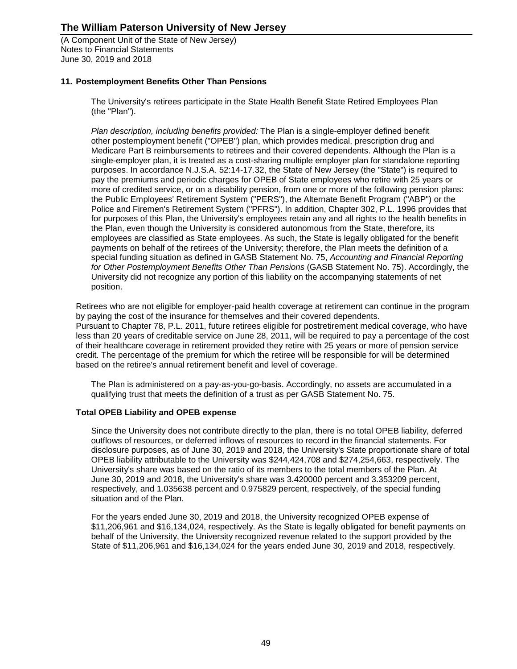(A Component Unit of the State of New Jersey) Notes to Financial Statements June 30, 2019 and 2018

### **11. Postemployment Benefits Other Than Pensions**

The University's retirees participate in the State Health Benefit State Retired Employees Plan (the "Plan").

*Plan description, including benefits provided:* The Plan is a single-employer defined benefit other postemployment benefit ("OPEB") plan, which provides medical, prescription drug and Medicare Part B reimbursements to retirees and their covered dependents. Although the Plan is a single-employer plan, it is treated as a cost-sharing multiple employer plan for standalone reporting purposes. In accordance N.J.S.A. 52:14-17.32, the State of New Jersey (the "State") is required to pay the premiums and periodic charges for OPEB of State employees who retire with 25 years or more of credited service, or on a disability pension, from one or more of the following pension plans: the Public Employees' Retirement System ("PERS"), the Alternate Benefit Program ("ABP") or the Police and Firemen's Retirement System ("PFRS"). In addition, Chapter 302, P.L. 1996 provides that for purposes of this Plan, the University's employees retain any and all rights to the health benefits in the Plan, even though the University is considered autonomous from the State, therefore, its employees are classified as State employees. As such, the State is legally obligated for the benefit payments on behalf of the retirees of the University; therefore, the Plan meets the definition of a special funding situation as defined in GASB Statement No. 75, *Accounting and Financial Reporting*  for Other Postemployment Benefits Other Than Pensions (GASB Statement No. 75). Accordingly, the University did not recognize any portion of this liability on the accompanying statements of net position.

Retirees who are not eligible for employer-paid health coverage at retirement can continue in the program by paying the cost of the insurance for themselves and their covered dependents. Pursuant to Chapter 78, P.L. 2011, future retirees eligible for postretirement medical coverage, who have less than 20 years of creditable service on June 28, 2011, will be required to pay a percentage of the cost of their healthcare coverage in retirement provided they retire with 25 years or more of pension service credit. The percentage of the premium for which the retiree will be responsible for will be determined based on the retiree's annual retirement benefit and level of coverage.

The Plan is administered on a pay-as-you-go-basis. Accordingly, no assets are accumulated in a qualifying trust that meets the definition of a trust as per GASB Statement No. 75.

#### **Total OPEB Liability and OPEB expense**

Since the University does not contribute directly to the plan, there is no total OPEB liability, deferred outflows of resources, or deferred inflows of resources to record in the financial statements. For disclosure purposes, as of June 30, 2019 and 2018, the University's State proportionate share of total OPEB liability attributable to the University was \$244,424,708 and \$274,254,663, respectively. The University's share was based on the ratio of its members to the total members of the Plan. At June 30, 2019 and 2018, the University's share was 3.420000 percent and 3.353209 percent, respectively, and 1.035638 percent and 0.975829 percent, respectively, of the special funding situation and of the Plan.

For the years ended June 30, 2019 and 2018, the University recognized OPEB expense of \$11,206,961 and \$16,134,024, respectively. As the State is legally obligated for benefit payments on behalf of the University, the University recognized revenue related to the support provided by the State of \$11,206,961 and \$16,134,024 for the years ended June 30, 2019 and 2018, respectively.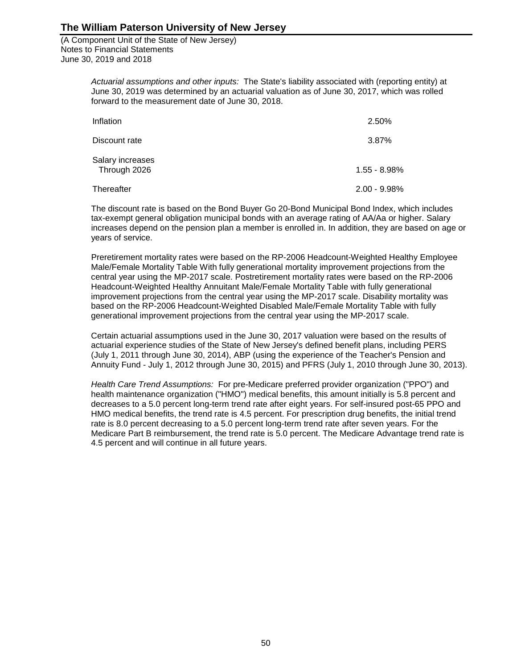(A Component Unit of the State of New Jersey) Notes to Financial Statements June 30, 2019 and 2018

> *Actuarial assumptions and other inputs:* The State's liability associated with (reporting entity) at June 30, 2019 was determined by an actuarial valuation as of June 30, 2017, which was rolled forward to the measurement date of June 30, 2018.

| Inflation                        | 2.50%           |
|----------------------------------|-----------------|
| Discount rate                    | 3.87%           |
| Salary increases<br>Through 2026 | $1.55 - 8.98\%$ |
| Thereafter                       | $2.00 - 9.98\%$ |

The discount rate is based on the Bond Buyer Go 20-Bond Municipal Bond Index, which includes tax-exempt general obligation municipal bonds with an average rating of AA/Aa or higher. Salary increases depend on the pension plan a member is enrolled in. In addition, they are based on age or years of service.

Preretirement mortality rates were based on the RP-2006 Headcount-Weighted Healthy Employee Male/Female Mortality Table With fully generational mortality improvement projections from the central year using the MP-2017 scale. Postretirement mortality rates were based on the RP-2006 Headcount-Weighted Healthy Annuitant Male/Female Mortality Table with fully generational improvement projections from the central year using the MP-2017 scale. Disability mortality was based on the RP-2006 Headcount-Weighted Disabled Male/Female Mortality Table with fully generational improvement projections from the central year using the MP-2017 scale.

Certain actuarial assumptions used in the June 30, 2017 valuation were based on the results of actuarial experience studies of the State of New Jersey's defined benefit plans, including PERS (July 1, 2011 through June 30, 2014), ABP (using the experience of the Teacher's Pension and Annuity Fund - July 1, 2012 through June 30, 2015) and PFRS (July 1, 2010 through June 30, 2013).

*Health Care Trend Assumptions:* For pre-Medicare preferred provider organization ("PPO") and health maintenance organization ("HMO") medical benefits, this amount initially is 5.8 percent and decreases to a 5.0 percent long-term trend rate after eight years. For self-insured post-65 PPO and HMO medical benefits, the trend rate is 4.5 percent. For prescription drug benefits, the initial trend rate is 8.0 percent decreasing to a 5.0 percent long-term trend rate after seven years. For the Medicare Part B reimbursement, the trend rate is 5.0 percent. The Medicare Advantage trend rate is 4.5 percent and will continue in all future years.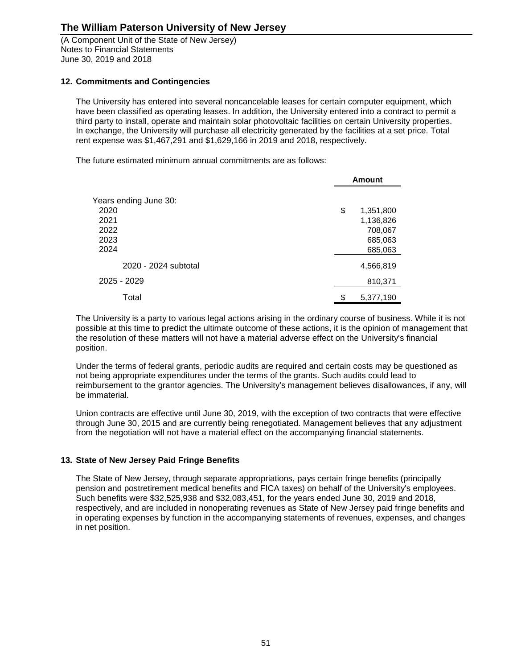(A Component Unit of the State of New Jersey) Notes to Financial Statements June 30, 2019 and 2018

### **12. Commitments and Contingencies**

The University has entered into several noncancelable leases for certain computer equipment, which have been classified as operating leases. In addition, the University entered into a contract to permit a third party to install, operate and maintain solar photovoltaic facilities on certain University properties. In exchange, the University will purchase all electricity generated by the facilities at a set price. Total rent expense was \$1,467,291 and \$1,629,166 in 2019 and 2018, respectively.

The future estimated minimum annual commitments are as follows:

|                       | <b>Amount</b>   |
|-----------------------|-----------------|
| Years ending June 30: |                 |
| 2020                  | \$<br>1,351,800 |
| 2021                  | 1,136,826       |
| 2022                  | 708,067         |
| 2023                  | 685,063         |
| 2024                  | 685,063         |
| 2020 - 2024 subtotal  | 4,566,819       |
| 2025 - 2029           | 810,371         |
| Total                 | \$<br>5,377,190 |

The University is a party to various legal actions arising in the ordinary course of business. While it is not possible at this time to predict the ultimate outcome of these actions, it is the opinion of management that the resolution of these matters will not have a material adverse effect on the University's financial position.

Under the terms of federal grants, periodic audits are required and certain costs may be questioned as not being appropriate expenditures under the terms of the grants. Such audits could lead to reimbursement to the grantor agencies. The University's management believes disallowances, if any, will be immaterial.

Union contracts are effective until June 30, 2019, with the exception of two contracts that were effective through June 30, 2015 and are currently being renegotiated. Management believes that any adjustment from the negotiation will not have a material effect on the accompanying financial statements.

### **13. State of New Jersey Paid Fringe Benefits**

The State of New Jersey, through separate appropriations, pays certain fringe benefits (principally pension and postretirement medical benefits and FICA taxes) on behalf of the University's employees. Such benefits were \$32,525,938 and \$32,083,451, for the years ended June 30, 2019 and 2018, respectively, and are included in nonoperating revenues as State of New Jersey paid fringe benefits and in operating expenses by function in the accompanying statements of revenues, expenses, and changes in net position.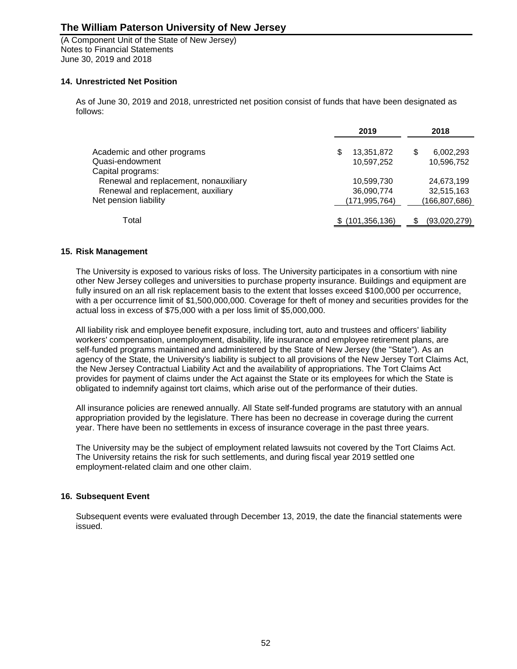(A Component Unit of the State of New Jersey) Notes to Financial Statements June 30, 2019 and 2018

### **14. Unrestricted Net Position**

As of June 30, 2019 and 2018, unrestricted net position consist of funds that have been designated as follows:

|                                       | 2019             | 2018            |
|---------------------------------------|------------------|-----------------|
| Academic and other programs           | \$<br>13,351,872 | 6,002,293<br>S  |
| Quasi-endowment                       | 10,597,252       | 10,596,752      |
| Capital programs:                     |                  |                 |
| Renewal and replacement, nonauxiliary | 10,599,730       | 24,673,199      |
| Renewal and replacement, auxiliary    | 36,090,774       | 32,515,163      |
| Net pension liability                 | (171,995,764)    | (166, 807, 686) |
|                                       |                  |                 |
| Total                                 | (101, 356, 136)  | (93,020,279)    |

### **15. Risk Management**

The University is exposed to various risks of loss. The University participates in a consortium with nine other New Jersey colleges and universities to purchase property insurance. Buildings and equipment are fully insured on an all risk replacement basis to the extent that losses exceed \$100,000 per occurrence, with a per occurrence limit of \$1,500,000,000. Coverage for theft of money and securities provides for the actual loss in excess of \$75,000 with a per loss limit of \$5,000,000.

All liability risk and employee benefit exposure, including tort, auto and trustees and officers' liability workers' compensation, unemployment, disability, life insurance and employee retirement plans, are self-funded programs maintained and administered by the State of New Jersey (the "State"). As an agency of the State, the University's liability is subject to all provisions of the New Jersey Tort Claims Act, the New Jersey Contractual Liability Act and the availability of appropriations. The Tort Claims Act provides for payment of claims under the Act against the State or its employees for which the State is obligated to indemnify against tort claims, which arise out of the performance of their duties.

All insurance policies are renewed annually. All State self-funded programs are statutory with an annual appropriation provided by the legislature. There has been no decrease in coverage during the current year. There have been no settlements in excess of insurance coverage in the past three years.

The University may be the subject of employment related lawsuits not covered by the Tort Claims Act. The University retains the risk for such settlements, and during fiscal year 2019 settled one employment-related claim and one other claim.

### **16. Subsequent Event**

Subsequent events were evaluated through December 13, 2019, the date the financial statements were issued.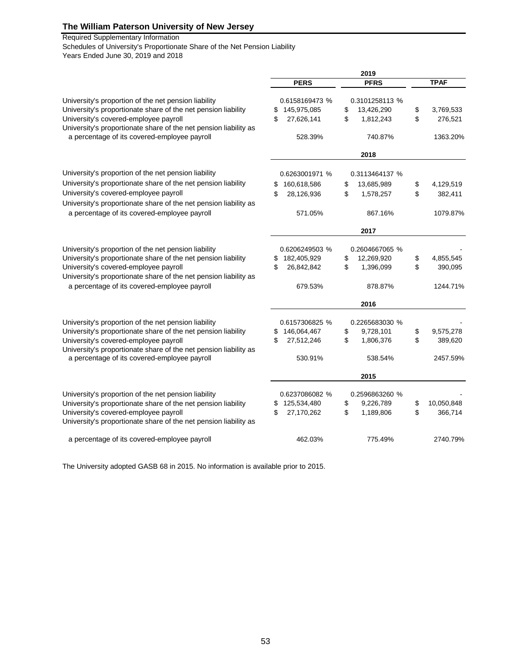Required Supplementary Information

Schedules of University's Proportionate Share of the Net Pension Liability Years Ended June 30, 2019 and 2018

|                                                                                                           | 2019 |                |    |                |    |             |
|-----------------------------------------------------------------------------------------------------------|------|----------------|----|----------------|----|-------------|
|                                                                                                           |      | <b>PERS</b>    |    | <b>PFRS</b>    |    | <b>TPAF</b> |
| University's proportion of the net pension liability                                                      |      | 0.6158169473 % |    | 0.3101258113 % |    |             |
| University's proportionate share of the net pension liability                                             | \$   | 145,975,085    | \$ | 13,426,290     | \$ | 3,769,533   |
| University's covered-employee payroll                                                                     | \$   | 27,626,141     | \$ | 1,812,243      | \$ | 276,521     |
| University's proportionate share of the net pension liability as                                          |      |                |    |                |    |             |
| a percentage of its covered-employee payroll                                                              |      | 528.39%        |    | 740.87%        |    | 1363.20%    |
|                                                                                                           |      |                |    | 2018           |    |             |
| University's proportion of the net pension liability                                                      |      | 0.6263001971 % |    | 0.3113464137 % |    |             |
| University's proportionate share of the net pension liability                                             | \$   | 160,618,586    | \$ | 13,685,989     | \$ | 4,129,519   |
| University's covered-employee payroll                                                                     | \$   | 28,126,936     | \$ | 1,578,257      | \$ | 382,411     |
| University's proportionate share of the net pension liability as                                          |      |                |    |                |    |             |
| a percentage of its covered-employee payroll                                                              |      | 571.05%        |    | 867.16%        |    | 1079.87%    |
|                                                                                                           |      |                |    | 2017           |    |             |
| University's proportion of the net pension liability                                                      |      | 0.6206249503 % |    | 0.2604667065 % |    |             |
| University's proportionate share of the net pension liability                                             | \$   | 182,405,929    | \$ | 12,269,920     | \$ | 4,855,545   |
| University's covered-employee payroll                                                                     | \$   | 26,842,842     | \$ | 1,396,099      | \$ | 390,095     |
| University's proportionate share of the net pension liability as                                          |      |                |    |                |    |             |
| a percentage of its covered-employee payroll                                                              |      | 679.53%        |    | 878.87%        |    | 1244.71%    |
|                                                                                                           |      |                |    | 2016           |    |             |
|                                                                                                           |      |                |    |                |    |             |
| University's proportion of the net pension liability                                                      |      | 0.6157306825 % |    | 0.2265683030 % |    |             |
| University's proportionate share of the net pension liability                                             | \$   | 146,064,467    | \$ | 9,728,101      | \$ | 9,575,278   |
| University's covered-employee payroll<br>University's proportionate share of the net pension liability as | \$   | 27,512,246     | \$ | 1,806,376      | \$ | 389,620     |
| a percentage of its covered-employee payroll                                                              |      | 530.91%        |    | 538.54%        |    | 2457.59%    |
|                                                                                                           |      |                |    | 2015           |    |             |
| University's proportion of the net pension liability                                                      |      | 0.6237086082 % |    | 0.2596863260 % |    |             |
| University's proportionate share of the net pension liability                                             |      | 125,534,480    | \$ | 9,226,789      | \$ | 10,050,848  |
| University's covered-employee payroll                                                                     | \$   | 27,170,262     | \$ | 1,189,806      | \$ | 366,714     |
| University's proportionate share of the net pension liability as                                          |      |                |    |                |    |             |
| a percentage of its covered-employee payroll                                                              |      | 462.03%        |    | 775.49%        |    | 2740.79%    |

The University adopted GASB 68 in 2015. No information is available prior to 2015.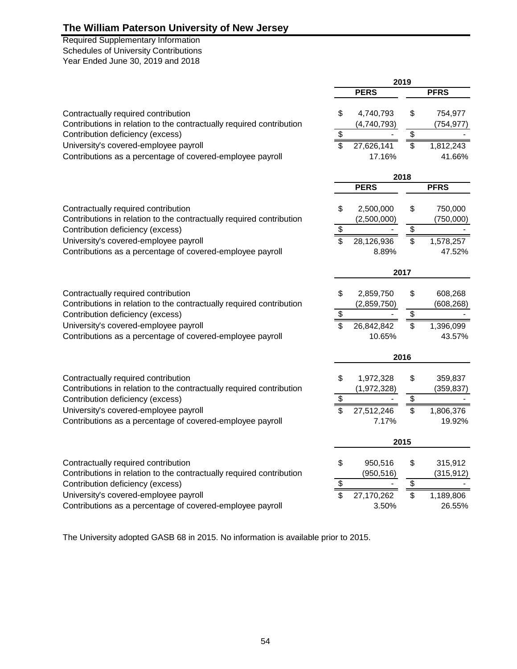Required Supplementary Information Year Ended June 30, 2019 and 2018 Schedules of University Contributions

|                                                                                                             | 2019                    |                          |                         |                       |
|-------------------------------------------------------------------------------------------------------------|-------------------------|--------------------------|-------------------------|-----------------------|
|                                                                                                             |                         | <b>PERS</b>              |                         | <b>PFRS</b>           |
|                                                                                                             |                         |                          |                         |                       |
| Contractually required contribution<br>Contributions in relation to the contractually required contribution | \$                      | 4,740,793<br>(4,740,793) | \$                      | 754,977<br>(754, 977) |
| Contribution deficiency (excess)                                                                            | \$                      |                          | \$                      |                       |
| University's covered-employee payroll                                                                       | \$                      | 27,626,141               | $\overline{\mathbb{S}}$ | 1,812,243             |
| Contributions as a percentage of covered-employee payroll                                                   |                         | 17.16%                   |                         | 41.66%                |
|                                                                                                             |                         |                          |                         |                       |
|                                                                                                             |                         |                          | 2018                    |                       |
|                                                                                                             |                         | <b>PERS</b>              |                         | <b>PFRS</b>           |
| Contractually required contribution                                                                         | \$                      | 2,500,000                | \$                      | 750,000               |
| Contributions in relation to the contractually required contribution                                        |                         | (2,500,000)              |                         | (750,000)             |
| Contribution deficiency (excess)                                                                            | \$                      |                          | \$                      |                       |
| University's covered-employee payroll                                                                       | $\overline{\mathbf{s}}$ | 28,126,936               | \$                      | 1,578,257             |
| Contributions as a percentage of covered-employee payroll                                                   |                         | 8.89%                    |                         | 47.52%                |
|                                                                                                             |                         |                          |                         |                       |
|                                                                                                             |                         |                          | 2017                    |                       |
| Contractually required contribution                                                                         | \$                      | 2,859,750                | \$                      | 608,268               |
| Contributions in relation to the contractually required contribution                                        |                         | (2,859,750)              |                         | (608, 268)            |
| Contribution deficiency (excess)                                                                            | \$                      |                          | \$                      |                       |
| University's covered-employee payroll                                                                       | \$                      | 26,842,842               |                         | 1,396,099             |
| Contributions as a percentage of covered-employee payroll                                                   |                         | 10.65%                   |                         | 43.57%                |
|                                                                                                             |                         |                          | 2016                    |                       |
|                                                                                                             |                         |                          |                         |                       |
| Contractually required contribution                                                                         | \$                      | 1,972,328                | \$                      | 359,837               |
| Contributions in relation to the contractually required contribution                                        |                         | (1,972,328)              |                         | (359, 837)            |
| Contribution deficiency (excess)                                                                            | \$                      |                          | \$                      |                       |
| University's covered-employee payroll                                                                       | \$                      | 27,512,246               | \$                      | 1,806,376             |
| Contributions as a percentage of covered-employee payroll                                                   |                         | 7.17%                    |                         | 19.92%                |
|                                                                                                             |                         |                          | 2015                    |                       |
|                                                                                                             |                         |                          |                         |                       |
| Contractually required contribution                                                                         | \$                      | 950,516                  | \$                      | 315,912               |
| Contributions in relation to the contractually required contribution                                        |                         | (950, 516)               |                         | (315, 912)            |
| Contribution deficiency (excess)                                                                            | \$                      |                          | \$<br>\$                |                       |
| University's covered-employee payroll<br>Contributions as a percentage of covered-employee payroll          | $\overline{\$}$         | 27,170,262               |                         | 1,189,806             |
|                                                                                                             |                         | 3.50%                    |                         | 26.55%                |

The University adopted GASB 68 in 2015. No information is available prior to 2015.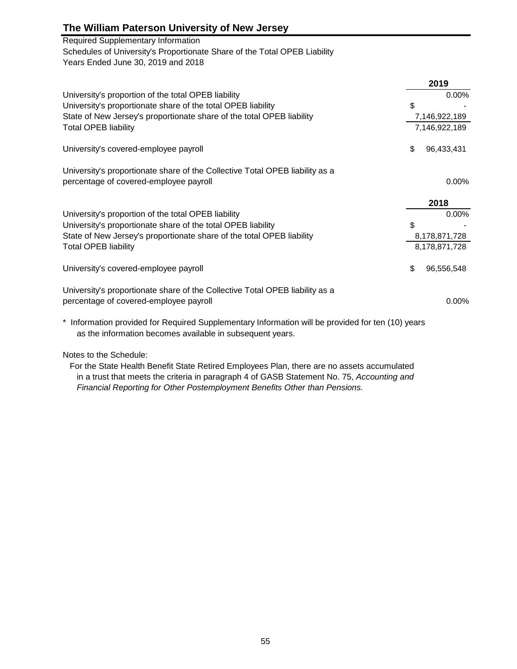### Schedules of University's Proportionate Share of the Total OPEB Liability Years Ended June 30, 2019 and 2018 Required Supplementary Information

|                                                                                                                                                                | 2019             |
|----------------------------------------------------------------------------------------------------------------------------------------------------------------|------------------|
| University's proportion of the total OPEB liability                                                                                                            | 0.00%            |
| University's proportionate share of the total OPEB liability                                                                                                   | \$               |
| State of New Jersey's proportionate share of the total OPEB liability                                                                                          | 7,146,922,189    |
| <b>Total OPEB liability</b>                                                                                                                                    | 7,146,922,189    |
| University's covered-employee payroll                                                                                                                          | \$<br>96,433,431 |
| University's proportionate share of the Collective Total OPEB liability as a                                                                                   |                  |
| percentage of covered-employee payroll                                                                                                                         | $0.00\%$         |
|                                                                                                                                                                | 2018             |
| University's proportion of the total OPEB liability                                                                                                            | 0.00%            |
| University's proportionate share of the total OPEB liability                                                                                                   | \$               |
| State of New Jersey's proportionate share of the total OPEB liability                                                                                          | 8,178,871,728    |
| <b>Total OPEB liability</b>                                                                                                                                    | 8,178,871,728    |
| University's covered-employee payroll                                                                                                                          | \$<br>96,556,548 |
| University's proportionate share of the Collective Total OPEB liability as a                                                                                   |                  |
| percentage of covered-employee payroll                                                                                                                         | $0.00\%$         |
| * Information provided for Required Supplementary Information will be provided for ten (10) years<br>as the information becomes available in subsequent years. |                  |
| Notes to the Schedule:                                                                                                                                         |                  |

For the State Health Benefit State Retired Employees Plan, there are no assets accumulated in a trust that meets the criteria in paragraph 4 of GASB Statement No. 75, *Accounting and Financial Reporting for Other Postemployment Benefits Other than Pensions.*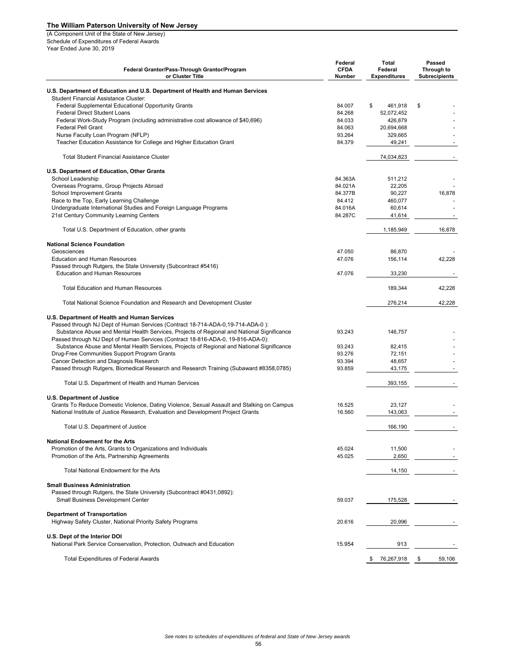(A Component Unit of the State of New Jersey) Schedule of Expenditures of Federal Awards Year Ended June 30, 2019

| Federal Grantor/Pass-Through Grantor/Program<br>or Cluster Title                                                                                                                                                                                                                                                                                                                                                                                              | Federal<br><b>CFDA</b><br><b>Number</b>                       | Total<br>Federal<br><b>Expenditures</b>                    | Passed<br>Through to<br><b>Subrecipients</b> |
|---------------------------------------------------------------------------------------------------------------------------------------------------------------------------------------------------------------------------------------------------------------------------------------------------------------------------------------------------------------------------------------------------------------------------------------------------------------|---------------------------------------------------------------|------------------------------------------------------------|----------------------------------------------|
| U.S. Department of Education and U.S. Department of Health and Human Services                                                                                                                                                                                                                                                                                                                                                                                 |                                                               |                                                            |                                              |
| <b>Student Financial Assistance Cluster:</b><br>Federal Supplemental Educational Opportunity Grants<br><b>Federal Direct Student Loans</b><br>Federal Work-Study Program (including administrative cost allowance of \$40,696)                                                                                                                                                                                                                                | 84.007<br>84.268<br>84.033                                    | \$<br>461,918<br>52,072,452<br>426,879                     | \$                                           |
| <b>Federal Pell Grant</b><br>Nurse Faculty Loan Program (NFLP)<br>Teacher Education Assistance for College and Higher Education Grant                                                                                                                                                                                                                                                                                                                         | 84.063<br>93.264<br>84.379                                    | 20,694,668<br>329,665<br>49,241                            |                                              |
| <b>Total Student Financial Assistance Cluster</b>                                                                                                                                                                                                                                                                                                                                                                                                             |                                                               | 74,034,823                                                 |                                              |
| U.S. Department of Education, Other Grants<br>School Leadership<br>Overseas Programs, Group Projects Abroad<br>School Improvement Grants<br>Race to the Top, Early Learning Challenge<br>Undergraduate International Studies and Foreign Language Programs<br>21st Century Community Learning Centers                                                                                                                                                         | 84.363A<br>84.021A<br>84.377B<br>84.412<br>84.016A<br>84.287C | 511,212<br>22,205<br>90,227<br>460,077<br>60,614<br>41,614 | 16,878                                       |
| Total U.S. Department of Education, other grants                                                                                                                                                                                                                                                                                                                                                                                                              |                                                               | 1,185,949                                                  | 16,878                                       |
|                                                                                                                                                                                                                                                                                                                                                                                                                                                               |                                                               |                                                            |                                              |
| <b>National Science Foundation</b><br>Geosciences<br><b>Education and Human Resources</b><br>Passed through Rutgers, the State University (Subcontract #5416)                                                                                                                                                                                                                                                                                                 | 47.050<br>47.076                                              | 86,870<br>156,114                                          | 42,228                                       |
| <b>Education and Human Resources</b>                                                                                                                                                                                                                                                                                                                                                                                                                          | 47.076                                                        | 33,230                                                     |                                              |
| <b>Total Education and Human Resources</b>                                                                                                                                                                                                                                                                                                                                                                                                                    |                                                               | 189.344                                                    | 42,228                                       |
| Total National Science Foundation and Research and Development Cluster                                                                                                                                                                                                                                                                                                                                                                                        |                                                               | 276,214                                                    | 42,228                                       |
| U.S. Department of Health and Human Services<br>Passed through NJ Dept of Human Services (Contract 18-714-ADA-0,19-714-ADA-0):<br>Substance Abuse and Mental Health Services, Projects of Regional and National Significance<br>Passed through NJ Dept of Human Services (Contract 18-816-ADA-0, 19-816-ADA-0):<br>Substance Abuse and Mental Health Services, Projects of Regional and National Significance<br>Drug-Free Communities Support Program Grants | 93.243<br>93.243<br>93.276                                    | 146,757<br>82,415<br>72,151                                |                                              |
| Cancer Detection and Diagnosis Research<br>Passed through Rutgers, Biomedical Research and Research Training (Subaward #8358,0785)                                                                                                                                                                                                                                                                                                                            | 93.394<br>93.859                                              | 48,657<br>43,175                                           |                                              |
| Total U.S. Department of Health and Human Services                                                                                                                                                                                                                                                                                                                                                                                                            |                                                               | 393,155                                                    |                                              |
| U.S. Department of Justice<br>Grants To Reduce Domestic Violence, Dating Violence, Sexual Assault and Stalking on Campus<br>National Institute of Justice Research, Evaluation and Development Project Grants                                                                                                                                                                                                                                                 | 16.525<br>16.560                                              | 23,127<br>143,063                                          |                                              |
| Total U.S. Department of Justice                                                                                                                                                                                                                                                                                                                                                                                                                              |                                                               | 166,190                                                    |                                              |
| <b>National Endowment for the Arts</b><br>Promotion of the Arts, Grants to Organizations and Individuals<br>Promotion of the Arts, Partnership Agreements                                                                                                                                                                                                                                                                                                     | 45.024<br>45.025                                              | 11,500<br>2,650                                            |                                              |
| Total National Endowment for the Arts                                                                                                                                                                                                                                                                                                                                                                                                                         |                                                               | 14,150                                                     |                                              |
| <b>Small Business Administration</b><br>Passed through Rutgers, the State University (Subcontract #0431,0892):<br><b>Small Business Development Center</b>                                                                                                                                                                                                                                                                                                    | 59.037                                                        | 175,528                                                    |                                              |
| <b>Department of Transportation</b><br>Highway Safety Cluster, National Priority Safety Programs                                                                                                                                                                                                                                                                                                                                                              | 20.616                                                        | 20,996                                                     |                                              |
| U.S. Dept of the Interior DOI<br>National Park Service Conservation, Protection, Outreach and Education                                                                                                                                                                                                                                                                                                                                                       | 15.954                                                        | 913                                                        |                                              |
| <b>Total Expenditures of Federal Awards</b>                                                                                                                                                                                                                                                                                                                                                                                                                   |                                                               | 76,267,918                                                 | 59,106<br>- \$                               |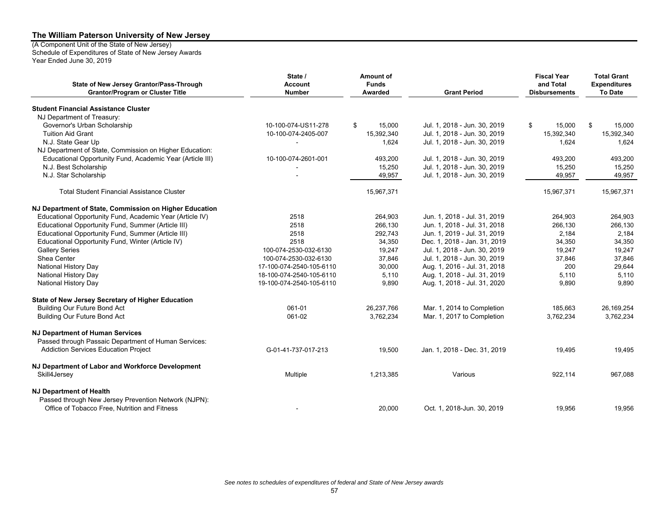(A Component Unit of the State of New Jersey) Schedule of Expenditures of State of New Jersey Awards Year Ended June 30, 2019

| State /<br>Amount of<br>State of New Jersey Grantor/Pass-Through<br><b>Account</b><br><b>Funds</b><br><b>Grantor/Program or Cluster Title</b><br>Awarded<br><b>Number</b> |                          | <b>Grant Period</b> | <b>Fiscal Year</b><br>and Total<br><b>Disbursements</b> | <b>Total Grant</b><br><b>Expenditures</b><br><b>To Date</b> |              |
|---------------------------------------------------------------------------------------------------------------------------------------------------------------------------|--------------------------|---------------------|---------------------------------------------------------|-------------------------------------------------------------|--------------|
| <b>Student Financial Assistance Cluster</b>                                                                                                                               |                          |                     |                                                         |                                                             |              |
| NJ Department of Treasury:                                                                                                                                                |                          |                     |                                                         |                                                             |              |
| Governor's Urban Scholarship                                                                                                                                              | 10-100-074-US11-278      | \$<br>15,000        | Jul. 1, 2018 - Jun. 30, 2019                            | \$<br>15,000                                                | \$<br>15,000 |
| <b>Tuition Aid Grant</b>                                                                                                                                                  | 10-100-074-2405-007      | 15,392,340          | Jul. 1, 2018 - Jun. 30, 2019                            | 15,392,340                                                  | 15,392,340   |
| N.J. State Gear Up                                                                                                                                                        |                          | 1,624               | Jul. 1, 2018 - Jun. 30, 2019                            | 1,624                                                       | 1,624        |
| NJ Department of State, Commission on Higher Education:                                                                                                                   |                          |                     |                                                         |                                                             |              |
| Educational Opportunity Fund, Academic Year (Article III)                                                                                                                 | 10-100-074-2601-001      | 493,200             | Jul. 1, 2018 - Jun. 30, 2019                            | 493.200                                                     | 493,200      |
| N.J. Best Scholarship                                                                                                                                                     |                          | 15,250              | Jul. 1, 2018 - Jun. 30, 2019                            | 15,250                                                      | 15,250       |
| N.J. Star Scholarship                                                                                                                                                     |                          | 49,957              | Jul. 1, 2018 - Jun. 30, 2019                            | 49,957                                                      | 49,957       |
| <b>Total Student Financial Assistance Cluster</b>                                                                                                                         |                          | 15,967,371          |                                                         | 15,967,371                                                  | 15,967,371   |
| NJ Department of State, Commission on Higher Education                                                                                                                    |                          |                     |                                                         |                                                             |              |
| Educational Opportunity Fund, Academic Year (Article IV)                                                                                                                  | 2518                     | 264,903             | Jun. 1, 2018 - Jul. 31, 2019                            | 264,903                                                     | 264,903      |
| Educational Opportunity Fund, Summer (Article III)                                                                                                                        | 2518                     | 266,130             | Jun. 1, 2018 - Jul. 31, 2018                            | 266,130                                                     | 266,130      |
| Educational Opportunity Fund, Summer (Article III)                                                                                                                        | 2518                     | 292,743             | Jun. 1, 2019 - Jul. 31, 2019                            | 2,184                                                       | 2,184        |
| Educational Opportunity Fund, Winter (Article IV)                                                                                                                         | 2518                     | 34,350              | Dec. 1, 2018 - Jan. 31, 2019                            | 34,350                                                      | 34,350       |
| <b>Gallery Series</b>                                                                                                                                                     | 100-074-2530-032-6130    | 19,247              | Jul. 1, 2018 - Jun. 30, 2019                            | 19,247                                                      | 19,247       |
| Shea Center                                                                                                                                                               | 100-074-2530-032-6130    | 37,846              | Jul. 1, 2018 - Jun. 30, 2019                            | 37,846                                                      | 37,846       |
| National History Day                                                                                                                                                      | 17-100-074-2540-105-6110 | 30,000              | Aug. 1, 2016 - Jul. 31, 2018                            | 200                                                         | 29,644       |
| National History Day                                                                                                                                                      | 18-100-074-2540-105-6110 | 5,110               | Aug. 1, 2018 - Jul. 31, 2019                            | 5,110                                                       | 5,110        |
| National History Day                                                                                                                                                      | 19-100-074-2540-105-6110 | 9,890               | Aug. 1, 2018 - Jul. 31, 2020                            | 9,890                                                       | 9,890        |
| State of New Jersey Secretary of Higher Education                                                                                                                         |                          |                     |                                                         |                                                             |              |
| <b>Building Our Future Bond Act</b>                                                                                                                                       | 061-01                   | 26,237,766          | Mar. 1, 2014 to Completion                              | 185,663                                                     | 26,169,254   |
| <b>Building Our Future Bond Act</b>                                                                                                                                       | 061-02                   | 3,762,234           | Mar. 1, 2017 to Completion                              | 3,762,234                                                   | 3,762,234    |
| <b>NJ Department of Human Services</b>                                                                                                                                    |                          |                     |                                                         |                                                             |              |
| Passed through Passaic Department of Human Services:                                                                                                                      |                          |                     |                                                         |                                                             |              |
| <b>Addiction Services Education Project</b>                                                                                                                               | G-01-41-737-017-213      | 19,500              | Jan. 1, 2018 - Dec. 31, 2019                            | 19,495                                                      | 19,495       |
| NJ Department of Labor and Workforce Development                                                                                                                          |                          |                     |                                                         |                                                             |              |
| Skill4Jersey                                                                                                                                                              | Multiple                 | 1,213,385           | Various                                                 | 922,114                                                     | 967,088      |
| <b>NJ Department of Health</b>                                                                                                                                            |                          |                     |                                                         |                                                             |              |
| Passed through New Jersey Prevention Network (NJPN):                                                                                                                      |                          |                     |                                                         |                                                             |              |
| Office of Tobacco Free, Nutrition and Fitness                                                                                                                             |                          | 20,000              | Oct. 1. 2018-Jun. 30. 2019                              | 19,956                                                      | 19,956       |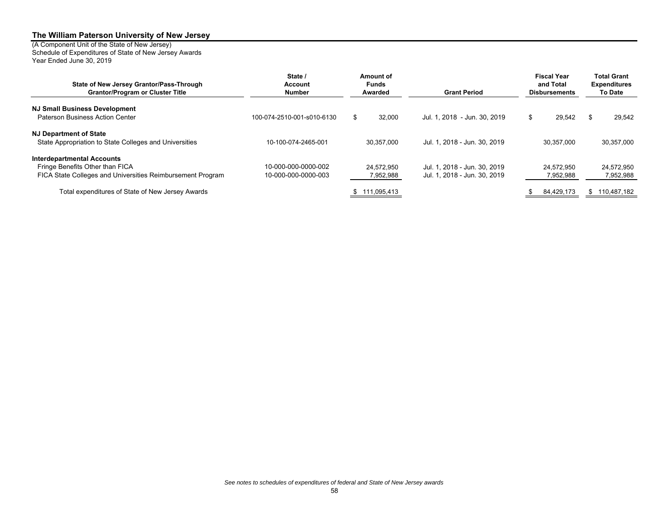(A Component Unit of the State of New Jersey) Schedule of Expenditures of State of New Jersey Awards Year Ended June 30, 2019

| State of New Jersey Grantor/Pass-Through<br><b>Grantor/Program or Cluster Title</b> | State /<br>Account<br><b>Number</b> | Amount of<br><b>Funds</b><br>Awarded | <b>Grant Period</b>          | <b>Fiscal Year</b><br>and Total<br><b>Disbursements</b> | <b>Total Grant</b><br><b>Expenditures</b><br><b>To Date</b> |
|-------------------------------------------------------------------------------------|-------------------------------------|--------------------------------------|------------------------------|---------------------------------------------------------|-------------------------------------------------------------|
| <b>NJ Small Business Development</b>                                                |                                     |                                      |                              |                                                         |                                                             |
| Paterson Business Action Center                                                     | 100-074-2510-001-s010-6130          | 32,000<br>\$                         | Jul. 1, 2018 - Jun. 30, 2019 | 29.542                                                  | 29.542                                                      |
| <b>NJ Department of State</b>                                                       |                                     |                                      |                              |                                                         |                                                             |
| State Appropriation to State Colleges and Universities                              | 10-100-074-2465-001                 | 30.357.000                           | Jul. 1. 2018 - Jun. 30. 2019 | 30.357.000                                              | 30,357,000                                                  |
| <b>Interdepartmental Accounts</b>                                                   |                                     |                                      |                              |                                                         |                                                             |
| Fringe Benefits Other than FICA                                                     | 10-000-000-0000-002                 | 24.572.950                           | Jul. 1. 2018 - Jun. 30. 2019 | 24.572.950                                              | 24,572,950                                                  |
| FICA State Colleges and Universities Reimbursement Program                          | 10-000-000-0000-003                 | 7,952,988                            | Jul. 1, 2018 - Jun. 30, 2019 | 7,952,988                                               | 7,952,988                                                   |
| Total expenditures of State of New Jersey Awards                                    |                                     | 111,095,413                          |                              | 84,429,173                                              | \$110,487,182                                               |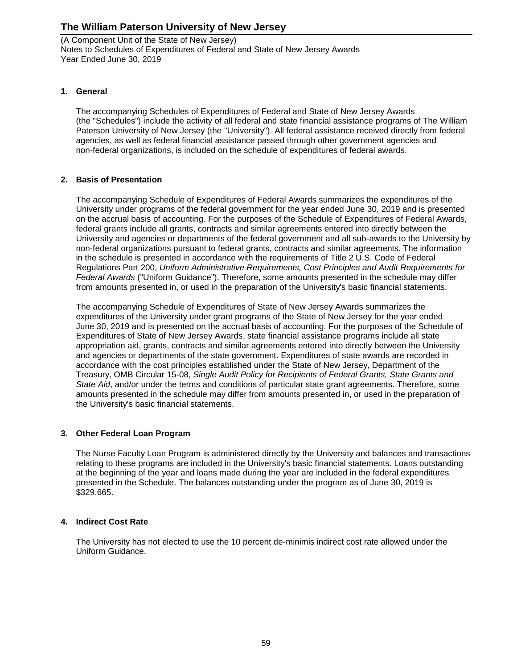(A Component Unit of the State of New Jersey) Notes to Schedules of Expenditures of Federal and State of New Jersey Awards Year Ended June 30, 2019

### **1. General**

The accompanying Schedules of Expenditures of Federal and State of New Jersey Awards (the "Schedules") include the activity of all federal and state financial assistance programs of The William Paterson University of New Jersey (the "University"). All federal assistance received directly from federal agencies, as well as federal financial assistance passed through other government agencies and non-federal organizations, is included on the schedule of expenditures of federal awards.

### **2. Basis of Presentation**

The accompanying Schedule of Expenditures of Federal Awards summarizes the expenditures of the University under programs of the federal government for the year ended June 30, 2019 and is presented on the accrual basis of accounting. For the purposes of the Schedule of Expenditures of Federal Awards, federal grants include all grants, contracts and similar agreements entered into directly between the University and agencies or departments of the federal government and all sub-awards to the University by non-federal organizations pursuant to federal grants, contracts and similar agreements. The information in the schedule is presented in accordance with the requirements of Title 2 U.S. Code of Federal Regulations Part 200, *Uniform Administrative Requirements, Cost Principles and Audit Requirements for Federal Awards* ("Uniform Guidance"). Therefore, some amounts presented in the schedule may differ from amounts presented in, or used in the preparation of the University's basic financial statements.

The accompanying Schedule of Expenditures of State of New Jersey Awards summarizes the expenditures of the University under grant programs of the State of New Jersey for the year ended June 30, 2019 and is presented on the accrual basis of accounting. For the purposes of the Schedule of Expenditures of State of New Jersey Awards, state financial assistance programs include all state appropriation aid, grants, contracts and similar agreements entered into directly between the University and agencies or departments of the state government. Expenditures of state awards are recorded in accordance with the cost principles established under the State of New Jersey, Department of the Treasury, OMB Circular 15-08, *Single Audit Policy for Recipients of Federal Grants, State Grants and State Aid*, and/or under the terms and conditions of particular state grant agreements. Therefore, some amounts presented in the schedule may differ from amounts presented in, or used in the preparation of the University's basic financial statements.

#### **3. Other Federal Loan Program**

The Nurse Faculty Loan Program is administered directly by the University and balances and transactions relating to these programs are included in the University's basic financial statements. Loans outstanding at the beginning of the year and loans made during the year are included in the federal expenditures presented in the Schedule. The balances outstanding under the program as of June 30, 2019 is \$329,665.

#### **4. Indirect Cost Rate**

The University has not elected to use the 10 percent de-minimis indirect cost rate allowed under the Uniform Guidance.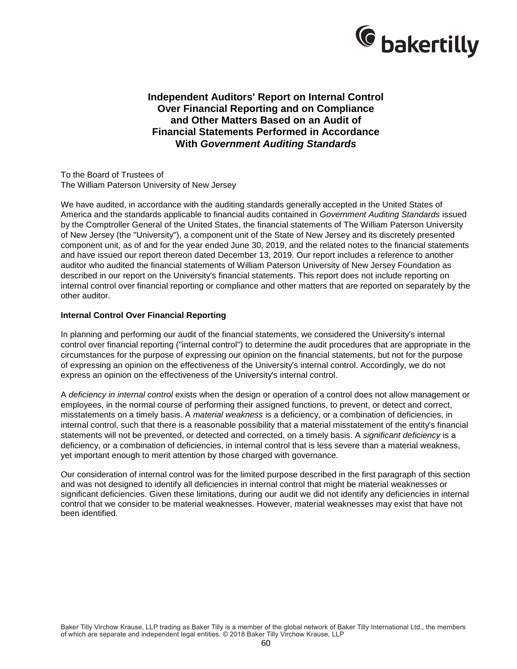

### **Independent Auditors' Report on Internal Control Over Financial Reporting and on Compliance and Other Matters Based on an Audit of Financial Statements Performed in Accordance With** *Government Auditing Standards*

To the Board of Trustees of The William Paterson University of New Jersey

We have audited, in accordance with the auditing standards generally accepted in the United States of America and the standards applicable to financial audits contained in *Government Auditing Standards* issued by the Comptroller General of the United States, the financial statements of The William Paterson University of New Jersey (the "University"), a component unit of the State of New Jersey and its discretely presented component unit, as of and for the year ended June 30, 2019, and the related notes to the financial statements and have issued our report thereon dated December 13, 2019. Our report includes a reference to another auditor who audited the financial statements of William Paterson University of New Jersey Foundation as described in our report on the University's financial statements. This report does not include reporting on internal control over financial reporting or compliance and other matters that are reported on separately by the other auditor.

#### **Internal Control Over Financial Reporting**

In planning and performing our audit of the financial statements, we considered the University's internal control over financial reporting ("internal control") to determine the audit procedures that are appropriate in the circumstances for the purpose of expressing our opinion on the financial statements, but not for the purpose of expressing an opinion on the effectiveness of the University's internal control. Accordingly, we do not express an opinion on the effectiveness of the University's internal control.

A *deficiency in internal control* exists when the design or operation of a control does not allow management or employees, in the normal course of performing their assigned functions, to prevent, or detect and correct, misstatements on a timely basis. A *material weakness* is a deficiency, or a combination of deficiencies, in internal control, such that there is a reasonable possibility that a material misstatement of the entity's financial statements will not be prevented, or detected and corrected, on a timely basis. A *significant deficiency* is a deficiency, or a combination of deficiencies, in internal control that is less severe than a material weakness, yet important enough to merit attention by those charged with governance.

Our consideration of internal control was for the limited purpose described in the first paragraph of this section and was not designed to identify all deficiencies in internal control that might be material weaknesses or significant deficiencies. Given these limitations, during our audit we did not identify any deficiencies in internal control that we consider to be material weaknesses. However, material weaknesses may exist that have not been identified.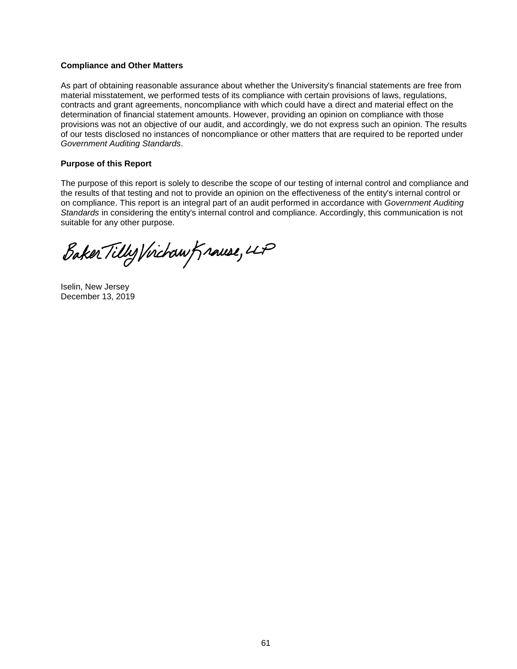### **Compliance and Other Matters**

As part of obtaining reasonable assurance about whether the University's financial statements are free from material misstatement, we performed tests of its compliance with certain provisions of laws, regulations, contracts and grant agreements, noncompliance with which could have a direct and material effect on the determination of financial statement amounts. However, providing an opinion on compliance with those provisions was not an objective of our audit, and accordingly, we do not express such an opinion. The results of our tests disclosed no instances of noncompliance or other matters that are required to be reported under *Government Auditing Standards*.

### **Purpose of this Report**

The purpose of this report is solely to describe the scope of our testing of internal control and compliance and the results of that testing and not to provide an opinion on the effectiveness of the entity's internal control or on compliance. This report is an integral part of an audit performed in accordance with *Government Auditing Standards* in considering the entity's internal control and compliance. Accordingly, this communication is not suitable for any other purpose.

Baker Tilly Virchaw Krause, 4P

Iselin, New Jersey December 13, 2019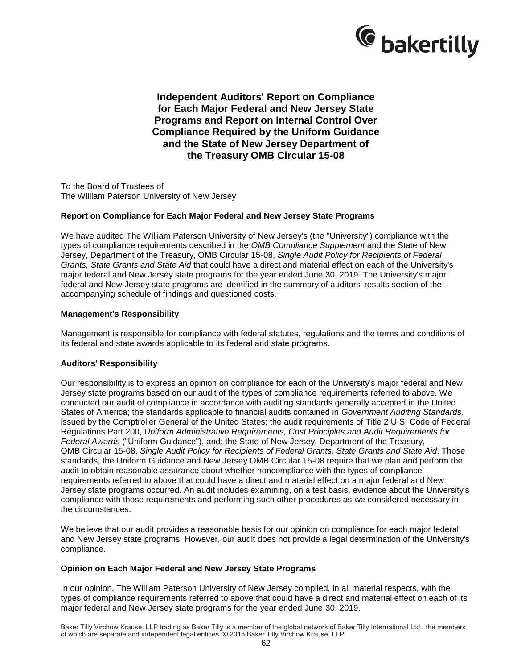

**Independent Auditors' Report on Compliance for Each Major Federal and New Jersey State Programs and Report on Internal Control Over Compliance Required by the Uniform Guidance and the State of New Jersey Department of the Treasury OMB Circular 15-08**

To the Board of Trustees of The William Paterson University of New Jersey

#### **Report on Compliance for Each Major Federal and New Jersey State Programs**

We have audited The William Paterson University of New Jersey's (the "University") compliance with the types of compliance requirements described in the *OMB Compliance Supplement* and the State of New Jersey, Department of the Treasury, OMB Circular 15-08, *Single Audit Policy for Recipients of Federal Grants, State Grants and State Aid* that could have a direct and material effect on each of the University's major federal and New Jersey state programs for the year ended June 30, 2019. The University's major federal and New Jersey state programs are identified in the summary of auditors' results section of the accompanying schedule of findings and questioned costs.

#### **Management's Responsibility**

Management is responsible for compliance with federal statutes, regulations and the terms and conditions of its federal and state awards applicable to its federal and state programs.

#### **Auditors' Responsibility**

Our responsibility is to express an opinion on compliance for each of the University's major federal and New Jersey state programs based on our audit of the types of compliance requirements referred to above. We conducted our audit of compliance in accordance with auditing standards generally accepted in the United States of America; the standards applicable to financial audits contained in *Government Auditing Standards*, issued by the Comptroller General of the United States; the audit requirements of Title 2 U.S. Code of Federal Regulations Part 200, *Uniform Administrative Requirements, Cost Principles and Audit Requirements for Federal Awards* ("Uniform Guidance"), and; the State of New Jersey, Department of the Treasury, OMB Circular 15-08, *Single Audit Policy for Recipients of Federal Grants, State Grants and State Aid*. Those standards, the Uniform Guidance and New Jersey OMB Circular 15-08 require that we plan and perform the audit to obtain reasonable assurance about whether noncompliance with the types of compliance requirements referred to above that could have a direct and material effect on a major federal and New Jersey state programs occurred. An audit includes examining, on a test basis, evidence about the University's compliance with those requirements and performing such other procedures as we considered necessary in the circumstances.

We believe that our audit provides a reasonable basis for our opinion on compliance for each major federal and New Jersey state programs. However, our audit does not provide a legal determination of the University's compliance.

#### **Opinion on Each Major Federal and New Jersey State Programs**

In our opinion, The William Paterson University of New Jersey complied, in all material respects, with the types of compliance requirements referred to above that could have a direct and material effect on each of its major federal and New Jersey state programs for the year ended June 30, 2019.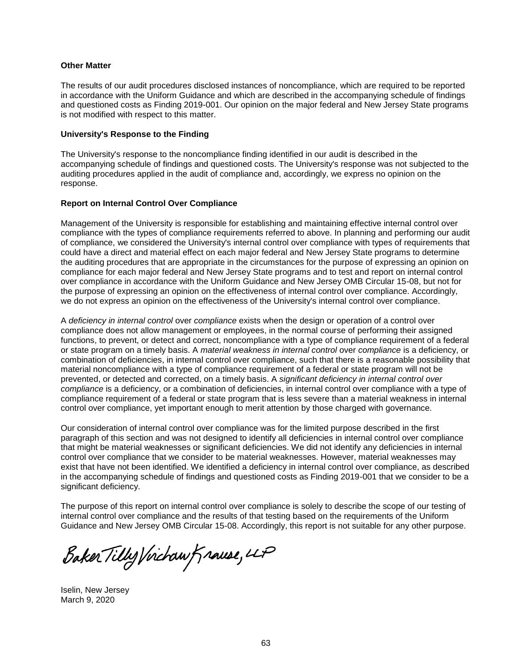#### **Other Matter**

The results of our audit procedures disclosed instances of noncompliance, which are required to be reported in accordance with the Uniform Guidance and which are described in the accompanying schedule of findings and questioned costs as Finding 2019-001. Our opinion on the major federal and New Jersey State programs is not modified with respect to this matter.

#### **University's Response to the Finding**

The University's response to the noncompliance finding identified in our audit is described in the accompanying schedule of findings and questioned costs. The University's response was not subjected to the auditing procedures applied in the audit of compliance and, accordingly, we express no opinion on the response.

### **Report on Internal Control Over Compliance**

Management of the University is responsible for establishing and maintaining effective internal control over compliance with the types of compliance requirements referred to above. In planning and performing our audit of compliance, we considered the University's internal control over compliance with types of requirements that could have a direct and material effect on each major federal and New Jersey State programs to determine the auditing procedures that are appropriate in the circumstances for the purpose of expressing an opinion on compliance for each major federal and New Jersey State programs and to test and report on internal control over compliance in accordance with the Uniform Guidance and New Jersey OMB Circular 15-08, but not for the purpose of expressing an opinion on the effectiveness of internal control over compliance. Accordingly, we do not express an opinion on the effectiveness of the University's internal control over compliance.

A *deficiency in internal control* over *compliance* exists when the design or operation of a control over compliance does not allow management or employees, in the normal course of performing their assigned functions, to prevent, or detect and correct, noncompliance with a type of compliance requirement of a federal or state program on a timely basis. A *material weakness in internal control* over *compliance* is a deficiency, or combination of deficiencies, in internal control over compliance, such that there is a reasonable possibility that material noncompliance with a type of compliance requirement of a federal or state program will not be prevented, or detected and corrected, on a timely basis. A *significant deficiency in internal control over compliance* is a deficiency, or a combination of deficiencies, in internal control over compliance with a type of compliance requirement of a federal or state program that is less severe than a material weakness in internal control over compliance, yet important enough to merit attention by those charged with governance.

Our consideration of internal control over compliance was for the limited purpose described in the first paragraph of this section and was not designed to identify all deficiencies in internal control over compliance that might be material weaknesses or significant deficiencies. We did not identify any deficiencies in internal control over compliance that we consider to be material weaknesses. However, material weaknesses may exist that have not been identified. We identified a deficiency in internal control over compliance, as described in the accompanying schedule of findings and questioned costs as Finding 2019-001 that we consider to be a significant deficiency.

The purpose of this report on internal control over compliance is solely to describe the scope of our testing of internal control over compliance and the results of that testing based on the requirements of the Uniform Guidance and New Jersey OMB Circular 15-08. Accordingly, this report is not suitable for any other purpose.

Baker Tilly Virchaw Knause, LLP

Iselin, New Jersey March 9, 2020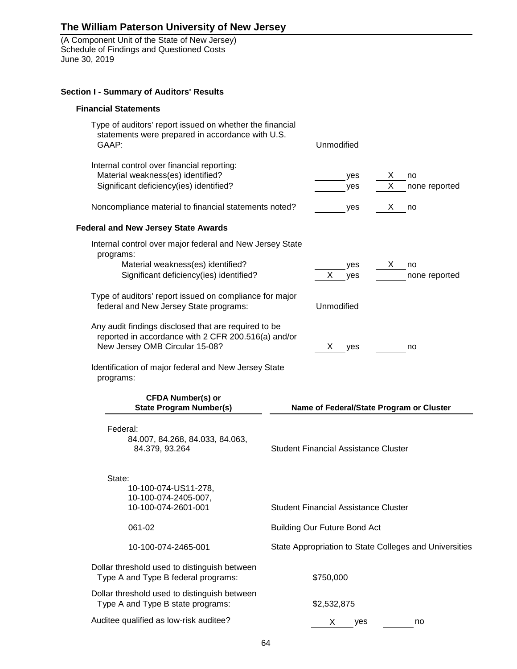(A Component Unit of the State of New Jersey) Schedule of Findings and Questioned Costs June 30, 2019

### **Section I - Summary of Auditors' Results**

### **Financial Statements**

| Type of auditors' report issued on whether the financial<br>statements were prepared in accordance with U.S.<br>GAAP:                         | Unmodified                                  |                                                        |
|-----------------------------------------------------------------------------------------------------------------------------------------------|---------------------------------------------|--------------------------------------------------------|
| Internal control over financial reporting:<br>Material weakness(es) identified?<br>Significant deficiency(ies) identified?                    | yes<br>yes                                  | X.<br>no<br>Х<br>none reported                         |
| Noncompliance material to financial statements noted?                                                                                         | yes                                         | X.<br>no                                               |
| <b>Federal and New Jersey State Awards</b>                                                                                                    |                                             |                                                        |
| Internal control over major federal and New Jersey State<br>programs:                                                                         |                                             |                                                        |
| Material weakness(es) identified?<br>Significant deficiency(ies) identified?                                                                  | yes<br>X<br>yes                             | X.<br>no<br>none reported                              |
| Type of auditors' report issued on compliance for major<br>federal and New Jersey State programs:                                             | Unmodified                                  |                                                        |
| Any audit findings disclosed that are required to be<br>reported in accordance with 2 CFR 200.516(a) and/or<br>New Jersey OMB Circular 15-08? | X.<br>yes                                   | no                                                     |
| Identification of major federal and New Jersey State<br>programs:                                                                             |                                             |                                                        |
| <b>CFDA Number(s) or</b><br><b>State Program Number(s)</b>                                                                                    |                                             | Name of Federal/State Program or Cluster               |
| Federal:<br>84.007, 84.268, 84.033, 84.063,<br>84.379, 93.264                                                                                 | <b>Student Financial Assistance Cluster</b> |                                                        |
| State:<br>10-100-074-US11-278,<br>10-100-074-2405-007.<br>10-100-074-2601-001                                                                 | <b>Student Financial Assistance Cluster</b> |                                                        |
| 061-02                                                                                                                                        | <b>Building Our Future Bond Act</b>         |                                                        |
| 10-100-074-2465-001                                                                                                                           |                                             | State Appropriation to State Colleges and Universities |
| Dollar threshold used to distinguish between<br>Type A and Type B federal programs:                                                           | \$750,000                                   |                                                        |
| Dollar threshold used to distinguish between<br>Type A and Type B state programs:                                                             | \$2,532,875                                 |                                                        |
| Auditee qualified as low-risk auditee?                                                                                                        | yes<br>X                                    | no                                                     |
|                                                                                                                                               |                                             |                                                        |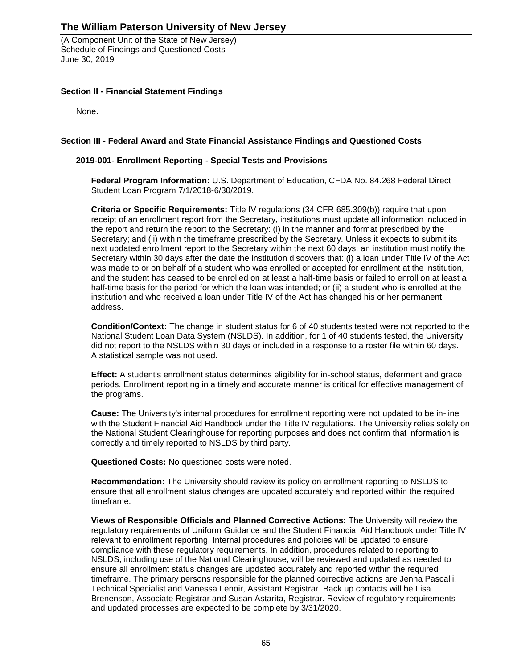(A Component Unit of the State of New Jersey) Schedule of Findings and Questioned Costs June 30, 2019

### **Section II - Financial Statement Findings**

None.

#### **Section III - Federal Award and State Financial Assistance Findings and Questioned Costs**

#### **2019-001- Enrollment Reporting - Special Tests and Provisions**

**Federal Program Information:** U.S. Department of Education, CFDA No. 84.268 Federal Direct Student Loan Program 7/1/2018-6/30/2019.

**Criteria or Specific Requirements:** Title IV regulations (34 CFR 685.309(b)) require that upon receipt of an enrollment report from the Secretary, institutions must update all information included in the report and return the report to the Secretary: (i) in the manner and format prescribed by the Secretary; and (ii) within the timeframe prescribed by the Secretary. Unless it expects to submit its next updated enrollment report to the Secretary within the next 60 days, an institution must notify the Secretary within 30 days after the date the institution discovers that: (i) a loan under Title IV of the Act was made to or on behalf of a student who was enrolled or accepted for enrollment at the institution, and the student has ceased to be enrolled on at least a half-time basis or failed to enroll on at least a half-time basis for the period for which the loan was intended; or (ii) a student who is enrolled at the institution and who received a loan under Title IV of the Act has changed his or her permanent address.

**Condition/Context:** The change in student status for 6 of 40 students tested were not reported to the National Student Loan Data System (NSLDS). In addition, for 1 of 40 students tested, the University did not report to the NSLDS within 30 days or included in a response to a roster file within 60 days. A statistical sample was not used.

**Effect:** A student's enrollment status determines eligibility for in-school status, deferment and grace periods. Enrollment reporting in a timely and accurate manner is critical for effective management of the programs.

**Cause:** The University's internal procedures for enrollment reporting were not updated to be in-line with the Student Financial Aid Handbook under the Title IV regulations. The University relies solely on the National Student Clearinghouse for reporting purposes and does not confirm that information is correctly and timely reported to NSLDS by third party.

**Questioned Costs:** No questioned costs were noted.

**Recommendation:** The University should review its policy on enrollment reporting to NSLDS to ensure that all enrollment status changes are updated accurately and reported within the required timeframe.

**Views of Responsible Officials and Planned Corrective Actions:** The University will review the regulatory requirements of Uniform Guidance and the Student Financial Aid Handbook under Title IV relevant to enrollment reporting. Internal procedures and policies will be updated to ensure compliance with these regulatory requirements. In addition, procedures related to reporting to NSLDS, including use of the National Clearinghouse, will be reviewed and updated as needed to ensure all enrollment status changes are updated accurately and reported within the required timeframe. The primary persons responsible for the planned corrective actions are Jenna Pascalli, Technical Specialist and Vanessa Lenoir, Assistant Registrar. Back up contacts will be Lisa Brenenson, Associate Registrar and Susan Astarita, Registrar. Review of regulatory requirements and updated processes are expected to be complete by 3/31/2020.